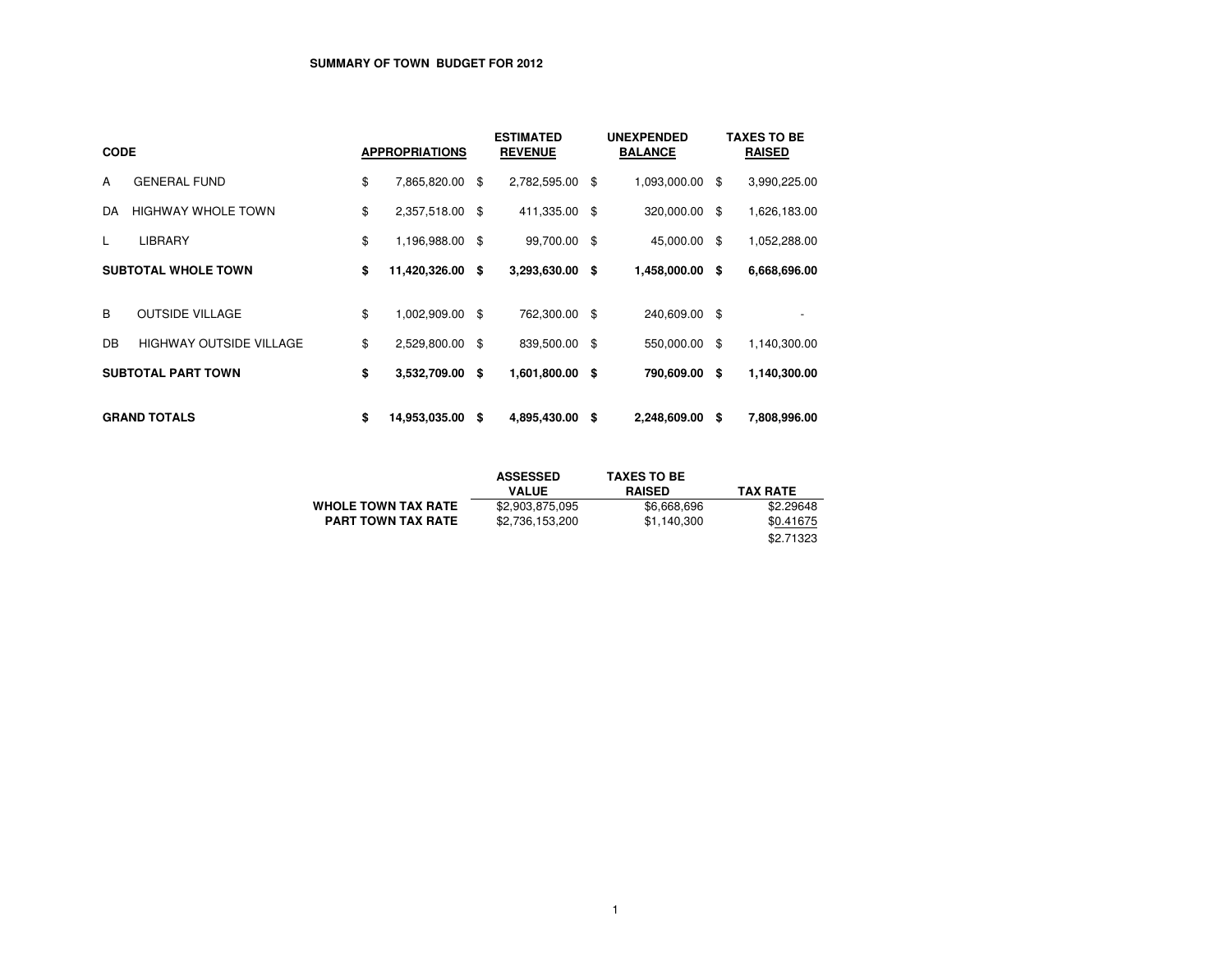# **SUMMARY OF TOWN BUDGET FOR 2012**

| <b>CODE</b>                |                           |    | <b>APPROPRIATIONS</b> |      | <b>ESTIMATED</b><br><b>REVENUE</b> | <b>UNEXPENDED</b><br><b>BALANCE</b> |    | <b>TAXES TO BE</b><br><b>RAISED</b> |
|----------------------------|---------------------------|----|-----------------------|------|------------------------------------|-------------------------------------|----|-------------------------------------|
| A                          | <b>GENERAL FUND</b>       | \$ | 7,865,820.00          | \$   | 2,782,595.00 \$                    | 1,093,000.00                        | \$ | 3,990,225.00                        |
| DA                         | <b>HIGHWAY WHOLE TOWN</b> | \$ | 2,357,518.00          | \$   | 411,335.00 \$                      | 320,000.00                          | \$ | 1,626,183.00                        |
| L                          | <b>LIBRARY</b>            | \$ | 1,196,988.00          | -\$  | 99,700.00 \$                       | 45,000.00                           | \$ | 1,052,288.00                        |
| <b>SUBTOTAL WHOLE TOWN</b> |                           | \$ | 11,420,326.00         | S.   | 3,293,630.00 \$                    | 1,458,000.00                        | S. | 6,668,696.00                        |
| B                          | <b>OUTSIDE VILLAGE</b>    | \$ | 1,002,909.00          | - \$ | 762.300.00 \$                      | 240,609.00 \$                       |    |                                     |
| DB                         | HIGHWAY OUTSIDE VILLAGE   | \$ | 2,529,800.00          | -\$  | 839,500.00 \$                      | 550,000.00                          | \$ | 1,140,300.00                        |
|                            | <b>SUBTOTAL PART TOWN</b> | \$ | 3,532,709.00          | \$   | 1,601,800.00 \$                    | 790,609.00                          | \$ | 1,140,300.00                        |
|                            | <b>GRAND TOTALS</b>       | \$ | 14,953,035.00         | \$   | 4,895,430.00 \$                    | 2,248,609.00                        | \$ | 7,808,996.00                        |

|                            | <b>ASSESSED</b> | <b>TAXES TO BE</b> |                 |
|----------------------------|-----------------|--------------------|-----------------|
|                            | <b>VALUE</b>    | <b>RAISED</b>      | <b>TAX RATE</b> |
| <b>WHOLE TOWN TAX RATE</b> | \$2,903,875,095 | \$6,668,696        | \$2.29648       |
| <b>PART TOWN TAX RATE</b>  | \$2,736,153,200 | \$1.140.300        | \$0.41675       |
|                            |                 |                    | \$2.71323       |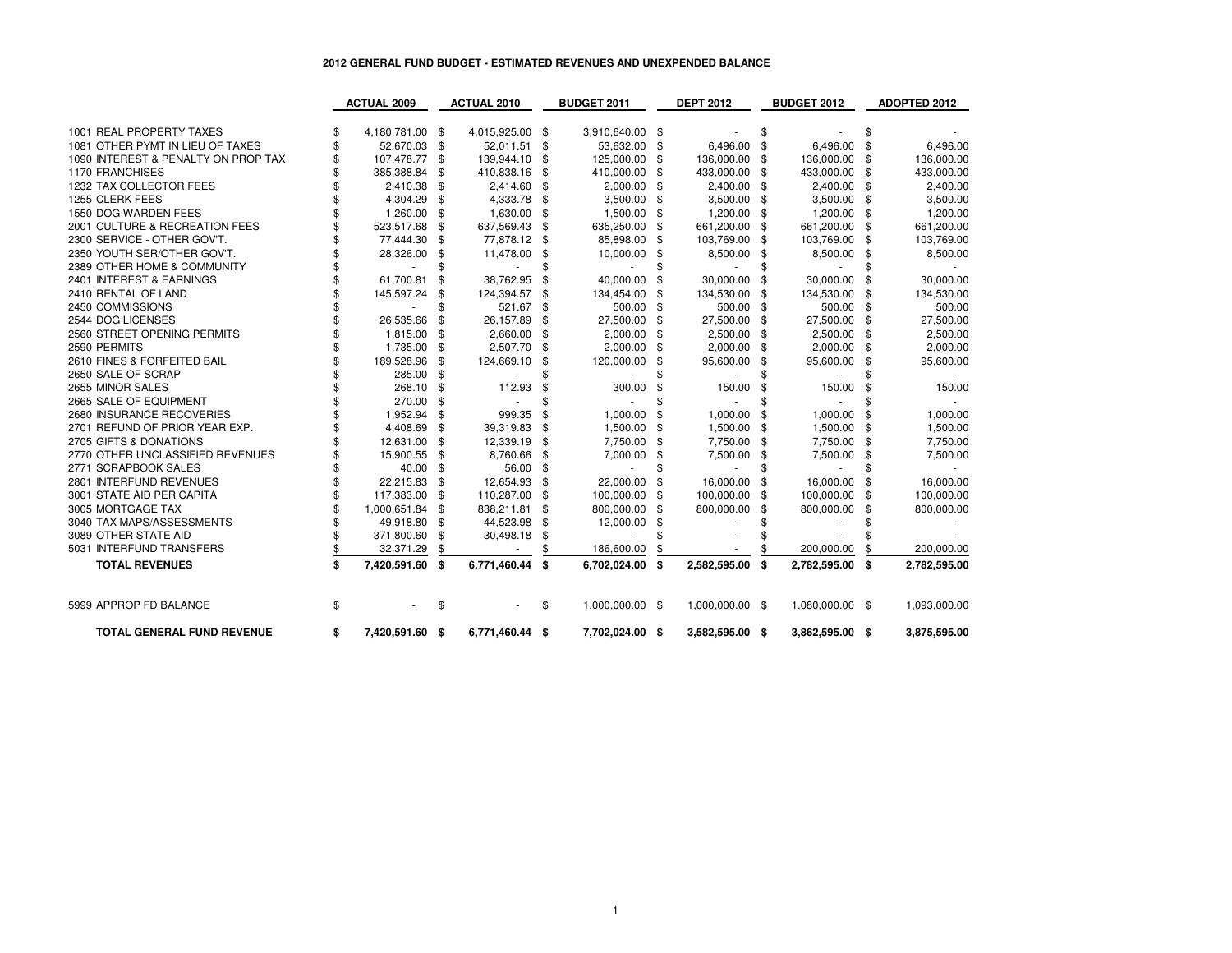### **2012 GENERAL FUND BUDGET - ESTIMATED REVENUES AND UNEXPENDED BALANCE**

|                                     | <b>ACTUAL 2009</b>    | <b>ACTUAL 2010</b> |      | <b>BUDGET 2011</b> |    | <b>DEPT 2012</b> |               | <b>BUDGET 2012</b> |      | <b>ADOPTED 2012</b> |
|-------------------------------------|-----------------------|--------------------|------|--------------------|----|------------------|---------------|--------------------|------|---------------------|
|                                     |                       |                    |      |                    |    |                  |               |                    |      |                     |
| 1001 REAL PROPERTY TAXES            | 4,180,781.00 \$       | 4,015,925.00 \$    |      | 3,910,640.00 \$    |    |                  | \$            |                    | \$   |                     |
| 1081 OTHER PYMT IN LIEU OF TAXES    | 52,670.03             | \$<br>52,011.51    | - \$ | 53,632.00          | \$ | 6,496.00         | \$            | 6,496.00           | \$   | 6,496.00            |
| 1090 INTEREST & PENALTY ON PROP TAX | 107,478.77            | \$<br>139,944.10   | -\$  | 125,000.00         | \$ | 136,000.00       | -\$           | 136,000.00         | \$   | 136,000.00          |
| 1170 FRANCHISES                     | 385,388.84            | \$<br>410,838.16   | -\$  | 410,000.00         | \$ | 433,000.00       | -\$           | 433,000.00         | \$   | 433,000.00          |
| 1232 TAX COLLECTOR FEES             | 2,410.38              | \$<br>2,414.60 \$  |      | 2,000.00           | \$ | 2,400.00 \$      |               | 2,400.00 \$        |      | 2,400.00            |
| 1255 CLERK FEES                     | 4,304.29              | \$<br>4,333.78     | - \$ | 3,500.00           | \$ | 3,500.00         | -\$           | 3,500.00           | - \$ | 3,500.00            |
| 1550 DOG WARDEN FEES                | 1,260.00              | \$<br>1,630.00     | - \$ | 1,500.00           | \$ | 1,200.00         | - \$          | 1,200.00           | -\$  | 1,200.00            |
| 2001 CULTURE & RECREATION FEES      | 523,517.68            | \$<br>637,569.43   | - \$ | 635,250.00         | \$ | 661,200.00       | - \$          | 661,200.00         | -\$  | 661,200.00          |
| 2300 SERVICE - OTHER GOV'T.         | 77,444.30             | \$<br>77,878.12 \$ |      | 85,898.00          | \$ | 103,769.00       | -\$           | 103,769.00         | \$   | 103,769.00          |
| 2350 YOUTH SER/OTHER GOV'T.         | 28,326.00             | \$<br>11,478.00    | -\$  | 10,000.00          | \$ | 8,500.00         | -\$           | 8,500.00           | -\$  | 8,500.00            |
| 2389 OTHER HOME & COMMUNITY         |                       |                    | \$   |                    | \$ |                  | \$            |                    | \$   |                     |
| 2401 INTEREST & EARNINGS            | 61,700.81             | \$<br>38,762.95    | -\$  | 40,000.00          | \$ | 30,000.00        | \$            | 30,000.00          | \$   | 30.000.00           |
| 2410 RENTAL OF LAND                 | 145,597.24            | \$<br>124,394.57   | \$   | 134,454.00         | \$ | 134,530.00       | \$            | 134,530.00         | \$   | 134,530.00          |
| 2450 COMMISSIONS                    |                       | \$<br>521.67 \$    |      | 500.00             | \$ | 500.00 \$        |               | 500.00             | -\$  | 500.00              |
| 2544 DOG LICENSES                   | 26,535.66             | \$<br>26,157.89    | \$   | 27,500.00          | \$ | 27,500.00        | -\$           | 27,500.00          | \$   | 27,500.00           |
| 2560 STREET OPENING PERMITS         | 1,815.00              | \$<br>2,660.00     | -\$  | 2,000.00           | \$ | 2,500.00         | -\$           | 2,500.00           | - \$ | 2,500.00            |
| 2590 PERMITS                        | 1,735.00              | \$<br>2,507.70     | - \$ | 2,000.00           | \$ | 2,000.00         | $\mathfrak s$ | 2,000.00           | S    | 2,000.00            |
| 2610 FINES & FORFEITED BAIL         | 189,528.96            | \$<br>124,669.10   | \$   | 120,000.00         | \$ | 95,600.00        | \$            | 95,600.00          | \$   | 95,600.00           |
| 2650 SALE OF SCRAP                  | 285.00                | \$                 | \$   |                    |    |                  | \$            |                    |      |                     |
| 2655 MINOR SALES                    | 268.10                | \$<br>112.93       | \$   | 300.00             | \$ | 150.00           | \$            | 150.00             | \$   | 150.00              |
| 2665 SALE OF EQUIPMENT              | 270.00                | \$                 | \$   |                    | \$ |                  | \$            |                    |      |                     |
| 2680 INSURANCE RECOVERIES           | 1.952.94              | \$<br>999.35       | \$   | 1.000.00           | \$ | 1,000.00         | \$            | 1,000.00           | \$   | 1.000.00            |
| 2701 REFUND OF PRIOR YEAR EXP.      | 4,408.69              | \$<br>39,319.83    | -\$  | 1,500.00           | \$ | 1,500.00         | -\$           | 1,500.00           | \$   | 1,500.00            |
| 2705 GIFTS & DONATIONS              | 12,631.00             | \$<br>12,339.19    | - \$ | 7,750.00           | \$ | 7,750.00         | - \$          | 7,750.00           | - \$ | 7,750.00            |
| 2770 OTHER UNCLASSIFIED REVENUES    | 15,900.55             | \$<br>8,760.66     | - \$ | 7,000.00           | \$ | 7,500.00         | \$            | 7,500.00           | \$   | 7,500.00            |
| 2771 SCRAPBOOK SALES                | 40.00                 | \$<br>56.00        | -\$  |                    |    |                  | \$            |                    | \$   |                     |
| 2801 INTERFUND REVENUES             | 22,215.83             | \$<br>12,654.93    | -\$  | 22,000.00          | \$ | 16,000.00        | -\$           | 16.000.00          | \$   | 16,000.00           |
| 3001 STATE AID PER CAPITA           | 117,383.00            | \$<br>110,287.00   | - \$ | 100,000.00         | \$ | 100,000.00       | -\$           | 100,000.00         | \$   | 100,000.00          |
| 3005 MORTGAGE TAX                   | 1,000,651.84          | \$<br>838,211.81   | -\$  | 800,000.00         | \$ | 800,000.00       | \$            | 800,000.00         | \$   | 800,000.00          |
| 3040 TAX MAPS/ASSESSMENTS           | 49,918.80             | \$<br>44,523.98    | -\$  | 12,000.00          | \$ |                  | \$            |                    |      |                     |
| 3089 OTHER STATE AID                | 371,800.60            | \$<br>30,498.18    | \$   |                    |    |                  |               |                    |      |                     |
| 5031 INTERFUND TRANSFERS            | 32,371.29             | \$                 |      | 186,600.00         | \$ |                  |               | 200,000.00         | \$   | 200,000.00          |
| <b>TOTAL REVENUES</b>               | \$<br>7,420,591.60 \$ | 6,771,460.44 \$    |      | 6,702,024.00       | S. | 2,582,595.00     | \$            | 2,782,595.00 \$    |      | 2,782,595.00        |
|                                     |                       |                    |      |                    |    |                  |               |                    |      |                     |
| 5999 APPROP FD BALANCE              | \$                    | \$                 | \$   | 1,000,000.00 \$    |    | 1,000,000.00 \$  |               | 1,080,000.00 \$    |      | 1,093,000.00        |
| <b>TOTAL GENERAL FUND REVENUE</b>   | \$<br>7,420,591.60 \$ | 6,771,460.44 \$    |      | 7,702,024.00 \$    |    | 3,582,595.00 \$  |               | 3,862,595.00 \$    |      | 3,875,595.00        |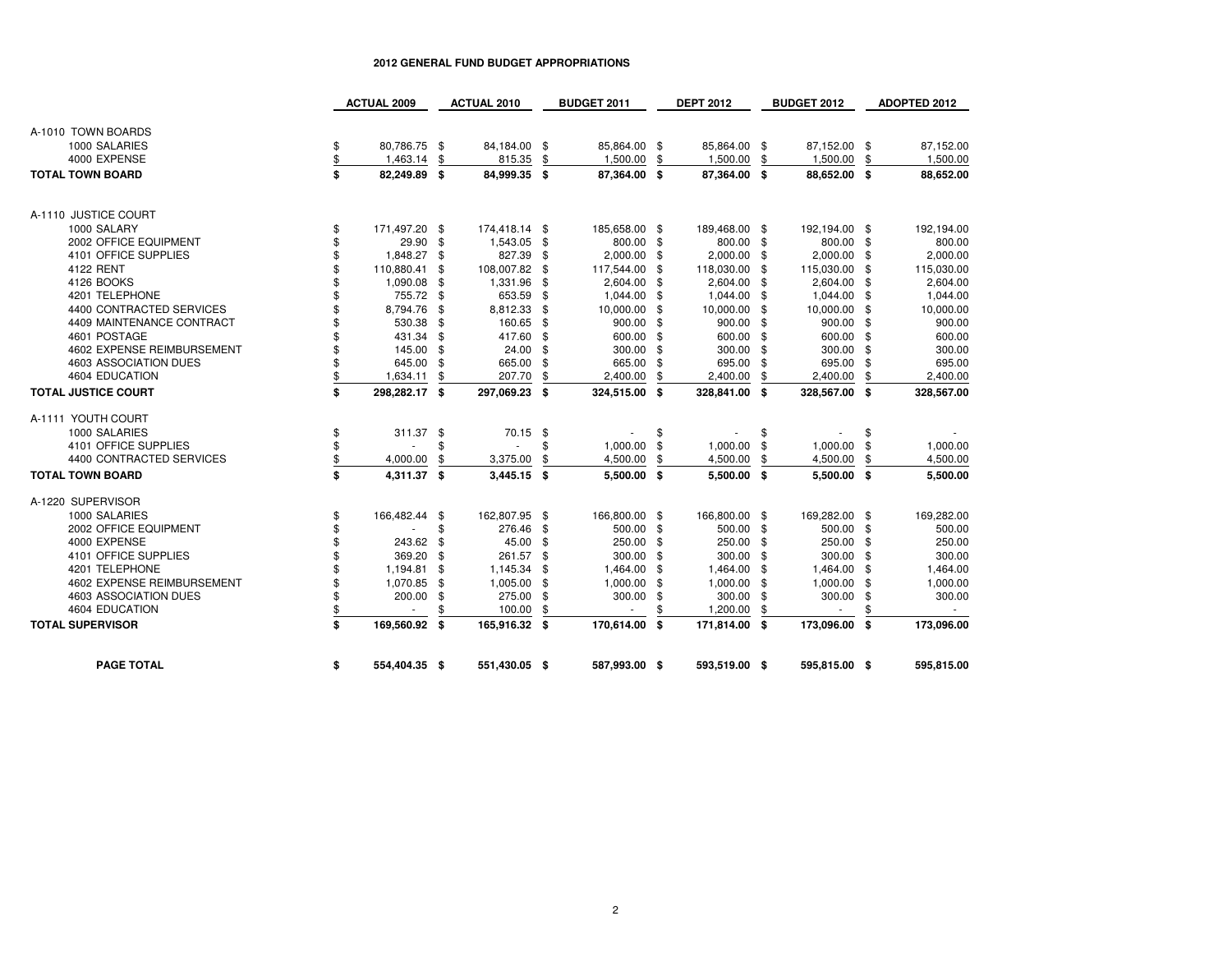|                                              |                                                                                                                                     | <b>ACTUAL 2010</b>                                                                                                                                                                                                                        |                                                                                                                                | BUDGET 2011                                                                                                                                                                                                          |                                                                                                          | <b>DEPT 2012</b>                                                                                                                                                                                                                              |                      | <b>BUDGET 2012</b>                                                                                                                                                                                                                                                                                                                                                                                    |          | ADOPTED 2012                                                                                                                                                                                                                                                                                                                                                                           |
|----------------------------------------------|-------------------------------------------------------------------------------------------------------------------------------------|-------------------------------------------------------------------------------------------------------------------------------------------------------------------------------------------------------------------------------------------|--------------------------------------------------------------------------------------------------------------------------------|----------------------------------------------------------------------------------------------------------------------------------------------------------------------------------------------------------------------|----------------------------------------------------------------------------------------------------------|-----------------------------------------------------------------------------------------------------------------------------------------------------------------------------------------------------------------------------------------------|----------------------|-------------------------------------------------------------------------------------------------------------------------------------------------------------------------------------------------------------------------------------------------------------------------------------------------------------------------------------------------------------------------------------------------------|----------|----------------------------------------------------------------------------------------------------------------------------------------------------------------------------------------------------------------------------------------------------------------------------------------------------------------------------------------------------------------------------------------|
|                                              |                                                                                                                                     |                                                                                                                                                                                                                                           |                                                                                                                                |                                                                                                                                                                                                                      |                                                                                                          |                                                                                                                                                                                                                                               |                      |                                                                                                                                                                                                                                                                                                                                                                                                       |          |                                                                                                                                                                                                                                                                                                                                                                                        |
|                                              |                                                                                                                                     |                                                                                                                                                                                                                                           |                                                                                                                                |                                                                                                                                                                                                                      |                                                                                                          |                                                                                                                                                                                                                                               |                      |                                                                                                                                                                                                                                                                                                                                                                                                       |          |                                                                                                                                                                                                                                                                                                                                                                                        |
| \$                                           |                                                                                                                                     |                                                                                                                                                                                                                                           |                                                                                                                                |                                                                                                                                                                                                                      |                                                                                                          |                                                                                                                                                                                                                                               |                      |                                                                                                                                                                                                                                                                                                                                                                                                       |          | 87,152.00                                                                                                                                                                                                                                                                                                                                                                              |
| 1,463.14                                     | \$                                                                                                                                  | 815.35                                                                                                                                                                                                                                    | \$                                                                                                                             | 1,500.00                                                                                                                                                                                                             | \$                                                                                                       |                                                                                                                                                                                                                                               | \$                   | 1,500.00                                                                                                                                                                                                                                                                                                                                                                                              | \$       | 1,500.00                                                                                                                                                                                                                                                                                                                                                                               |
| \$                                           | \$                                                                                                                                  |                                                                                                                                                                                                                                           | \$                                                                                                                             |                                                                                                                                                                                                                      |                                                                                                          |                                                                                                                                                                                                                                               |                      |                                                                                                                                                                                                                                                                                                                                                                                                       |          | 88,652.00                                                                                                                                                                                                                                                                                                                                                                              |
|                                              |                                                                                                                                     |                                                                                                                                                                                                                                           |                                                                                                                                |                                                                                                                                                                                                                      |                                                                                                          |                                                                                                                                                                                                                                               |                      |                                                                                                                                                                                                                                                                                                                                                                                                       |          |                                                                                                                                                                                                                                                                                                                                                                                        |
|                                              |                                                                                                                                     |                                                                                                                                                                                                                                           |                                                                                                                                |                                                                                                                                                                                                                      |                                                                                                          |                                                                                                                                                                                                                                               |                      |                                                                                                                                                                                                                                                                                                                                                                                                       |          |                                                                                                                                                                                                                                                                                                                                                                                        |
| \$                                           |                                                                                                                                     |                                                                                                                                                                                                                                           |                                                                                                                                |                                                                                                                                                                                                                      |                                                                                                          |                                                                                                                                                                                                                                               |                      |                                                                                                                                                                                                                                                                                                                                                                                                       |          | 192,194.00                                                                                                                                                                                                                                                                                                                                                                             |
| \$                                           | \$                                                                                                                                  | 1,543.05                                                                                                                                                                                                                                  | \$                                                                                                                             |                                                                                                                                                                                                                      |                                                                                                          |                                                                                                                                                                                                                                               |                      |                                                                                                                                                                                                                                                                                                                                                                                                       |          | 800.00                                                                                                                                                                                                                                                                                                                                                                                 |
| \$<br>1,848.27                               | -\$                                                                                                                                 | 827.39                                                                                                                                                                                                                                    | \$                                                                                                                             | 2,000.00                                                                                                                                                                                                             | \$                                                                                                       |                                                                                                                                                                                                                                               |                      |                                                                                                                                                                                                                                                                                                                                                                                                       |          | 2,000.00                                                                                                                                                                                                                                                                                                                                                                               |
| \$                                           | -\$                                                                                                                                 | 108,007.82                                                                                                                                                                                                                                | \$                                                                                                                             | 117,544.00                                                                                                                                                                                                           | -\$                                                                                                      |                                                                                                                                                                                                                                               |                      |                                                                                                                                                                                                                                                                                                                                                                                                       |          | 115,030.00                                                                                                                                                                                                                                                                                                                                                                             |
|                                              |                                                                                                                                     |                                                                                                                                                                                                                                           |                                                                                                                                |                                                                                                                                                                                                                      | - \$                                                                                                     |                                                                                                                                                                                                                                               |                      |                                                                                                                                                                                                                                                                                                                                                                                                       |          | 2,604.00                                                                                                                                                                                                                                                                                                                                                                               |
| \$<br>755.72                                 | - \$                                                                                                                                | 653.59                                                                                                                                                                                                                                    | \$                                                                                                                             |                                                                                                                                                                                                                      | - \$                                                                                                     |                                                                                                                                                                                                                                               |                      |                                                                                                                                                                                                                                                                                                                                                                                                       |          | 1,044.00                                                                                                                                                                                                                                                                                                                                                                               |
|                                              |                                                                                                                                     |                                                                                                                                                                                                                                           |                                                                                                                                |                                                                                                                                                                                                                      |                                                                                                          |                                                                                                                                                                                                                                               |                      |                                                                                                                                                                                                                                                                                                                                                                                                       |          | 10,000.00                                                                                                                                                                                                                                                                                                                                                                              |
|                                              | \$                                                                                                                                  |                                                                                                                                                                                                                                           |                                                                                                                                |                                                                                                                                                                                                                      | -\$                                                                                                      |                                                                                                                                                                                                                                               |                      |                                                                                                                                                                                                                                                                                                                                                                                                       |          | 900.00                                                                                                                                                                                                                                                                                                                                                                                 |
| \$<br>431.34                                 |                                                                                                                                     |                                                                                                                                                                                                                                           | \$                                                                                                                             |                                                                                                                                                                                                                      | -\$                                                                                                      |                                                                                                                                                                                                                                               |                      |                                                                                                                                                                                                                                                                                                                                                                                                       |          | 600.00                                                                                                                                                                                                                                                                                                                                                                                 |
| \$                                           |                                                                                                                                     |                                                                                                                                                                                                                                           | \$                                                                                                                             |                                                                                                                                                                                                                      | -\$                                                                                                      |                                                                                                                                                                                                                                               |                      |                                                                                                                                                                                                                                                                                                                                                                                                       |          | 300.00                                                                                                                                                                                                                                                                                                                                                                                 |
| \$                                           |                                                                                                                                     |                                                                                                                                                                                                                                           |                                                                                                                                |                                                                                                                                                                                                                      |                                                                                                          |                                                                                                                                                                                                                                               |                      |                                                                                                                                                                                                                                                                                                                                                                                                       |          | 695.00                                                                                                                                                                                                                                                                                                                                                                                 |
|                                              |                                                                                                                                     |                                                                                                                                                                                                                                           |                                                                                                                                |                                                                                                                                                                                                                      | \$                                                                                                       |                                                                                                                                                                                                                                               |                      |                                                                                                                                                                                                                                                                                                                                                                                                       |          | 2,400.00                                                                                                                                                                                                                                                                                                                                                                               |
| \$                                           |                                                                                                                                     |                                                                                                                                                                                                                                           | S.                                                                                                                             |                                                                                                                                                                                                                      | - \$                                                                                                     |                                                                                                                                                                                                                                               |                      |                                                                                                                                                                                                                                                                                                                                                                                                       |          | 328,567.00                                                                                                                                                                                                                                                                                                                                                                             |
|                                              |                                                                                                                                     |                                                                                                                                                                                                                                           |                                                                                                                                |                                                                                                                                                                                                                      |                                                                                                          |                                                                                                                                                                                                                                               |                      |                                                                                                                                                                                                                                                                                                                                                                                                       |          |                                                                                                                                                                                                                                                                                                                                                                                        |
|                                              |                                                                                                                                     |                                                                                                                                                                                                                                           |                                                                                                                                |                                                                                                                                                                                                                      |                                                                                                          |                                                                                                                                                                                                                                               |                      |                                                                                                                                                                                                                                                                                                                                                                                                       |          |                                                                                                                                                                                                                                                                                                                                                                                        |
| \$                                           |                                                                                                                                     |                                                                                                                                                                                                                                           | \$                                                                                                                             |                                                                                                                                                                                                                      | \$                                                                                                       |                                                                                                                                                                                                                                               | \$                   |                                                                                                                                                                                                                                                                                                                                                                                                       | \$       |                                                                                                                                                                                                                                                                                                                                                                                        |
| \$                                           | \$                                                                                                                                  |                                                                                                                                                                                                                                           | \$                                                                                                                             | 1,000.00                                                                                                                                                                                                             | \$                                                                                                       |                                                                                                                                                                                                                                               | \$                   |                                                                                                                                                                                                                                                                                                                                                                                                       | \$       | 1,000.00                                                                                                                                                                                                                                                                                                                                                                               |
| \$<br>4,000.00                               | \$                                                                                                                                  | 3,375.00                                                                                                                                                                                                                                  | \$                                                                                                                             | 4,500.00                                                                                                                                                                                                             | \$                                                                                                       | 4,500.00                                                                                                                                                                                                                                      | \$                   | 4,500.00                                                                                                                                                                                                                                                                                                                                                                                              | \$       | 4,500.00                                                                                                                                                                                                                                                                                                                                                                               |
| \$                                           |                                                                                                                                     |                                                                                                                                                                                                                                           |                                                                                                                                |                                                                                                                                                                                                                      |                                                                                                          |                                                                                                                                                                                                                                               |                      |                                                                                                                                                                                                                                                                                                                                                                                                       |          | 5,500.00                                                                                                                                                                                                                                                                                                                                                                               |
|                                              |                                                                                                                                     |                                                                                                                                                                                                                                           |                                                                                                                                |                                                                                                                                                                                                                      |                                                                                                          |                                                                                                                                                                                                                                               |                      |                                                                                                                                                                                                                                                                                                                                                                                                       |          |                                                                                                                                                                                                                                                                                                                                                                                        |
| \$                                           |                                                                                                                                     |                                                                                                                                                                                                                                           |                                                                                                                                |                                                                                                                                                                                                                      |                                                                                                          |                                                                                                                                                                                                                                               |                      |                                                                                                                                                                                                                                                                                                                                                                                                       |          | 169,282.00                                                                                                                                                                                                                                                                                                                                                                             |
|                                              |                                                                                                                                     |                                                                                                                                                                                                                                           | \$                                                                                                                             |                                                                                                                                                                                                                      |                                                                                                          |                                                                                                                                                                                                                                               |                      |                                                                                                                                                                                                                                                                                                                                                                                                       |          | 500.00                                                                                                                                                                                                                                                                                                                                                                                 |
|                                              |                                                                                                                                     |                                                                                                                                                                                                                                           |                                                                                                                                |                                                                                                                                                                                                                      |                                                                                                          |                                                                                                                                                                                                                                               |                      |                                                                                                                                                                                                                                                                                                                                                                                                       |          | 250.00                                                                                                                                                                                                                                                                                                                                                                                 |
|                                              | \$                                                                                                                                  |                                                                                                                                                                                                                                           |                                                                                                                                |                                                                                                                                                                                                                      |                                                                                                          |                                                                                                                                                                                                                                               |                      |                                                                                                                                                                                                                                                                                                                                                                                                       |          | 300.00                                                                                                                                                                                                                                                                                                                                                                                 |
|                                              | \$                                                                                                                                  |                                                                                                                                                                                                                                           | \$                                                                                                                             |                                                                                                                                                                                                                      | -\$                                                                                                      |                                                                                                                                                                                                                                               |                      |                                                                                                                                                                                                                                                                                                                                                                                                       |          | 1,464.00                                                                                                                                                                                                                                                                                                                                                                               |
| \$                                           |                                                                                                                                     |                                                                                                                                                                                                                                           |                                                                                                                                |                                                                                                                                                                                                                      |                                                                                                          |                                                                                                                                                                                                                                               |                      |                                                                                                                                                                                                                                                                                                                                                                                                       |          | 1,000.00                                                                                                                                                                                                                                                                                                                                                                               |
| \$                                           |                                                                                                                                     |                                                                                                                                                                                                                                           |                                                                                                                                |                                                                                                                                                                                                                      |                                                                                                          |                                                                                                                                                                                                                                               |                      |                                                                                                                                                                                                                                                                                                                                                                                                       |          | 300.00                                                                                                                                                                                                                                                                                                                                                                                 |
|                                              |                                                                                                                                     |                                                                                                                                                                                                                                           |                                                                                                                                |                                                                                                                                                                                                                      |                                                                                                          |                                                                                                                                                                                                                                               |                      | $\sim$                                                                                                                                                                                                                                                                                                                                                                                                | \$       |                                                                                                                                                                                                                                                                                                                                                                                        |
|                                              |                                                                                                                                     |                                                                                                                                                                                                                                           |                                                                                                                                |                                                                                                                                                                                                                      |                                                                                                          |                                                                                                                                                                                                                                               |                      |                                                                                                                                                                                                                                                                                                                                                                                                       |          | 173,096.00                                                                                                                                                                                                                                                                                                                                                                             |
|                                              |                                                                                                                                     |                                                                                                                                                                                                                                           |                                                                                                                                |                                                                                                                                                                                                                      |                                                                                                          |                                                                                                                                                                                                                                               |                      |                                                                                                                                                                                                                                                                                                                                                                                                       |          |                                                                                                                                                                                                                                                                                                                                                                                        |
| \$                                           |                                                                                                                                     |                                                                                                                                                                                                                                           |                                                                                                                                |                                                                                                                                                                                                                      |                                                                                                          |                                                                                                                                                                                                                                               |                      |                                                                                                                                                                                                                                                                                                                                                                                                       |          | 595,815.00                                                                                                                                                                                                                                                                                                                                                                             |
| \$<br>\$<br>\$<br>\$<br>\$<br>\$<br>\$<br>\$ | <b>ACTUAL 2009</b><br>29.90<br>110,880.41<br>1,090.08<br>8,794.76<br>530.38<br>1,634.11<br>243.62<br>369.20<br>1,194.81<br>1,070.85 | 80,786.75 \$<br>82,249.89<br>171,497.20 \$<br>\$<br>-\$<br><b>S</b><br>145.00 \$<br>645.00 \$<br>\$<br>298,282.17 \$<br>311.37 \$<br>4,311.37 \$<br>166,482.44 \$<br>\$<br>\$<br>-\$<br>200.00 \$<br>\$<br>169,560.92 \$<br>554,404.35 \$ | 1,331.96<br>8,812.33<br>160.65<br>417.60<br>24.00<br>207.70<br>297,069.23<br>276.46<br>45.00<br>1,145.34<br>1,005.00<br>100.00 | 84,184.00 \$<br>84,999.35<br>174,418.14 \$<br>\$<br>\$<br>\$<br>665.00<br>\$<br>\$<br>70.15<br>$3.445.15$ \$<br>162,807.95 \$<br>\$<br>261.57<br>\$<br>\$<br>275.00<br>\$<br>\$<br>165,916.32<br>\$<br>551,430.05 \$ | 1,044.00<br>600.00<br>300.00<br>665.00<br>2,400.00<br>250.00<br>300.00<br>1,464.00<br>1,000.00<br>300.00 | 85,864.00 \$<br>87,364.00 \$<br>185,658.00 \$<br>800.00 \$<br>2,604.00<br>10,000.00<br>-\$<br>900.00<br>-\$<br>324,515.00<br>5,500.00 \$<br>166,800.00 \$<br>500.00 \$<br>-\$<br>-\$<br>-\$<br>-\$<br>\$<br>170,614.00<br>\$<br>587,993.00 \$ | 2,400.00<br>1,200.00 | 85,864.00 \$<br>1,500.00<br>87,364.00 \$<br>189,468.00 \$<br>800.00 \$<br>2,000.00 \$<br>118,030.00 \$<br>2,604.00 \$<br>1,044.00 \$<br>10,000.00 \$<br>900.00 \$<br>600.00 \$<br>300.00 \$<br>695.00 \$<br>\$<br>328,841.00 \$<br>1,000.00<br>5,500.00 \$<br>166,800.00 \$<br>500.00 \$<br>250.00 \$<br>300.00 \$<br>1,464.00 \$<br>1,000.00 \$<br>300.00 \$<br>\$<br>171,814.00 \$<br>593,519.00 \$ | 2,400.00 | 87,152.00 \$<br>88,652.00 \$<br>192,194.00 \$<br>800.00 \$<br>2,000.00 \$<br>115,030.00 \$<br>2,604.00 \$<br>1,044.00 \$<br>10,000.00 \$<br>900.00 \$<br>600.00 \$<br>300.00 \$<br>695.00 \$<br>\$<br>328,567.00 \$<br>1,000.00<br>5,500.00 \$<br>169,282.00 \$<br>500.00 \$<br>250.00 \$<br>300.00 \$<br>1,464.00 \$<br>1,000.00 \$<br>300.00<br>\$<br>173,096.00 \$<br>595,815.00 \$ |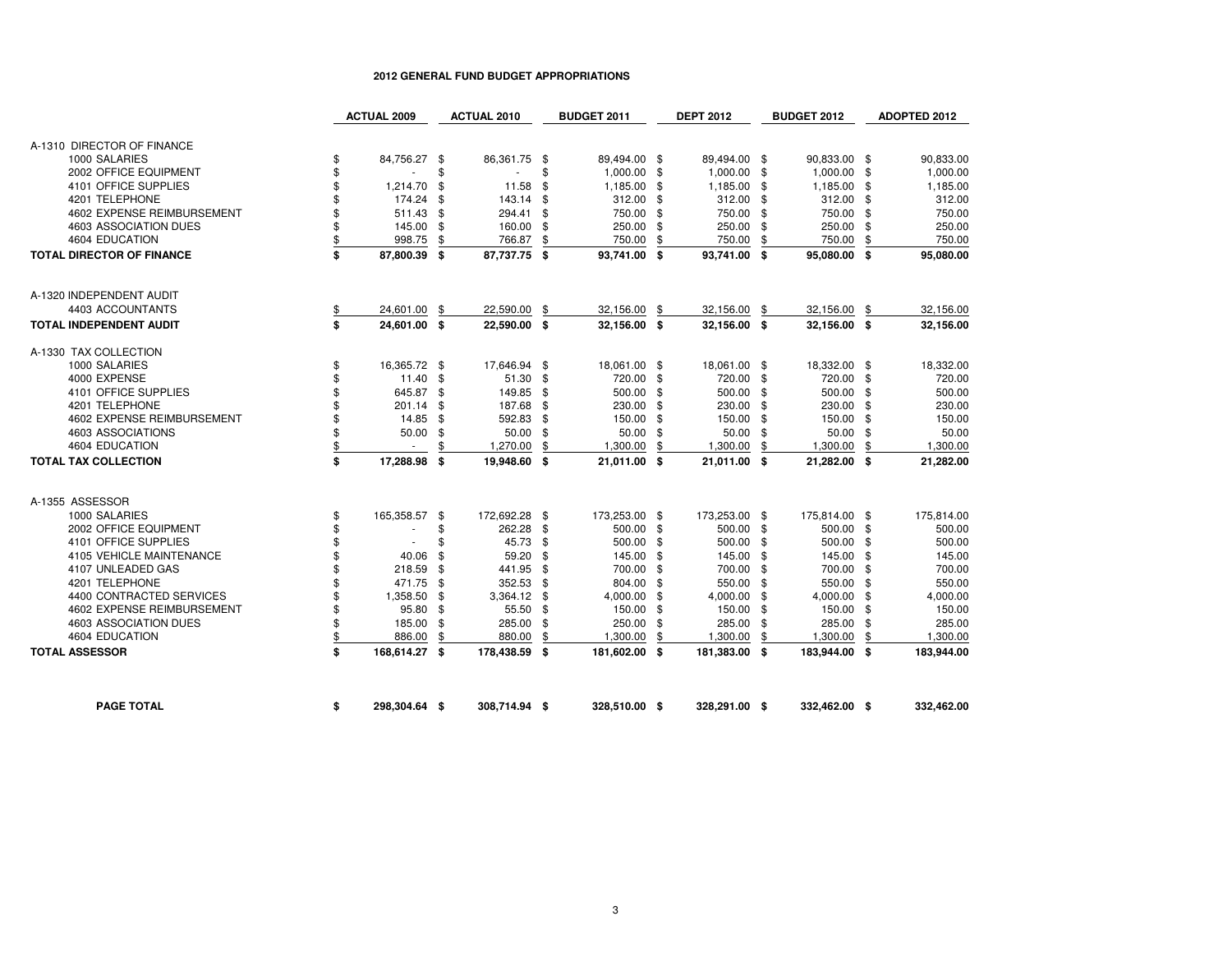|                                  | <b>ACTUAL 2009</b>  |     | <b>ACTUAL 2010</b> |      | <b>BUDGET 2011</b> |     | <b>DEPT 2012</b> |     | <b>BUDGET 2012</b> | ADOPTED 2012   |
|----------------------------------|---------------------|-----|--------------------|------|--------------------|-----|------------------|-----|--------------------|----------------|
|                                  |                     |     |                    |      |                    |     |                  |     |                    |                |
| A-1310 DIRECTOR OF FINANCE       |                     |     |                    |      |                    |     |                  |     |                    |                |
| 1000 SALARIES                    | \$<br>84,756.27 \$  |     | 86,361.75          | \$   | 89,494.00 \$       |     | 89,494.00 \$     |     | 90,833.00 \$       | 90,833.00      |
| 2002 OFFICE EQUIPMENT            | \$                  | \$  | $\sim$             | \$   | 1,000.00 \$        |     | 1,000.00 \$      |     | 1,000.00 \$        | 1,000.00       |
| 4101 OFFICE SUPPLIES             | \$<br>1,214.70      | \$  | 11.58              | \$   | 1,185.00 \$        |     | 1,185.00 \$      |     | 1,185.00 \$        | 1,185.00       |
| 4201 TELEPHONE                   | \$<br>174.24 \$     |     | 143.14             | -\$  | $312.00$ \$        |     | 312.00 \$        |     | 312.00 \$          | 312.00         |
| 4602 EXPENSE REIMBURSEMENT       | \$<br>511.43        | \$  | 294.41             | \$   | 750.00 \$          |     | 750.00 \$        |     | 750.00 \$          | 750.00         |
| 4603 ASSOCIATION DUES            | \$<br>145.00 \$     |     | 160.00             | \$   | 250.00 \$          |     | 250.00 \$        |     | 250.00 \$          | 250.00         |
| 4604 EDUCATION                   | \$<br>998.75        | \$  | 766.87             | \$   | 750.00             | \$  | 750.00           | \$  | 750.00             | \$<br>750.00   |
| <b>TOTAL DIRECTOR OF FINANCE</b> | \$<br>87,800.39 \$  |     | 87,737.75          | - \$ | 93,741.00 \$       |     | 93,741.00 \$     |     | 95,080.00 \$       | 95,080.00      |
| A-1320 INDEPENDENT AUDIT         |                     |     |                    |      |                    |     |                  |     |                    |                |
| 4403 ACCOUNTANTS                 | \$<br>24,601.00     | \$  | 22,590.00          | \$   | 32,156.00 \$       |     | 32,156.00 \$     |     | 32,156.00 \$       | 32,156.00      |
| TOTAL INDEPENDENT AUDIT          | \$<br>24,601.00 \$  |     | 22,590.00 \$       |      | 32,156.00 \$       |     | 32,156.00 \$     |     | 32,156.00 \$       | 32,156.00      |
| A-1330 TAX COLLECTION            |                     |     |                    |      |                    |     |                  |     |                    |                |
| 1000 SALARIES                    | \$<br>16,365.72 \$  |     | 17,646.94 \$       |      | 18,061.00 \$       |     | 18,061.00 \$     |     | 18,332.00 \$       | 18,332.00      |
| 4000 EXPENSE                     | \$<br>$11.40$ \$    |     | 51.30              | \$   | 720.00 \$          |     | 720.00 \$        |     | 720.00 \$          | 720.00         |
| 4101 OFFICE SUPPLIES             | \$<br>645.87 \$     |     | 149.85             | -\$  | 500.00 \$          |     | 500.00 \$        |     | 500.00 \$          | 500.00         |
| 4201 TELEPHONE                   | \$<br>201.14        | -\$ | 187.68             | \$   | 230.00 \$          |     | 230.00 \$        |     | 230.00 \$          | 230.00         |
| 4602 EXPENSE REIMBURSEMENT       | \$<br>14.85         | -\$ | 592.83             | \$   | 150.00 \$          |     | 150.00 \$        |     | 150.00 \$          | 150.00         |
| 4603 ASSOCIATIONS                | \$<br>50.00         | \$  | 50.00              | -\$  | 50.00 \$           |     | 50.00 \$         |     | $50.00$ \$         | 50.00          |
| 4604 EDUCATION                   | \$<br>$\sim$        | \$  | 1,270.00           | \$   | 1,300.00           | \$  | 1,300.00         | \$  | 1,300.00           | \$<br>1,300.00 |
| <b>TOTAL TAX COLLECTION</b>      | \$<br>17,288.98     | S.  | 19,948.60          | S.   | 21,011.00 \$       |     | 21,011.00 \$     |     | 21,282.00 \$       | 21,282.00      |
| A-1355 ASSESSOR                  |                     |     |                    |      |                    |     |                  |     |                    |                |
| 1000 SALARIES                    | \$<br>165,358.57 \$ |     | 172,692.28 \$      |      | 173,253.00 \$      |     | 173,253.00 \$    |     | 175,814.00 \$      | 175,814.00     |
| 2002 OFFICE EQUIPMENT            | \$                  | \$  | 262.28             | -\$  | 500.00 \$          |     | 500.00 \$        |     | 500.00 \$          | 500.00         |
| 4101 OFFICE SUPPLIES             | \$                  | \$  | 45.73              | \$   | 500.00             | -\$ | 500.00 \$        |     | 500.00 \$          | 500.00         |
| 4105 VEHICLE MAINTENANCE         | \$<br>40.06         | \$  | 59.20              | \$   | 145.00 \$          |     | 145.00 \$        |     | 145.00 \$          | 145.00         |
| 4107 UNLEADED GAS                | \$<br>218.59        | -\$ | 441.95             | -\$  | 700.00 \$          |     | 700.00 \$        |     | 700.00 \$          | 700.00         |
| 4201 TELEPHONE                   | \$<br>471.75        | \$  | 352.53             | -\$  | 804.00 \$          |     | 550.00 \$        |     | 550.00 \$          | 550.00         |
| 4400 CONTRACTED SERVICES         | \$<br>1,358.50      | -\$ | 3,364.12           | - \$ | 4,000.00 \$        |     | 4,000.00 \$      |     | 4,000.00 \$        | 4,000.00       |
| 4602 EXPENSE REIMBURSEMENT       | \$<br>95.80 \$      |     | 55.50              | \$   | 150.00 \$          |     | 150.00 \$        |     | 150.00 \$          | 150.00         |
| 4603 ASSOCIATION DUES            | \$<br>185.00        | \$  | 285.00             | \$   | 250.00             | \$  | 285.00 \$        |     | 285.00 \$          | 285.00         |
| 4604 EDUCATION                   | \$<br>886.00        | \$  | 880.00             | \$   | 1,300.00           | \$  | 1,300.00         | -\$ | 1,300.00           | \$<br>1,300.00 |
| <b>TOTAL ASSESSOR</b>            | \$<br>168,614.27 \$ |     | 178,438.59 \$      |      | 181,602.00 \$      |     | 181,383.00 \$    |     | 183,944.00 \$      | 183,944.00     |
|                                  |                     |     |                    |      |                    |     |                  |     |                    |                |
| <b>PAGE TOTAL</b>                | \$<br>298,304.64 \$ |     | 308,714.94 \$      |      | 328,510.00 \$      |     | 328,291.00 \$    |     | 332.462.00 \$      | 332.462.00     |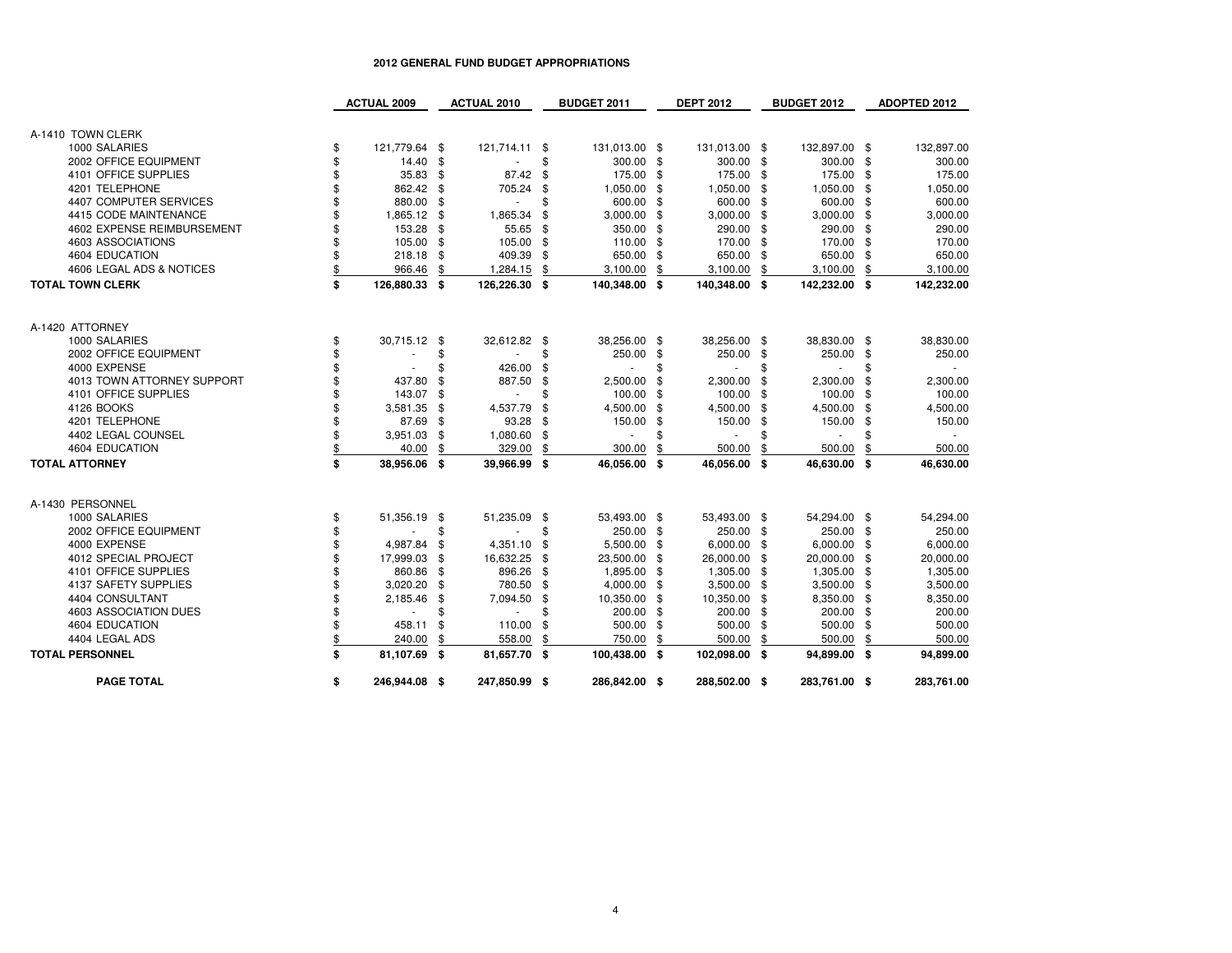|                            | <b>ACTUAL 2009</b>  |      | <b>ACTUAL 2010</b> |      | <b>BUDGET 2011</b> |     | <b>DEPT 2012</b> |                | <b>BUDGET 2012</b> |      | <b>ADOPTED 2012</b> |
|----------------------------|---------------------|------|--------------------|------|--------------------|-----|------------------|----------------|--------------------|------|---------------------|
|                            |                     |      |                    |      |                    |     |                  |                |                    |      |                     |
| A-1410 TOWN CLERK          |                     |      |                    |      |                    |     |                  |                |                    |      |                     |
| 1000 SALARIES              | \$<br>121,779.64 \$ |      | 121,714.11 \$      |      | 131,013.00 \$      |     | 131,013.00 \$    |                | 132,897.00 \$      |      | 132,897.00          |
| 2002 OFFICE EQUIPMENT      | \$<br>14.40 \$      |      | $\sim$             | \$   | 300.00 \$          |     | 300.00 \$        |                | 300.00 \$          |      | 300.00              |
| 4101 OFFICE SUPPLIES       | 35.83               | \$   | 87.42 \$           |      | 175.00 \$          |     | 175.00 \$        |                | 175.00 \$          |      | 175.00              |
| 4201 TELEPHONE             | 862.42              | -\$  | 705.24             | \$   | 1,050.00 \$        |     | 1,050.00 \$      |                | 1,050.00 \$        |      | 1.050.00            |
| 4407 COMPUTER SERVICES     | 880.00              | -\$  | ×.                 |      | 600.00 \$          |     | 600.00 \$        |                | 600.00 \$          |      | 600.00              |
| 4415 CODE MAINTENANCE      | 1,865.12            | - \$ | 1,865.34           | \$   | $3,000.00$ \$      |     | $3,000.00$ \$    |                | $3,000.00$ \$      |      | 3,000.00            |
| 4602 EXPENSE REIMBURSEMENT | 153.28              | \$   | 55.65 \$           |      | 350.00 \$          |     | 290.00 \$        |                | 290.00 \$          |      | 290.00              |
| 4603 ASSOCIATIONS          | 105.00              | -\$  | 105.00             | -\$  | 110.00 \$          |     | 170.00 \$        |                | 170.00 \$          |      | 170.00              |
| 4604 EDUCATION             | 218.18              | \$   | 409.39             | -\$  | 650.00 \$          |     | 650.00 \$        |                | 650.00 \$          |      | 650.00              |
| 4606 LEGAL ADS & NOTICES   | 966.46              | \$   | 1,284.15           | \$   | 3,100.00           | \$  | 3,100.00         | \$             | 3,100.00           | \$   | 3,100.00            |
| <b>TOTAL TOWN CLERK</b>    | \$<br>126,880.33    | - \$ | 126,226.30         | - \$ | 140,348.00 \$      |     | 140,348.00 \$    |                | 142,232.00 \$      |      | 142,232.00          |
| A-1420 ATTORNEY            |                     |      |                    |      |                    |     |                  |                |                    |      |                     |
| 1000 SALARIES              | \$<br>30,715.12     | -\$  | 32,612.82 \$       |      | 38,256.00 \$       |     | 38,256.00 \$     |                | 38,830.00 \$       |      | 38,830.00           |
| 2002 OFFICE EQUIPMENT      |                     | \$   |                    | \$   | 250.00 \$          |     | 250.00           | - \$           | 250.00 \$          |      | 250.00              |
| 4000 EXPENSE               |                     | \$   | 426.00             | \$   | ٠                  | £.  | $\sim$           | \$             | $\sim$             | \$   |                     |
| 4013 TOWN ATTORNEY SUPPORT | 437.80              | \$   | 887.50             | \$   | 2,500.00           | -\$ | 2,300.00         | $\mathfrak{s}$ | 2,300.00           | \$   | 2,300.00            |
| 4101 OFFICE SUPPLIES       | 143.07              | \$   |                    |      | 100.00             | -\$ | 100.00           | -\$            | 100.00 \$          |      | 100.00              |
| 4126 BOOKS                 | 3,581.35            | \$   | 4,537.79           | \$   | 4,500.00 \$        |     | 4,500.00         | -\$            | 4,500.00           | \$   | 4,500.00            |
| 4201 TELEPHONE             | 87.69               | -\$  | 93.28              | \$   | 150.00 \$          |     | 150.00           | \$             | 150.00 \$          |      | 150.00              |
| 4402 LEGAL COUNSEL         | 3,951.03            | \$   | 1,080.60           | \$   | $\sim$             | S   | ×.               | \$             | $\sim$             | \$   |                     |
| 4604 EDUCATION             | 40.00               | \$   | 329.00             | \$   | 300.00             |     | 500.00           |                | 500.00             |      | 500.00              |
| <b>TOTAL ATTORNEY</b>      | \$<br>38,956.06     | S.   | 39,966.99          | \$   | 46,056.00          | \$  | 46,056.00        | - \$           | 46,630.00          | - \$ | 46,630.00           |
|                            |                     |      |                    |      |                    |     |                  |                |                    |      |                     |
| A-1430 PERSONNEL           |                     |      |                    |      |                    |     |                  |                |                    |      |                     |
| 1000 SALARIES              | \$<br>51,356.19     | - \$ | 51,235.09 \$       |      | 53,493.00 \$       |     | 53,493.00 \$     |                | 54,294.00 \$       |      | 54,294.00           |
| 2002 OFFICE EQUIPMENT      |                     | \$   | ÷,                 | \$   | 250.00 \$          |     | 250.00 \$        |                | 250.00 \$          |      | 250.00              |
| 4000 EXPENSE               | 4,987.84            | \$   | 4,351.10           | -\$  | 5,500.00 \$        |     | $6,000.00$ \$    |                | $6,000.00$ \$      |      | 6,000.00            |
| 4012 SPECIAL PROJECT       | 17,999.03           | \$   | 16,632.25          | -\$  | 23,500.00 \$       |     | 26,000.00 \$     |                | 20,000.00 \$       |      | 20,000.00           |
| 4101 OFFICE SUPPLIES       | 860.86              | -\$  | 896.26 \$          |      | 1,895.00 \$        |     | 1,305.00 \$      |                | 1,305.00 \$        |      | 1,305.00            |
| 4137 SAFETY SUPPLIES       | 3,020.20            | \$   | 780.50 \$          |      | 4,000.00 \$        |     | $3,500.00$ \$    |                | $3,500.00$ \$      |      | 3,500.00            |
| 4404 CONSULTANT            | 2,185.46            | \$   | 7,094.50           | \$   | 10,350.00 \$       |     | 10,350.00 \$     |                | 8,350.00 \$        |      | 8,350.00            |
| 4603 ASSOCIATION DUES      | ٠                   |      | $\sim$             |      | 200.00 \$          |     | 200.00 \$        |                | 200.00 \$          |      | 200.00              |
| 4604 EDUCATION             | 458.11              | \$   | 110.00             | \$   | 500.00 \$          |     | 500.00 \$        |                | 500.00 \$          |      | 500.00              |
| 4404 LEGAL ADS             | 240.00              | \$   | 558.00             | \$   | 750.00             | \$  | 500.00           | \$             | 500.00             | S    | 500.00              |
| <b>TOTAL PERSONNEL</b>     | \$<br>81,107.69     | - \$ | 81,657.70          | - \$ | 100,438.00 \$      |     | 102,098.00 \$    |                | 94,899.00 \$       |      | 94,899.00           |
| <b>PAGE TOTAL</b>          | \$<br>246.944.08 \$ |      | 247,850.99 \$      |      | 286,842.00 \$      |     | 288,502.00 \$    |                | 283,761.00 \$      |      | 283,761.00          |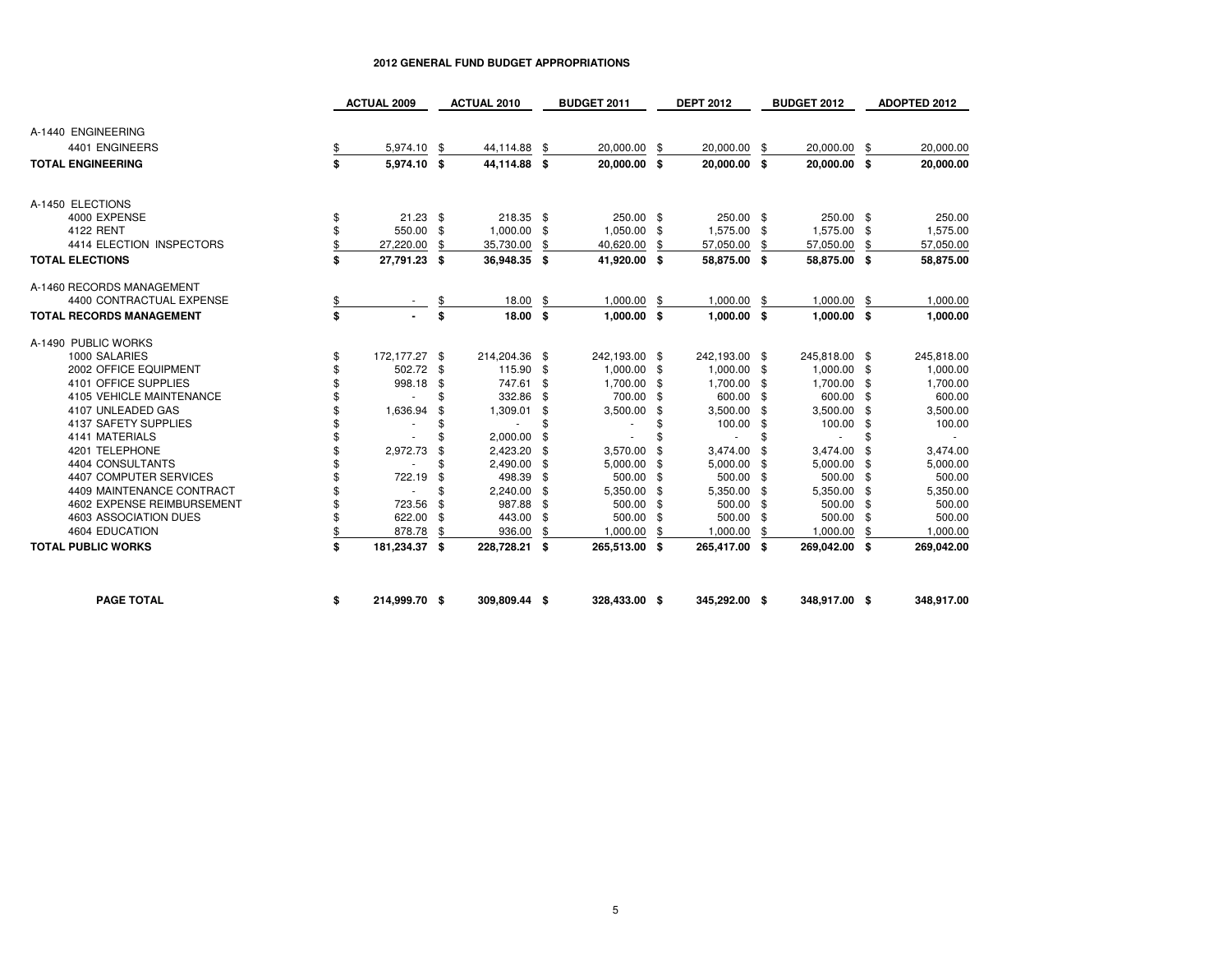|                                 | <b>ACTUAL 2009</b>  |      | <b>ACTUAL 2010</b> |     | BUDGET 2011   |      | <b>DEPT 2012</b> |     | <b>BUDGET 2012</b>       |      | ADOPTED 2012 |
|---------------------------------|---------------------|------|--------------------|-----|---------------|------|------------------|-----|--------------------------|------|--------------|
| A-1440 ENGINEERING              |                     |      |                    |     |               |      |                  |     |                          |      |              |
| 4401 ENGINEERS                  | 5,974.10            | \$   | 44,114.88          | \$  | 20,000.00     | -\$  | 20,000.00        | -\$ | 20,000.00                | -\$  | 20,000.00    |
| <b>TOTAL ENGINEERING</b>        | \$<br>5,974.10      | - \$ | 44,114.88          | \$  | 20,000.00 \$  |      | 20,000.00 \$     |     | 20,000.00 \$             |      | 20,000.00    |
|                                 |                     |      |                    |     |               |      |                  |     |                          |      |              |
| A-1450 ELECTIONS                |                     |      |                    |     |               |      |                  |     |                          |      |              |
| 4000 EXPENSE                    | \$<br>$21.23$ \$    |      | 218.35 \$          |     | 250.00 \$     |      | 250.00 \$        |     | 250.00 \$                |      | 250.00       |
| 4122 RENT                       | \$<br>550.00        | \$   | 1,000.00           | \$  | 1,050.00      | -\$  | 1,575.00 \$      |     | 1,575.00 \$              |      | 1,575.00     |
| 4414 ELECTION INSPECTORS        | \$<br>27,220.00     | \$   | 35,730.00          | \$  | 40,620.00     | \$   | 57,050.00        | \$  | 57,050.00                | \$   | 57,050.00    |
| <b>TOTAL ELECTIONS</b>          | \$<br>27,791.23 \$  |      | 36,948.35 \$       |     | 41,920.00 \$  |      | 58,875.00 \$     |     | 58,875.00 \$             |      | 58.875.00    |
| A-1460 RECORDS MANAGEMENT       |                     |      |                    |     |               |      |                  |     |                          |      |              |
| 4400 CONTRACTUAL EXPENSE        |                     |      | 18.00              | \$  | 1,000.00      | - \$ | $1,000.00$ \$    |     | 1,000.00                 | - \$ | 1,000.00     |
| <b>TOTAL RECORDS MANAGEMENT</b> | \$                  | \$   | 18.00              | S.  | $1,000.00$ \$ |      | $1,000.00$ \$    |     | $1,000.00$ \$            |      | 1,000.00     |
| A-1490 PUBLIC WORKS             |                     |      |                    |     |               |      |                  |     |                          |      |              |
| 1000 SALARIES                   | \$<br>172,177.27 \$ |      | 214,204.36 \$      |     | 242,193.00 \$ |      | 242,193.00 \$    |     | 245,818.00 \$            |      | 245,818.00   |
| 2002 OFFICE EQUIPMENT           | \$<br>502.72        | \$   | 115.90             | -\$ | 1,000.00 \$   |      | 1,000.00 \$      |     | 1,000.00 \$              |      | 1,000.00     |
| 4101 OFFICE SUPPLIES            | \$<br>998.18        | \$   | 747.61             | \$  | 1,700.00 \$   |      | 1,700.00 \$      |     | 1,700.00 \$              |      | 1,700.00     |
| 4105 VEHICLE MAINTENANCE        |                     | \$   | 332.86             | -\$ | 700.00 \$     |      | 600.00 \$        |     | 600.00 \$                |      | 600.00       |
| 4107 UNLEADED GAS               | 1,636.94            | \$   | 1,309.01           | \$  | $3,500.00$ \$ |      | $3,500.00$ \$    |     | $3,500.00$ \$            |      | 3,500.00     |
| 4137 SAFETY SUPPLIES            |                     | \$   | $\sim$             | \$  | $\sim$        | \$   | 100.00 \$        |     | 100.00 \$                |      | 100.00       |
| 4141 MATERIALS                  | \$                  | \$   | 2,000.00           | \$  |               |      | $\sim$           | \$  | $\overline{\phantom{a}}$ | \$   |              |
| 4201 TELEPHONE                  | \$<br>2,972.73      | \$   | 2,423.20           | \$  | 3,570.00      | \$   | 3,474.00         | -\$ | 3,474.00 \$              |      | 3,474.00     |
| 4404 CONSULTANTS                | \$                  | \$   | 2,490.00           | \$  | 5,000.00      | -\$  | $5,000.00$ \$    |     | 5,000.00 \$              |      | 5,000.00     |
| 4407 COMPUTER SERVICES          | \$<br>722.19        | \$   | 498.39             | \$  | 500.00 \$     |      | 500.00 \$        |     | 500.00 \$                |      | 500.00       |
| 4409 MAINTENANCE CONTRACT       |                     | \$   | 2,240.00           | \$  | 5,350.00      | - \$ | 5,350.00 \$      |     | 5,350.00 \$              |      | 5,350.00     |
| 4602 EXPENSE REIMBURSEMENT      | \$<br>723.56        | \$   | 987.88             | \$  | 500.00        | - \$ | 500.00 \$        |     | 500.00 \$                |      | 500.00       |
| 4603 ASSOCIATION DUES           | \$<br>622.00        | \$   | 443.00             | \$  | 500.00        | \$   | 500.00 \$        |     | 500.00 \$                |      | 500.00       |
| 4604 EDUCATION                  | 878.78              | \$   | 936.00             | \$  | 1,000.00      | \$   | 1,000.00         | -\$ | 1,000.00                 | \$   | 1,000.00     |
| <b>TOTAL PUBLIC WORKS</b>       | \$<br>181,234.37 \$ |      | 228,728.21         | \$  | 265,513.00 \$ |      | 265,417.00 \$    |     | 269,042.00 \$            |      | 269,042.00   |
| <b>PAGE TOTAL</b>               | \$<br>214,999.70 \$ |      | 309,809.44 \$      |     | 328,433.00 \$ |      | 345,292.00 \$    |     | 348,917.00 \$            |      | 348,917.00   |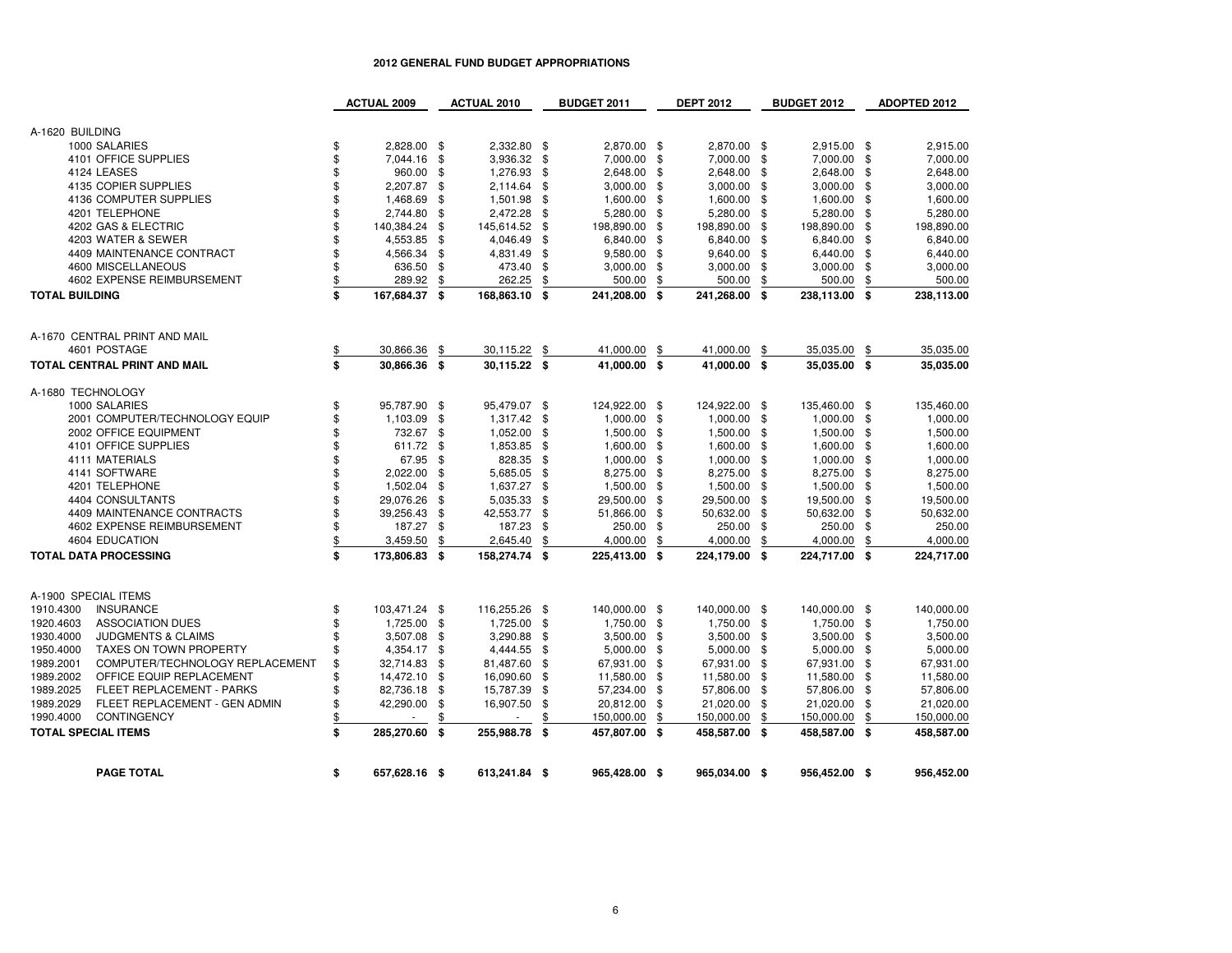|                                              | <b>ACTUAL 2009</b>  |                | <b>ACTUAL 2010</b> |      | <b>BUDGET 2011</b> | <b>DEPT 2012</b>    |      | <b>BUDGET 2012</b> |      | <b>ADOPTED 2012</b> |
|----------------------------------------------|---------------------|----------------|--------------------|------|--------------------|---------------------|------|--------------------|------|---------------------|
|                                              |                     |                |                    |      |                    |                     |      |                    |      |                     |
| A-1620 BUILDING                              |                     |                |                    |      |                    |                     |      |                    |      |                     |
| 1000 SALARIES                                | \$<br>2,828.00 \$   |                | 2,332.80           | \$   | 2,870.00           | \$<br>2,870.00 \$   |      | 2,915.00 \$        |      | 2,915.00            |
| 4101 OFFICE SUPPLIES                         | \$<br>7,044.16      | \$             | 3,936.32           | \$   | 7,000.00           | \$<br>7,000.00      | \$   | 7,000.00           | - \$ | 7,000.00            |
| 4124 LEASES                                  | \$<br>960.00        | \$             | 1,276.93           | \$   | 2,648.00           | \$<br>2,648.00      | -\$  | 2,648.00           | - \$ | 2,648.00            |
| 4135 COPIER SUPPLIES                         | \$<br>2,207.87      | \$             | 2,114.64           | \$   | 3,000.00           | \$<br>3,000.00      | \$   | 3,000.00           | - \$ | 3,000.00            |
| 4136 COMPUTER SUPPLIES                       | \$<br>1,468.69      | \$             | 1,501.98           | \$   | 1,600.00           | \$<br>1,600.00 \$   |      | 1,600.00           | -\$  | 1,600.00            |
| 4201 TELEPHONE                               | \$<br>2,744.80      | \$             | 2,472.28           | \$   | 5,280.00           | \$<br>5,280.00      | \$   | 5,280.00 \$        |      | 5,280.00            |
| 4202 GAS & ELECTRIC                          | \$<br>140,384.24    | \$             | 145,614.52         | -\$  | 198,890.00         | \$<br>198,890.00    | - \$ | 198,890.00         | -\$  | 198,890.00          |
| 4203 WATER & SEWER                           | \$<br>4,553.85      | \$             | 4,046.49           | \$   | 6,840.00           | \$<br>6,840.00 \$   |      | 6,840.00 \$        |      | 6,840.00            |
| 4409 MAINTENANCE CONTRACT                    | \$<br>4,566.34      | \$             | 4,831.49           | \$   | 9,580.00           | \$<br>9,640.00      | - \$ | 6,440.00           | -\$  | 6,440.00            |
| 4600 MISCELLANEOUS                           | \$<br>636.50        | \$             | 473.40             | \$   | 3,000.00           | \$<br>$3,000.00$ \$ |      | 3,000.00           | -\$  | 3,000.00            |
| 4602 EXPENSE REIMBURSEMENT                   | \$<br>289.92        | \$             | 262.25             | \$   | 500.00             | \$<br>500.00        | \$   | 500.00             | \$   | 500.00              |
| <b>TOTAL BUILDING</b>                        | \$<br>167,684.37 \$ |                | 168,863.10 \$      |      | 241,208.00 \$      | 241,268.00 \$       |      | 238,113.00 \$      |      | 238,113.00          |
|                                              |                     |                |                    |      |                    |                     |      |                    |      |                     |
|                                              |                     |                |                    |      |                    |                     |      |                    |      |                     |
| A-1670 CENTRAL PRINT AND MAIL                |                     |                |                    |      |                    |                     |      |                    |      |                     |
| 4601 POSTAGE                                 | \$<br>30,866.36     | \$             | 30,115.22          | \$   | 41,000.00          | \$<br>41,000.00     | \$   | 35,035.00          | \$   | 35,035.00           |
| <b>TOTAL CENTRAL PRINT AND MAIL</b>          | \$<br>30.866.36 \$  |                | 30,115.22 \$       |      | 41.000.00 \$       | 41.000.00 \$        |      | 35.035.00 \$       |      | 35,035.00           |
|                                              |                     |                |                    |      |                    |                     |      |                    |      |                     |
| A-1680 TECHNOLOGY                            |                     |                |                    |      |                    |                     |      |                    |      |                     |
| 1000 SALARIES                                | \$<br>95,787.90 \$  |                | 95,479.07 \$       |      | 124,922.00 \$      | 124,922.00 \$       |      | 135,460.00 \$      |      | 135,460.00          |
| 2001 COMPUTER/TECHNOLOGY EQUIP               | \$<br>1,103.09      | \$             | 1,317.42 \$        |      | 1,000.00           | \$<br>1,000.00 \$   |      | 1,000.00           | - \$ | 1,000.00            |
| 2002 OFFICE EQUIPMENT                        | \$<br>732.67        | \$             | 1,052.00           | \$   | 1,500.00           | \$<br>1,500.00 \$   |      | 1,500.00           | - \$ | 1,500.00            |
| 4101 OFFICE SUPPLIES                         | \$<br>611.72        | \$             | 1,853.85           | \$   | 1,600.00           | \$<br>1,600.00 \$   |      | 1,600.00           | -\$  | 1,600.00            |
| 4111 MATERIALS                               | \$<br>67.95         | $\mathfrak{s}$ | 828.35             | \$   | 1,000.00           | \$<br>1,000.00 \$   |      | 1,000.00           | - \$ | 1,000.00            |
| 4141 SOFTWARE                                | \$<br>2,022.00      | \$             | 5,685.05           | \$   | 8,275.00           | \$<br>8,275.00 \$   |      | 8,275.00           | \$   | 8,275.00            |
| 4201 TELEPHONE                               | \$<br>1,502.04      | -\$            | 1,637.27           | \$   | 1,500.00           | \$<br>1,500.00      | - \$ | 1,500.00           | - \$ | 1,500.00            |
| 4404 CONSULTANTS                             | \$<br>29,076.26     | \$             | 5,035.33           | \$   | 29,500.00          | \$<br>29,500.00     | \$   | 19,500.00          | \$   | 19,500.00           |
| 4409 MAINTENANCE CONTRACTS                   | \$<br>39,256.43     | \$             | 42,553.77          | \$   | 51,866.00          | \$<br>50,632.00 \$  |      | 50,632.00          | -\$  | 50,632.00           |
| 4602 EXPENSE REIMBURSEMENT                   | \$<br>187.27        | \$             | 187.23             | \$   | 250.00             | \$<br>250.00        | - \$ | 250.00             | \$   | 250.00              |
| 4604 EDUCATION                               | \$<br>3,459.50      | \$             | 2,645.40           | \$   | 4,000.00           | \$<br>4,000.00      | \$   | 4,000.00           | \$   | 4,000.00            |
| <b>TOTAL DATA PROCESSING</b>                 | \$<br>173,806.83    | S.             | 158,274.74         | \$   | 225,413.00 \$      | 224,179.00 \$       |      | 224,717.00         | - \$ | 224,717.00          |
|                                              |                     |                |                    |      |                    |                     |      |                    |      |                     |
|                                              |                     |                |                    |      |                    |                     |      |                    |      |                     |
| A-1900 SPECIAL ITEMS                         |                     |                |                    |      |                    |                     |      |                    |      |                     |
| 1910.4300<br><b>INSURANCE</b>                | \$<br>103,471.24 \$ |                | 116,255.26         | \$   | 140,000.00 \$      | 140,000.00 \$       |      | 140,000.00 \$      |      | 140,000.00          |
| 1920.4603<br><b>ASSOCIATION DUES</b>         | \$<br>1,725.00 \$   |                | 1,725.00           | -\$  | 1,750.00           | \$<br>1,750.00 \$   |      | 1,750.00 \$        |      | 1,750.00            |
| 1930.4000<br><b>JUDGMENTS &amp; CLAIMS</b>   | \$<br>3,507.08      | \$             | 3,290.88           | \$   | 3,500.00           | \$<br>3,500.00 \$   |      | 3,500.00           | -\$  | 3,500.00            |
| 1950.4000<br><b>TAXES ON TOWN PROPERTY</b>   | \$<br>4,354.17      | \$             | 4,444.55           | \$   | 5,000.00           | \$<br>5,000.00 \$   |      | 5,000.00           | - \$ | 5,000.00            |
| 1989.2001<br>COMPUTER/TECHNOLOGY REPLACEMENT | \$<br>32,714.83     | \$             | 81,487.60          | \$   | 67,931.00          | \$<br>67,931.00     | -\$  | 67,931.00          | -\$  | 67,931.00           |
| OFFICE EQUIP REPLACEMENT<br>1989.2002        | \$<br>14,472.10     | \$             | 16,090.60          | \$   | 11,580.00          | \$<br>11,580.00 \$  |      | 11,580.00 \$       |      | 11,580.00           |
| 1989.2025<br>FLEET REPLACEMENT - PARKS       | \$<br>82,736.18     | \$             | 15,787.39          | \$   | 57,234.00          | \$<br>57,806.00     | \$   | 57,806.00          | \$   | 57,806.00           |
| 1989.2029<br>FLEET REPLACEMENT - GEN ADMIN   | \$<br>42,290.00     | \$             | 16,907.50          | \$   | 20,812.00          | \$<br>21,020.00     | -\$  | 21,020.00          | - \$ | 21,020.00           |
| 1990.4000<br><b>CONTINGENCY</b>              | \$<br>$\sim$        | \$             | $\sim$             | \$   | 150,000.00         | \$<br>150,000.00    | \$   | 150,000.00         | \$   | 150,000.00          |
| <b>TOTAL SPECIAL ITEMS</b>                   | \$<br>285,270.60 \$ |                | 255,988.78         | - \$ | 457,807.00 \$      | 458,587.00 \$       |      | 458,587.00 \$      |      | 458,587.00          |
|                                              |                     |                |                    |      |                    |                     |      |                    |      |                     |
|                                              |                     |                |                    |      |                    |                     |      |                    |      |                     |
| <b>PAGE TOTAL</b>                            | \$<br>657,628.16 \$ |                | 613,241.84 \$      |      | 965,428.00 \$      | 965,034.00 \$       |      | 956,452.00 \$      |      | 956,452.00          |
|                                              |                     |                |                    |      |                    |                     |      |                    |      |                     |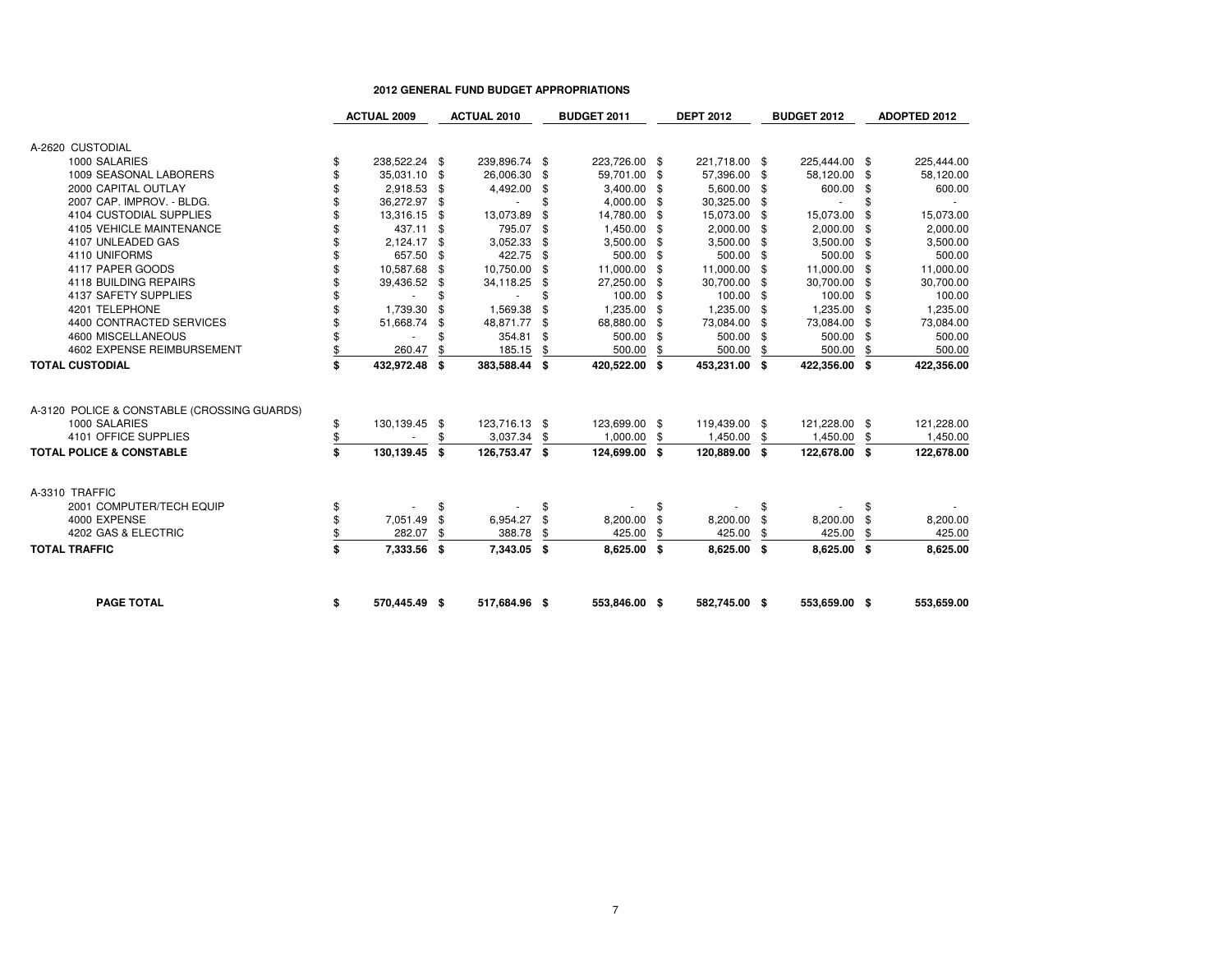|                                             | <b>ACTUAL 2009</b>  |     | <b>ACTUAL 2010</b> |    | <b>BUDGET 2011</b> |      | <b>DEPT 2012</b> |      | <b>BUDGET 2012</b> |      | <b>ADOPTED 2012</b> |
|---------------------------------------------|---------------------|-----|--------------------|----|--------------------|------|------------------|------|--------------------|------|---------------------|
|                                             |                     |     |                    |    |                    |      |                  |      |                    |      |                     |
| A-2620 CUSTODIAL                            |                     |     |                    |    |                    |      |                  |      |                    |      |                     |
| 1000 SALARIES                               | \$<br>238,522.24 \$ |     | 239,896.74 \$      |    | 223,726.00 \$      |      | 221,718.00 \$    |      | 225,444.00 \$      |      | 225,444.00          |
| 1009 SEASONAL LABORERS                      | \$<br>35,031.10 \$  |     | 26,006.30          | \$ | 59,701.00 \$       |      | 57,396.00 \$     |      | 58,120.00 \$       |      | 58,120.00           |
| 2000 CAPITAL OUTLAY                         | \$<br>2,918.53 \$   |     | 4,492.00           | \$ | 3,400.00 \$        |      | 5,600.00 \$      |      | 600.00 \$          |      | 600.00              |
| 2007 CAP. IMPROV. - BLDG.                   | \$<br>36,272.97 \$  |     |                    | \$ | 4,000.00 \$        |      | 30,325.00        | -\$  |                    | \$   |                     |
| 4104 CUSTODIAL SUPPLIES                     | 13,316.15           | \$  | 13,073.89          | \$ | 14,780.00          | \$   | 15,073.00        | -\$  | 15,073.00          | \$   | 15,073.00           |
| 4105 VEHICLE MAINTENANCE                    | 437.11              | -\$ | 795.07             | \$ | 1,450.00 \$        |      | 2,000.00         | - \$ | $2,000.00$ \$      |      | 2,000.00            |
| 4107 UNLEADED GAS                           | 2,124.17            | \$  | 3,052.33           | \$ | 3,500.00 \$        |      | 3,500.00         | -\$  | 3,500.00 \$        |      | 3,500.00            |
| 4110 UNIFORMS                               | 657.50              | \$  | 422.75             | \$ | 500.00 \$          |      | 500.00           | -\$  | 500.00 \$          |      | 500.00              |
| 4117 PAPER GOODS                            | 10,587.68           | \$  | 10,750.00          | \$ | 11,000.00          | -\$  | 11,000.00        | \$   | 11,000.00 \$       |      | 11,000.00           |
| 4118 BUILDING REPAIRS                       | 39,436.52           | \$  | 34,118.25          | \$ | 27,250.00          | - \$ | 30,700.00        | -\$  | 30,700.00 \$       |      | 30,700.00           |
| 4137 SAFETY SUPPLIES                        | \$                  | \$  |                    | \$ | 100.00 \$          |      | 100.00           | -\$  | 100.00 \$          |      | 100.00              |
| 4201 TELEPHONE                              | 1,739.30            | ę.  | 1,569.38           | \$ | 1,235.00           | \$   | 1,235.00         | -\$  | 1,235.00 \$        |      | 1,235.00            |
| 4400 CONTRACTED SERVICES                    | 51,668.74           | \$  | 48,871.77          | \$ | 68,880.00          | - \$ | 73,084.00        | -\$  | 73,084.00 \$       |      | 73,084.00           |
| 4600 MISCELLANEOUS                          |                     | \$  | 354.81             | \$ | 500.00             | - \$ | 500.00           | -\$  | 500.00 \$          |      | 500.00              |
| 4602 EXPENSE REIMBURSEMENT                  | 260.47              | \$  | 185.15             | \$ | 500.00             | \$   | 500.00           | \$   | 500.00             | \$   | 500.00              |
| <b>TOTAL CUSTODIAL</b>                      | \$<br>432,972.48    | Ŝ.  | 383,588.44         | \$ | 420,522.00         | - \$ | 453,231.00       | Ŝ.   | 422,356.00         | - \$ | 422,356.00          |
|                                             |                     |     |                    |    |                    |      |                  |      |                    |      |                     |
| A-3120 POLICE & CONSTABLE (CROSSING GUARDS) |                     |     |                    |    |                    |      |                  |      |                    |      |                     |
| 1000 SALARIES                               | \$<br>130,139.45 \$ |     | 123,716.13 \$      |    | 123,699.00 \$      |      | 119,439.00 \$    |      | 121,228.00 \$      |      | 121,228.00          |
| 4101 OFFICE SUPPLIES                        | \$                  | \$  | 3,037.34           | \$ | 1,000.00           | \$   | 1,450.00         | \$   | 1,450.00           | \$   | 1,450.00            |
| <b>TOTAL POLICE &amp; CONSTABLE</b>         | \$<br>130,139.45 \$ |     | 126,753.47 \$      |    | 124,699.00 \$      |      | 120,889.00 \$    |      | 122,678.00 \$      |      | 122,678.00          |
| A-3310 TRAFFIC                              |                     |     |                    |    |                    |      |                  |      |                    |      |                     |
| 2001 COMPUTER/TECH EQUIP                    | \$                  | \$  |                    | \$ |                    | \$   |                  | \$   |                    | \$   |                     |
| 4000 EXPENSE                                | \$<br>7,051.49      | \$  | 6,954.27           | \$ | 8,200.00           | \$   | 8,200.00         | \$   | 8,200.00           | \$   | 8,200.00            |
| 4202 GAS & ELECTRIC                         | \$<br>282.07        | \$  | 388.78             | \$ | 425.00             | \$   | 425.00           | \$   | 425.00             | \$   | 425.00              |
| <b>TOTAL TRAFFIC</b>                        | \$<br>7,333.56 \$   |     | 7,343.05           | Ŝ. | 8,625.00 \$        |      | 8,625.00         | - \$ | 8,625.00 \$        |      | 8,625.00            |
| <b>PAGE TOTAL</b>                           | \$<br>570,445.49 \$ |     | 517,684.96 \$      |    | 553,846.00 \$      |      | 582,745.00 \$    |      | 553,659.00 \$      |      | 553,659.00          |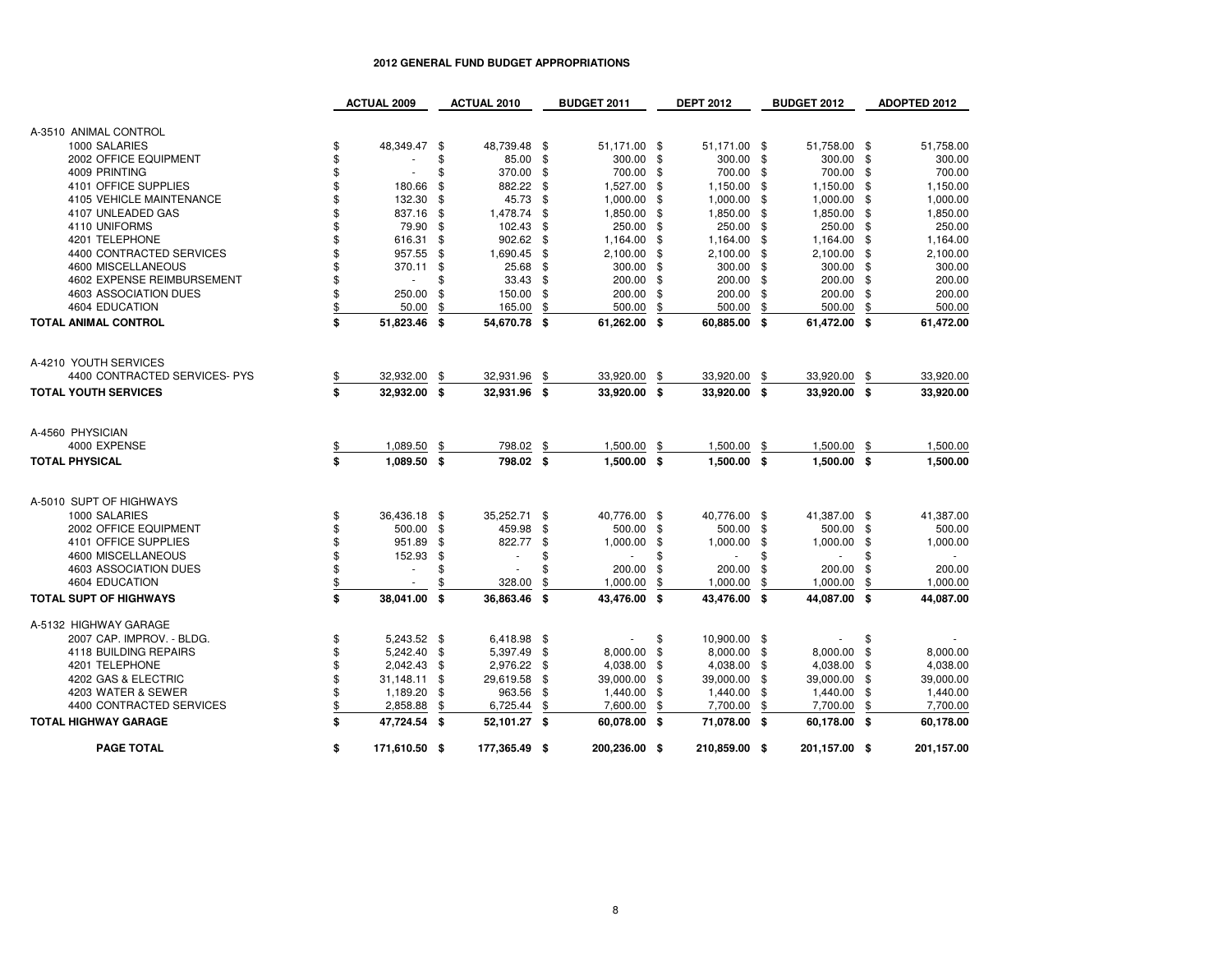|                               | <b>ACTUAL 2009</b>       |      | <b>ACTUAL 2010</b> |      | <b>BUDGET 2011</b>       |     | <b>DEPT 2012</b> | <b>BUDGET 2012</b> |     | <b>ADOPTED 2012</b> |
|-------------------------------|--------------------------|------|--------------------|------|--------------------------|-----|------------------|--------------------|-----|---------------------|
|                               |                          |      |                    |      |                          |     |                  |                    |     |                     |
| A-3510 ANIMAL CONTROL         |                          |      |                    |      |                          |     |                  |                    |     |                     |
| 1000 SALARIES                 | \$<br>48,349.47 \$       |      | 48,739.48 \$       |      | 51,171.00 \$             |     | 51,171.00 \$     | 51,758.00 \$       |     | 51,758.00           |
| 2002 OFFICE EQUIPMENT         | \$                       | \$   | 85.00 \$           |      | 300.00 \$                |     | 300.00 \$        | 300.00 \$          |     | 300.00              |
| 4009 PRINTING                 | \$                       | \$   | 370.00             | \$   | 700.00 \$                |     | 700.00 \$        | 700.00             | -\$ | 700.00              |
| 4101 OFFICE SUPPLIES          | \$<br>180.66             | \$   | 882.22 \$          |      | 1,527.00                 | -\$ | 1,150.00 \$      | 1,150.00 \$        |     | 1,150.00            |
| 4105 VEHICLE MAINTENANCE      | \$<br>132.30             | \$   | 45.73              | -\$  | 1,000.00                 | \$  | 1,000.00 \$      | 1,000.00           | \$  | 1,000.00            |
| 4107 UNLEADED GAS             | \$<br>837.16             | \$   | 1,478.74 \$        |      | 1,850.00 \$              |     | 1,850.00 \$      | 1,850.00 \$        |     | 1,850.00            |
| 4110 UNIFORMS                 | \$<br>79.90              | \$   | 102.43             | -\$  | 250.00 \$                |     | 250.00 \$        | 250.00 \$          |     | 250.00              |
| 4201 TELEPHONE                | \$<br>616.31             | \$   | 902.62 \$          |      | 1,164.00 \$              |     | 1,164.00 \$      | 1,164.00 \$        |     | 1,164.00            |
| 4400 CONTRACTED SERVICES      | \$<br>957.55             | \$   | 1,690.45 \$        |      | 2,100.00 \$              |     | 2,100.00 \$      | 2,100.00 \$        |     | 2,100.00            |
| 4600 MISCELLANEOUS            | \$<br>370.11             | \$   | 25.68 \$           |      | 300.00 \$                |     | 300.00 \$        | 300.00 \$          |     | 300.00              |
| 4602 EXPENSE REIMBURSEMENT    | \$<br>×.                 | \$   | $33.43$ \$         |      | 200.00 \$                |     | 200.00 \$        | 200.00 \$          |     | 200.00              |
| 4603 ASSOCIATION DUES         | \$<br>250.00             | \$   | 150.00 \$          |      | 200.00 \$                |     | 200.00 \$        | 200.00 \$          |     | 200.00              |
| 4604 EDUCATION                | 50.00                    | \$   | 165.00             | \$   | 500.00                   | \$  | 500.00           | \$<br>500.00       | \$  | 500.00              |
| TOTAL ANIMAL CONTROL          | \$<br>51,823.46 \$       |      | 54,670.78 \$       |      | 61,262.00 \$             |     | 60,885.00 \$     | 61,472.00 \$       |     | 61,472.00           |
|                               |                          |      |                    |      |                          |     |                  |                    |     |                     |
|                               |                          |      |                    |      |                          |     |                  |                    |     |                     |
| A-4210 YOUTH SERVICES         |                          |      |                    |      |                          |     |                  |                    |     |                     |
| 4400 CONTRACTED SERVICES- PYS | 32,932.00                | \$   | 32,931.96          | \$   | 33,920.00                | \$  | 33,920.00        | \$<br>33,920.00    | \$  | 33,920.00           |
| <b>TOTAL YOUTH SERVICES</b>   | \$<br>32.932.00          | - \$ | 32.931.96 \$       |      | 33.920.00 \$             |     | 33.920.00 \$     | 33.920.00 \$       |     | 33,920.00           |
|                               |                          |      |                    |      |                          |     |                  |                    |     |                     |
| A-4560 PHYSICIAN              |                          |      |                    |      |                          |     |                  |                    |     |                     |
| 4000 EXPENSE                  | 1,089.50                 | \$   | 798.02             | \$   | 1,500.00                 | \$  | 1,500.00         | \$<br>1,500.00     | \$  | 1,500.00            |
| <b>TOTAL PHYSICAL</b>         | \$<br>1,089.50 \$        |      | 798.02 \$          |      | 1,500.00 \$              |     | 1,500.00 \$      | 1,500.00 \$        |     | 1,500.00            |
|                               |                          |      |                    |      |                          |     |                  |                    |     |                     |
| A-5010 SUPT OF HIGHWAYS       |                          |      |                    |      |                          |     |                  |                    |     |                     |
|                               | \$<br>36,436.18 \$       |      | 35,252.71          | \$   | 40,776.00 \$             |     | 40,776.00 \$     | 41,387.00 \$       |     |                     |
| 1000 SALARIES                 |                          |      |                    |      |                          |     |                  |                    |     | 41,387.00           |
| 2002 OFFICE EQUIPMENT         | \$<br>500.00             | -\$  | 459.98             | \$   | 500.00 \$                |     | 500.00 \$        | 500.00 \$          |     | 500.00              |
| 4101 OFFICE SUPPLIES          | \$<br>951.89             | \$   | 822.77             | \$   | 1,000.00                 | \$  | 1,000.00 \$      | 1,000.00           | \$  | 1,000.00            |
| 4600 MISCELLANEOUS            | \$<br>152.93             | \$   | $\sim$             | \$   |                          | \$  | ÷.               | \$<br>÷.           | \$  |                     |
| 4603 ASSOCIATION DUES         | \$<br>×.                 | \$   | ×.                 |      | 200.00                   | \$  | 200.00           | \$<br>200.00       | -\$ | 200.00              |
| 4604 EDUCATION                | $\overline{\phantom{a}}$ | \$   | 328.00             | \$   | 1,000.00                 | \$  | 1,000.00         | \$<br>1,000.00     | \$  | 1,000.00            |
| <b>TOTAL SUPT OF HIGHWAYS</b> | \$<br>38.041.00          | - \$ | 36.863.46          | - \$ | 43.476.00 \$             |     | 43.476.00 \$     | 44.087.00 \$       |     | 44,087.00           |
| A-5132 HIGHWAY GARAGE         |                          |      |                    |      |                          |     |                  |                    |     |                     |
| 2007 CAP. IMPROV. - BLDG.     | \$<br>5,243.52 \$        |      | 6,418.98 \$        |      | $\overline{\phantom{a}}$ | \$  | 10,900.00 \$     |                    | \$  |                     |
| 4118 BUILDING REPAIRS         | \$<br>5,242.40           | \$   | 5,397.49 \$        |      | 8,000.00 \$              |     | 8,000.00 \$      | 8,000.00 \$        |     | 8,000.00            |
| 4201 TELEPHONE                | \$<br>2,042.43           | -\$  | 2,976.22 \$        |      | 4,038.00 \$              |     | 4,038.00 \$      | 4,038.00 \$        |     | 4,038.00            |
| 4202 GAS & ELECTRIC           | \$<br>31,148.11          | \$   | 29,619.58 \$       |      | 39,000.00 \$             |     | 39,000.00 \$     | 39,000.00 \$       |     | 39,000.00           |
| 4203 WATER & SEWER            | \$<br>1,189.20           | \$   | 963.56 \$          |      | 1,440.00 \$              |     | 1,440.00 \$      | 1,440.00 \$        |     | 1,440.00            |
| 4400 CONTRACTED SERVICES      | 2,858.88                 | \$   | 6,725.44           | \$   | 7,600.00                 | \$  | 7,700.00         | \$<br>7,700.00     | \$  | 7,700.00            |
| <b>TOTAL HIGHWAY GARAGE</b>   | \$<br>47,724.54 \$       |      | 52,101.27 \$       |      | 60,078.00 \$             |     | 71,078.00 \$     | 60,178.00 \$       |     | 60,178.00           |
|                               |                          |      |                    |      |                          |     |                  |                    |     |                     |
| <b>PAGE TOTAL</b>             | \$<br>171,610.50 \$      |      | 177,365.49 \$      |      | 200,236.00 \$            |     | 210,859.00 \$    | 201,157.00 \$      |     | 201,157.00          |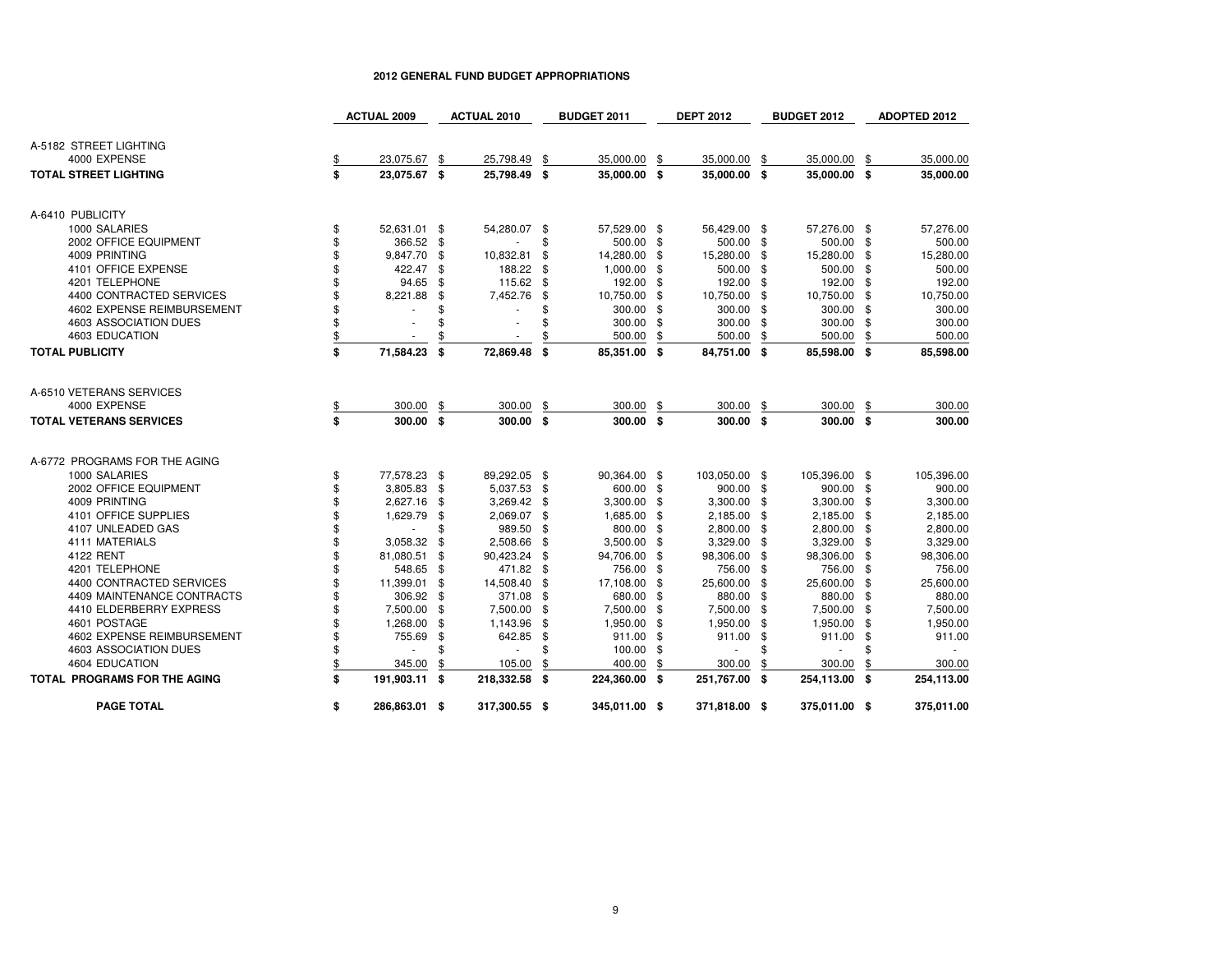|                                     |    | <b>ACTUAL 2009</b> |     | <b>ACTUAL 2010</b> |               | <b>BUDGET 2011</b> |      | <b>DEPT 2012</b> | BUDGET 2012   | ADOPTED 2012 |
|-------------------------------------|----|--------------------|-----|--------------------|---------------|--------------------|------|------------------|---------------|--------------|
|                                     |    |                    |     |                    |               |                    |      |                  |               |              |
| A-5182 STREET LIGHTING              |    |                    |     |                    |               |                    |      |                  |               |              |
| 4000 EXPENSE                        |    | 23,075.67          | \$  | 25,798.49          | \$            | 35,000.00          | -\$  | 35,000.00 \$     | 35,000.00 \$  | 35,000.00    |
| <b>TOTAL STREET LIGHTING</b>        | S. | 23,075.67 \$       |     | 25,798.49          | Ŝ.            | 35,000.00 \$       |      | 35,000.00 \$     | 35,000.00 \$  | 35,000.00    |
| A-6410 PUBLICITY                    |    |                    |     |                    |               |                    |      |                  |               |              |
| 1000 SALARIES                       | \$ | 52,631.01 \$       |     | 54,280.07          | \$            | 57,529.00 \$       |      | 56,429.00 \$     | 57,276.00 \$  | 57,276.00    |
| 2002 OFFICE EQUIPMENT               | \$ | 366.52 \$          |     |                    | \$.           | 500.00 \$          |      | 500.00 \$        | 500.00 \$     | 500.00       |
| 4009 PRINTING                       | \$ | 9,847.70           | \$  | 10,832.81          | \$            | 14,280.00 \$       |      | 15,280.00 \$     | 15,280.00 \$  | 15,280.00    |
| 4101 OFFICE EXPENSE                 | \$ | 422.47             | \$  | 188.22             | -\$           | 1,000.00 \$        |      | 500.00 \$        | 500.00 \$     | 500.00       |
| 4201 TELEPHONE                      | \$ | 94.65              | -\$ | 115.62 \$          |               | 192.00 \$          |      | 192.00 \$        | 192.00 \$     | 192.00       |
| 4400 CONTRACTED SERVICES            | \$ | 8,221.88           | \$  | 7,452.76           | \$            | 10,750.00 \$       |      | 10,750.00 \$     | 10,750.00 \$  | 10,750.00    |
| 4602 EXPENSE REIMBURSEMENT          | \$ |                    | \$  |                    | \$            | 300.00 \$          |      | 300.00 \$        | 300.00 \$     | 300.00       |
| 4603 ASSOCIATION DUES               | \$ |                    | \$  |                    |               | 300.00 \$          |      | 300.00 \$        | 300.00 \$     | 300.00       |
| 4603 EDUCATION                      | \$ |                    | \$  |                    |               | 500.00             | \$   | 500.00 \$        | 500.00        | \$<br>500.00 |
| <b>TOTAL PUBLICITY</b>              | \$ | 71,584.23          | S.  | 72,869.48          | S.            | 85,351.00 \$       |      | 84,751.00 \$     | 85,598.00 \$  | 85,598.00    |
|                                     |    |                    |     |                    |               |                    |      |                  |               |              |
| A-6510 VETERANS SERVICES            |    |                    |     |                    |               |                    |      |                  |               |              |
| 4000 EXPENSE                        | \$ | 300.00             | \$  | 300.00             | \$            | 300.00 \$          |      | 300.00 \$        | 300.00        | \$<br>300.00 |
| <b>TOTAL VETERANS SERVICES</b>      | \$ | 300.00 \$          |     | 300.00             | S.            | 300.00 \$          |      | 300.00 \$        | 300.00 \$     | 300.00       |
| A-6772 PROGRAMS FOR THE AGING       |    |                    |     |                    |               |                    |      |                  |               |              |
| 1000 SALARIES                       | \$ | 77,578.23 \$       |     | 89.292.05 \$       |               | 90,364.00 \$       |      | 103,050.00 \$    | 105,396.00 \$ | 105,396.00   |
| 2002 OFFICE EQUIPMENT               | \$ | 3,805.83 \$        |     | 5,037.53 \$        |               | 600.00 \$          |      | 900.00 \$        | 900.00 \$     | 900.00       |
| 4009 PRINTING                       | \$ | 2,627.16           | \$  | 3,269.42           | -\$           | 3,300.00 \$        |      | 3,300.00 \$      | 3,300.00 \$   | 3,300.00     |
| 4101 OFFICE SUPPLIES                | \$ | 1,629.79           | \$  | 2,069.07 \$        |               | 1,685.00 \$        |      | 2,185.00 \$      | 2,185.00 \$   | 2,185.00     |
| 4107 UNLEADED GAS                   | \$ |                    | \$  | 989.50             | \$            | 800.00             | - \$ | 2,800.00 \$      | 2,800.00 \$   | 2,800.00     |
| 4111 MATERIALS                      | \$ | 3,058.32           | \$  | 2,508.66           | -\$           | 3,500.00 \$        |      | 3,329.00 \$      | 3,329.00 \$   | 3,329.00     |
| 4122 RENT                           | \$ | 81,080.51          | \$  | 90,423.24          | -\$           | 94,706.00 \$       |      | 98,306.00 \$     | 98,306.00 \$  | 98,306.00    |
| 4201 TELEPHONE                      | \$ | 548.65             | -\$ | 471.82             | $\frac{1}{2}$ | 756.00 \$          |      | 756.00 \$        | 756.00 \$     | 756.00       |
| 4400 CONTRACTED SERVICES            | \$ | 11,399.01          | \$  | 14,508.40          | -\$           | 17,108.00 \$       |      | 25,600.00 \$     | 25,600.00 \$  | 25,600.00    |
| 4409 MAINTENANCE CONTRACTS          | \$ | 306.92 \$          |     | 371.08             | - \$          | 680.00 \$          |      | 880.00 \$        | 880.00 \$     | 880.00       |
| 4410 ELDERBERRY EXPRESS             | \$ | 7,500.00           | \$  | 7,500.00           | \$            | 7,500.00           | -\$  | 7,500.00 \$      | 7,500.00 \$   | 7,500.00     |
| 4601 POSTAGE                        | \$ | 1,268.00           | \$  | 1,143.96           | \$            | 1,950.00 \$        |      | 1,950.00 \$      | 1,950.00 \$   | 1,950.00     |
| 4602 EXPENSE REIMBURSEMENT          | \$ | 755.69             | \$  | 642.85             | \$            | 911.00 \$          |      | 911.00 \$        | 911.00 \$     | 911.00       |
| 4603 ASSOCIATION DUES               | \$ |                    | \$  | $\sim$             | \$            | 100.00             | \$   | ×.               | \$<br>$\sim$  | \$           |
| 4604 EDUCATION                      | \$ | 345.00             | \$  | 105.00             | \$            | 400.00             | \$   | 300.00           | \$<br>300.00  | \$<br>300.00 |
| <b>TOTAL PROGRAMS FOR THE AGING</b> | \$ | 191,903.11 \$      |     | 218,332.58         | Ŝ.            | 224,360.00 \$      |      | 251,767.00 \$    | 254,113.00 \$ | 254,113.00   |
| <b>PAGE TOTAL</b>                   | \$ | 286,863.01 \$      |     | 317,300.55 \$      |               | 345,011.00 \$      |      | 371,818.00 \$    | 375,011.00 \$ | 375,011.00   |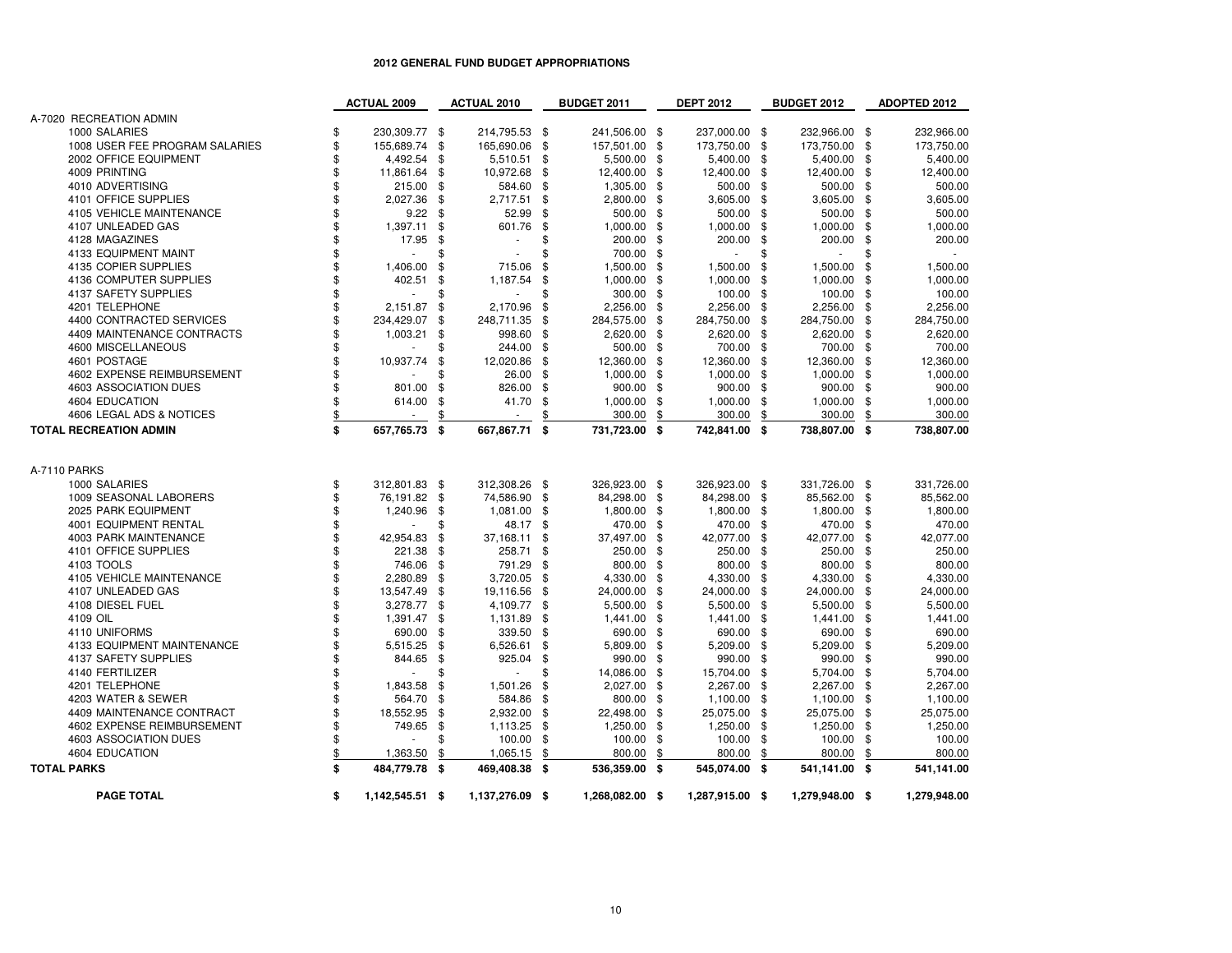|                                | <b>ACTUAL 2009</b>    |                | <b>ACTUAL 2010</b> | <b>BUDGET 2011</b>  |                | <b>DEPT 2012</b> |                | <b>BUDGET 2012</b> |                | <b>ADOPTED 2012</b> |
|--------------------------------|-----------------------|----------------|--------------------|---------------------|----------------|------------------|----------------|--------------------|----------------|---------------------|
| A-7020 RECREATION ADMIN        |                       |                |                    |                     |                |                  |                |                    |                |                     |
| 1000 SALARIES                  | \$<br>230,309.77 \$   |                | 214,795.53 \$      | 241,506.00 \$       |                | 237,000.00 \$    |                | 232,966.00 \$      |                | 232,966.00          |
| 1008 USER FEE PROGRAM SALARIES | \$<br>155,689.74 \$   |                | 165,690.06         | \$<br>157,501.00 \$ |                | 173,750.00 \$    |                | 173,750.00 \$      |                | 173,750.00          |
| 2002 OFFICE EQUIPMENT          | \$<br>4,492.54        | \$             | 5,510.51           | \$<br>5,500.00 \$   |                | 5,400.00         | \$             | 5,400.00           | \$             | 5,400.00            |
| 4009 PRINTING                  | \$<br>11,861.64       | \$             | 10,972.68          | \$<br>12,400.00     | -\$            | 12,400.00        | -\$            | 12,400.00 \$       |                | 12,400.00           |
| 4010 ADVERTISING               | \$<br>215.00          | \$             | 584.60             | \$<br>1,305.00      | \$             | 500.00           | \$             | 500.00             | \$             | 500.00              |
| 4101 OFFICE SUPPLIES           | \$<br>2,027.36        | \$             | 2,717.51           | \$<br>2,800.00 \$   |                | 3,605.00         | \$             | 3,605.00           | - \$           | 3,605.00            |
| 4105 VEHICLE MAINTENANCE       | \$<br>$9.22$ \$       |                | 52.99              | \$<br>500.00        | \$             | 500.00           | \$             | 500.00             | \$             | 500.00              |
| 4107 UNLEADED GAS              | \$<br>1,397.11        | \$             | 601.76             | \$<br>1,000.00      | \$             | 1,000.00         | $\mathfrak{s}$ | 1,000.00           | \$             | 1,000.00            |
| 4128 MAGAZINES                 | \$<br>17.95           | \$             | $\sim$             | \$<br>200.00 \$     |                | 200.00           | \$             | 200.00             | \$             | 200.00              |
| 4133 EQUIPMENT MAINT           | \$                    | \$             |                    | \$<br>700.00        | \$             |                  | \$             |                    | \$             |                     |
| 4135 COPIER SUPPLIES           | \$<br>1,406.00        | \$             | 715.06             | \$<br>1,500.00      | \$             | 1,500.00         | -\$            | 1,500.00           | $\mathfrak{s}$ | 1,500.00            |
| 4136 COMPUTER SUPPLIES         | \$<br>402.51          | \$             | 1,187.54           | \$<br>$1,000.00$ \$ |                | 1,000.00         | \$             | 1,000.00           | \$             | 1,000.00            |
| 4137 SAFETY SUPPLIES           | \$<br>÷.              | ደ              | $\sim$             | \$<br>300.00 \$     |                | 100.00           | $\mathfrak{s}$ | 100.00             | - \$           | 100.00              |
| 4201 TELEPHONE                 | \$<br>2,151.87        | \$             | 2,170.96           | \$<br>2,256.00      | \$             | 2,256.00         | \$             | 2,256.00           | \$             | 2,256.00            |
| 4400 CONTRACTED SERVICES       | \$<br>234,429.07      | \$             | 248,711.35         | \$<br>284,575.00    | \$             | 284,750.00       | \$             | 284,750.00         | $\mathfrak{F}$ | 284,750.00          |
| 4409 MAINTENANCE CONTRACTS     | \$<br>1,003.21        | \$             | 998.60             | \$<br>2,620.00      | \$             | 2,620.00         | \$             | 2,620.00 \$        |                | 2,620.00            |
| 4600 MISCELLANEOUS             | \$                    | \$             | 244.00             | \$<br>500.00        | \$             | 700.00           | $\mathfrak{s}$ | 700.00             | \$             | 700.00              |
| 4601 POSTAGE                   | \$<br>10,937.74       | \$             | 12,020.86          | \$<br>12,360.00     | $\mathfrak{S}$ | 12,360.00        | $\mathfrak{s}$ | 12,360.00          | - \$           | 12,360.00           |
| 4602 EXPENSE REIMBURSEMENT     | \$                    | \$             | 26.00              | \$<br>1,000.00 \$   |                | 1,000.00         | \$             | 1,000.00           | -\$            | 1,000.00            |
| 4603 ASSOCIATION DUES          | \$<br>801.00          | \$             | 826.00             | \$<br>900.00        | \$             | 900.00           | \$             | 900.00             | \$             | 900.00              |
| 4604 EDUCATION                 | \$<br>614.00          | \$             | 41.70              | \$<br>1,000.00 \$   |                | $1,000.00$ \$    |                | 1,000.00           | \$             | 1,000.00            |
| 4606 LEGAL ADS & NOTICES       | \$<br>$\sim$          | \$             | $\sim$             | \$<br>300.00        | \$             | 300.00           | \$             | 300.00             | \$             | 300.00              |
| <b>TOTAL RECREATION ADMIN</b>  | \$<br>657,765.73 \$   |                | 667,867.71         | \$<br>731,723.00 \$ |                | 742,841.00 \$    |                | 738,807.00 \$      |                | 738,807.00          |
|                                |                       |                |                    |                     |                |                  |                |                    |                |                     |
| A-7110 PARKS                   |                       |                |                    |                     |                |                  |                |                    |                |                     |
| 1000 SALARIES                  | \$<br>312,801.83 \$   |                | 312,308.26 \$      | 326,923.00 \$       |                | 326,923.00 \$    |                | 331,726.00 \$      |                | 331,726.00          |
| 1009 SEASONAL LABORERS         | \$<br>76,191.82 \$    |                | 74,586.90          | \$<br>84,298.00 \$  |                | 84,298.00 \$     |                | 85,562.00 \$       |                | 85,562.00           |
| 2025 PARK EQUIPMENT            | \$<br>1,240.96        | \$             | 1,081.00           | \$<br>1,800.00      | \$             | 1,800.00         | \$             | 1,800.00           | -\$            | 1,800.00            |
| <b>4001 EQUIPMENT RENTAL</b>   | \$                    | \$             | 48.17              | \$<br>470.00 \$     |                | 470.00           | -\$            | 470.00             | - \$           | 470.00              |
| 4003 PARK MAINTENANCE          | \$<br>42,954.83       | \$             | 37,168.11          | \$<br>37,497.00     | $\mathfrak{S}$ | 42,077.00        | \$             | 42,077.00          | \$             | 42,077.00           |
| 4101 OFFICE SUPPLIES           | \$<br>221.38          | \$             | 258.71             | \$<br>250.00        | \$             | 250.00           | \$             | 250.00             | -\$            | 250.00              |
| 4103 TOOLS                     | \$<br>746.06          | \$             | 791.29             | \$<br>800.00        | $\mathfrak{S}$ | 800.00           | \$             | 800.00             | $\mathfrak{F}$ | 800.00              |
| 4105 VEHICLE MAINTENANCE       | \$<br>2,280.89        | \$             | 3,720.05           | \$<br>4,330.00      | \$             | 4,330.00         | \$             | 4,330.00           | -\$            | 4,330.00            |
| 4107 UNLEADED GAS              | \$<br>13,547.49       | \$             | 19,116.56          | \$<br>24,000.00     | \$             | 24,000.00        | \$             | 24,000.00          | \$             | 24,000.00           |
| 4108 DIESEL FUEL               | \$<br>3,278.77        | \$             | 4,109.77           | \$<br>5,500.00      | $\mathfrak{S}$ | 5,500.00         | \$             | 5,500.00           | \$             | 5,500.00            |
| 4109 OIL                       | \$<br>1,391.47        | -\$            | 1,131.89           | \$<br>1,441.00 \$   |                | 1,441.00         | -\$            | 1,441.00 \$        |                | 1,441.00            |
| 4110 UNIFORMS                  | \$<br>690.00          | \$             | 339.50             | \$<br>690.00        | $\mathfrak{S}$ | 690.00           | \$             | 690.00             | $\mathfrak{F}$ | 690.00              |
| 4133 EQUIPMENT MAINTENANCE     | \$<br>5,515.25        | \$             | 6,526.61           | \$<br>5,809.00      | \$             | 5,209.00         | \$             | 5,209.00           | \$             | 5,209.00            |
| 4137 SAFETY SUPPLIES           | \$<br>844.65          | \$             | 925.04             | \$<br>990.00        | \$             | 990.00           | \$             | 990.00             | -\$            | 990.00              |
| 4140 FERTILIZER                | \$                    | \$             | ×.                 | \$<br>14,086.00     | $\mathfrak{S}$ | 15,704.00        | $\mathfrak{s}$ | 5,704.00           | $\mathfrak{F}$ | 5,704.00            |
| 4201 TELEPHONE                 | \$<br>1,843.58        | £.             | 1,501.26           | \$<br>2,027.00      | \$             | 2,267.00         | -\$            | 2,267.00           | $\frac{1}{2}$  | 2,267.00            |
| 4203 WATER & SEWER             | \$<br>564.70          | \$             | 584.86             | \$<br>800.00        | \$             | 1,100.00         | \$             | 1,100.00           | \$             | 1,100.00            |
| 4409 MAINTENANCE CONTRACT      | \$<br>18,552.95       | \$             | 2,932.00           | \$<br>22,498.00     | \$             | 25,075.00        | \$             | 25,075.00          | - \$           | 25,075.00           |
| 4602 EXPENSE REIMBURSEMENT     | \$<br>749.65          | $\mathfrak{S}$ | 1,113.25           | \$<br>1,250.00      | $\mathfrak{S}$ | 1,250.00         | \$             | 1,250.00           | \$             | 1,250.00            |
| 4603 ASSOCIATION DUES          | \$<br>ä,              | \$             | 100.00             | \$<br>100.00        | $\mathfrak{S}$ | 100.00           | \$             | 100.00             | \$             | 100.00              |
| 4604 EDUCATION                 | \$<br>1,363.50        |                | 1,065.15           | \$<br>800.00        | \$             | 800.00           | \$             | 800.00             | \$             | 800.00              |
| <b>TOTAL PARKS</b>             | \$<br>484,779.78      | - \$           | 469,408.38         | \$<br>536,359.00 \$ |                | 545,074.00 \$    |                | 541,141.00 \$      |                | 541,141.00          |
| <b>PAGE TOTAL</b>              | \$<br>1,142,545.51 \$ |                | 1,137,276.09 \$    | 1,268,082.00 \$     |                | 1,287,915.00 \$  |                | 1,279,948.00 \$    |                | 1,279,948.00        |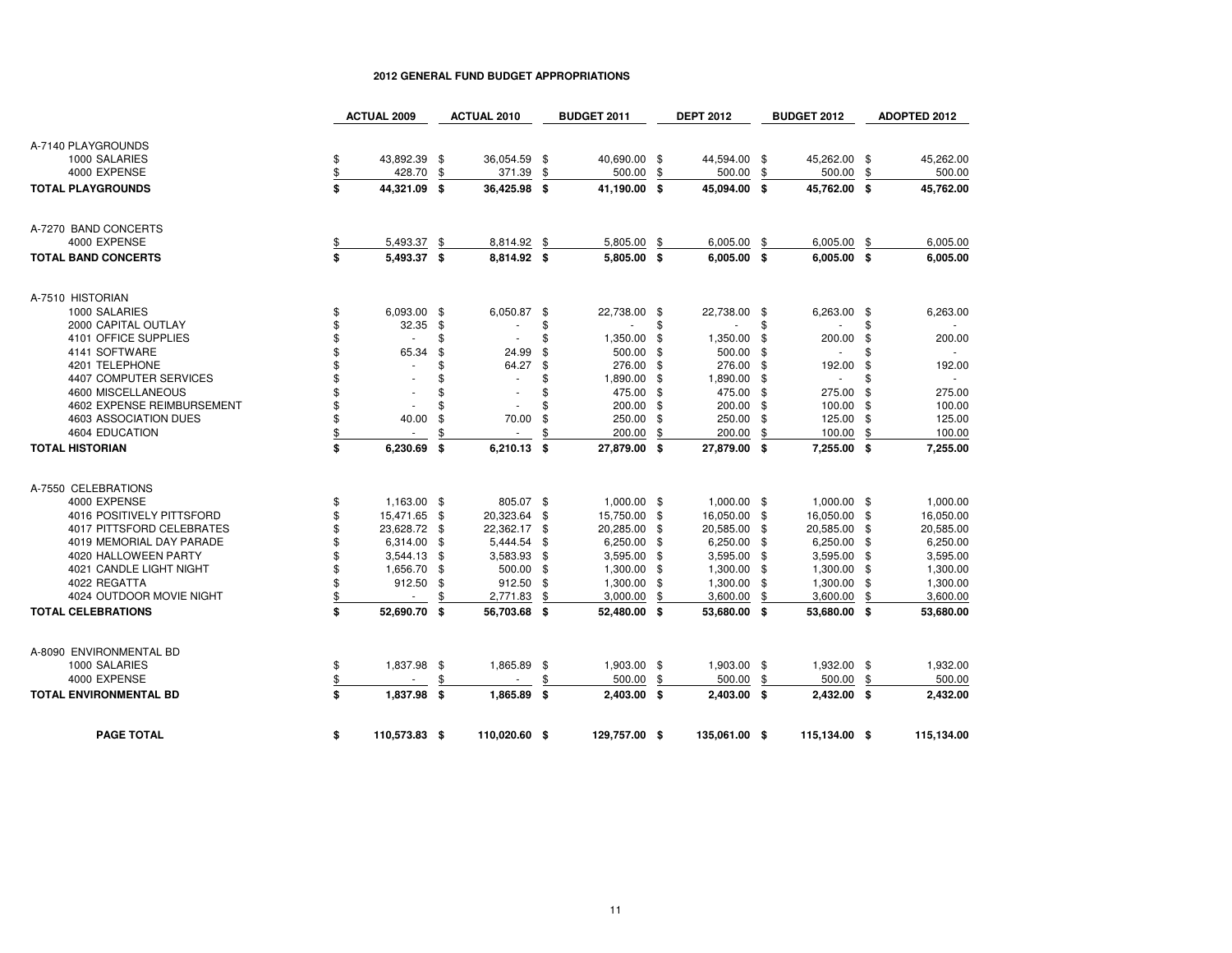|                                  |               | <b>ACTUAL 2009</b>       |      | <b>ACTUAL 2010</b> |      | <b>BUDGET 2011</b> |      | <b>DEPT 2012</b> |      | <b>BUDGET 2012</b> |      | ADOPTED 2012 |
|----------------------------------|---------------|--------------------------|------|--------------------|------|--------------------|------|------------------|------|--------------------|------|--------------|
| A-7140 PLAYGROUNDS               |               |                          |      |                    |      |                    |      |                  |      |                    |      |              |
| 1000 SALARIES                    | \$            | 43,892.39 \$             |      | 36,054.59          | - \$ | 40,690.00 \$       |      | 44,594.00 \$     |      | 45,262.00 \$       |      | 45.262.00    |
| 4000 EXPENSE                     | \$            | 428.70                   | \$   | 371.39             | \$   | 500.00             | \$   | 500.00           | \$   | 500.00             | \$   | 500.00       |
| <b>TOTAL PLAYGROUNDS</b>         | \$            | 44,321.09 \$             |      | 36,425.98          | - \$ | 41,190.00 \$       |      | 45,094.00 \$     |      | 45,762.00 \$       |      | 45,762.00    |
|                                  |               |                          |      |                    |      |                    |      |                  |      |                    |      |              |
| A-7270 BAND CONCERTS             |               |                          |      |                    |      |                    |      |                  |      |                    |      |              |
| 4000 EXPENSE                     | \$            | 5,493.37 \$              |      | 8,814.92           | \$   | 5,805.00           | \$   | 6,005.00         | \$   | 6,005.00           | -\$  | 6,005.00     |
| <b>TOTAL BAND CONCERTS</b>       | \$            | 5,493.37 \$              |      | 8,814.92 \$        |      | 5,805.00 \$        |      | $6,005.00$ \$    |      | $6,005.00$ \$      |      | 6,005.00     |
| A-7510 HISTORIAN                 |               |                          |      |                    |      |                    |      |                  |      |                    |      |              |
| 1000 SALARIES                    | \$            | 6,093.00 \$              |      | 6,050.87           | -\$  | 22,738.00 \$       |      | 22,738.00 \$     |      | 6,263.00           | - \$ | 6,263.00     |
| 2000 CAPITAL OUTLAY              | \$            | 32.35                    | - \$ |                    | \$   |                    | \$   |                  | \$   |                    | £.   |              |
| 4101 OFFICE SUPPLIES             | \$            | $\sim$                   | \$   |                    | \$   | 1,350.00           | \$   | 1,350.00         | -\$  | 200.00             | \$   | 200.00       |
| 4141 SOFTWARE                    | \$            | 65.34                    | \$   | 24.99              | \$   | 500.00             | \$   | 500.00           | \$   | $\mathbf{r}$       | \$   | $\omega$     |
| 4201 TELEPHONE                   | \$            |                          | \$   | 64.27              | \$   | 276.00             | -\$  | 276.00           | - \$ | 192.00             | \$   | 192.00       |
| 4407 COMPUTER SERVICES           | \$            |                          | \$   | ä,                 | \$   | 1,890.00           | \$   | 1,890.00 \$      |      | $\mathbf{r}$       | £.   | ×.           |
| 4600 MISCELLANEOUS               | \$            | $\sim$                   | \$   | ٠                  | \$   | 475.00             | \$   | 475.00 \$        |      | 275.00             | \$   | 275.00       |
| 4602 EXPENSE REIMBURSEMENT       | \$            |                          | \$   |                    | \$   | 200.00             | \$   | 200.00 \$        |      | 100.00 \$          |      | 100.00       |
| 4603 ASSOCIATION DUES            | \$            | 40.00                    | \$   | 70.00              | \$   | 250.00             | \$   | 250.00           | - \$ | 125.00             | -\$  | 125.00       |
| 4604 EDUCATION                   | $\frac{1}{2}$ |                          |      |                    | \$   | 200.00             | \$   | 200.00           | \$   | 100.00             | \$   | 100.00       |
| <b>TOTAL HISTORIAN</b>           | \$            | 6,230.69                 | \$   | 6,210.13           | \$   | 27,879.00          | \$   | 27,879.00        | - \$ | 7,255.00           | - \$ | 7,255.00     |
| A-7550 CELEBRATIONS              |               |                          |      |                    |      |                    |      |                  |      |                    |      |              |
| 4000 EXPENSE                     | \$            | 1,163.00 \$              |      | 805.07 \$          |      | 1,000.00 \$        |      | 1,000.00 \$      |      | 1,000.00 \$        |      | 1,000.00     |
| 4016 POSITIVELY PITTSFORD        | \$            | 15,471.65 \$             |      | 20,323.64          | \$   | 15,750.00          | \$   | 16,050.00 \$     |      | 16,050.00 \$       |      | 16,050.00    |
| <b>4017 PITTSFORD CELEBRATES</b> | \$            | 23,628.72 \$             |      | 22,362.17          | \$   | 20,285.00          | \$   | 20,585.00 \$     |      | 20,585.00 \$       |      | 20,585.00    |
| 4019 MEMORIAL DAY PARADE         | \$            | 6,314.00                 | \$   | 5,444.54           | \$   | 6,250.00           | \$   | 6,250.00 \$      |      | 6,250.00 \$        |      | 6,250.00     |
| 4020 HALLOWEEN PARTY             | \$            | 3,544.13                 | \$   | 3,583.93           | \$   | 3,595.00           | \$   | 3,595.00 \$      |      | 3,595.00 \$        |      | 3,595.00     |
| 4021 CANDLE LIGHT NIGHT          | \$            | 1,656.70                 | \$   | 500.00             | -\$  | 1,300.00           | - \$ | $1,300.00$ \$    |      | 1,300.00 \$        |      | 1,300.00     |
| 4022 REGATTA                     | \$            | 912.50                   | \$   | 912.50             | \$   | 1,300.00           | \$   | 1,300.00         | -\$  | 1,300.00           | - \$ | 1,300.00     |
| 4024 OUTDOOR MOVIE NIGHT         | $\frac{1}{2}$ | $\overline{\phantom{a}}$ | \$   | 2,771.83           | \$   | 3,000.00           | \$   | 3,600.00         | \$   | 3,600.00           | \$   | 3,600.00     |
| <b>TOTAL CELEBRATIONS</b>        | \$            | 52,690.70                | -\$  | 56,703.68          | - \$ | 52,480.00 \$       |      | 53,680.00 \$     |      | 53,680.00 \$       |      | 53,680.00    |
| A-8090 ENVIRONMENTAL BD          |               |                          |      |                    |      |                    |      |                  |      |                    |      |              |
| 1000 SALARIES                    | \$            | 1,837.98 \$              |      | 1,865.89           | \$   | 1,903.00 \$        |      | 1,903.00 \$      |      | 1,932.00 \$        |      | 1,932.00     |
| 4000 EXPENSE                     | $\frac{1}{2}$ |                          |      |                    | \$   | 500.00             | \$   | 500.00           | \$   | 500.00             | \$   | 500.00       |
| <b>TOTAL ENVIRONMENTAL BD</b>    | \$            | 1,837.98 \$              |      | 1,865.89           | - \$ | $2,403.00$ \$      |      | 2,403.00 \$      |      | $2,432.00$ \$      |      | 2,432.00     |
| <b>PAGE TOTAL</b>                | \$            | 110,573.83 \$            |      | 110,020.60 \$      |      | 129,757.00 \$      |      | 135,061.00 \$    |      | 115,134.00 \$      |      | 115,134.00   |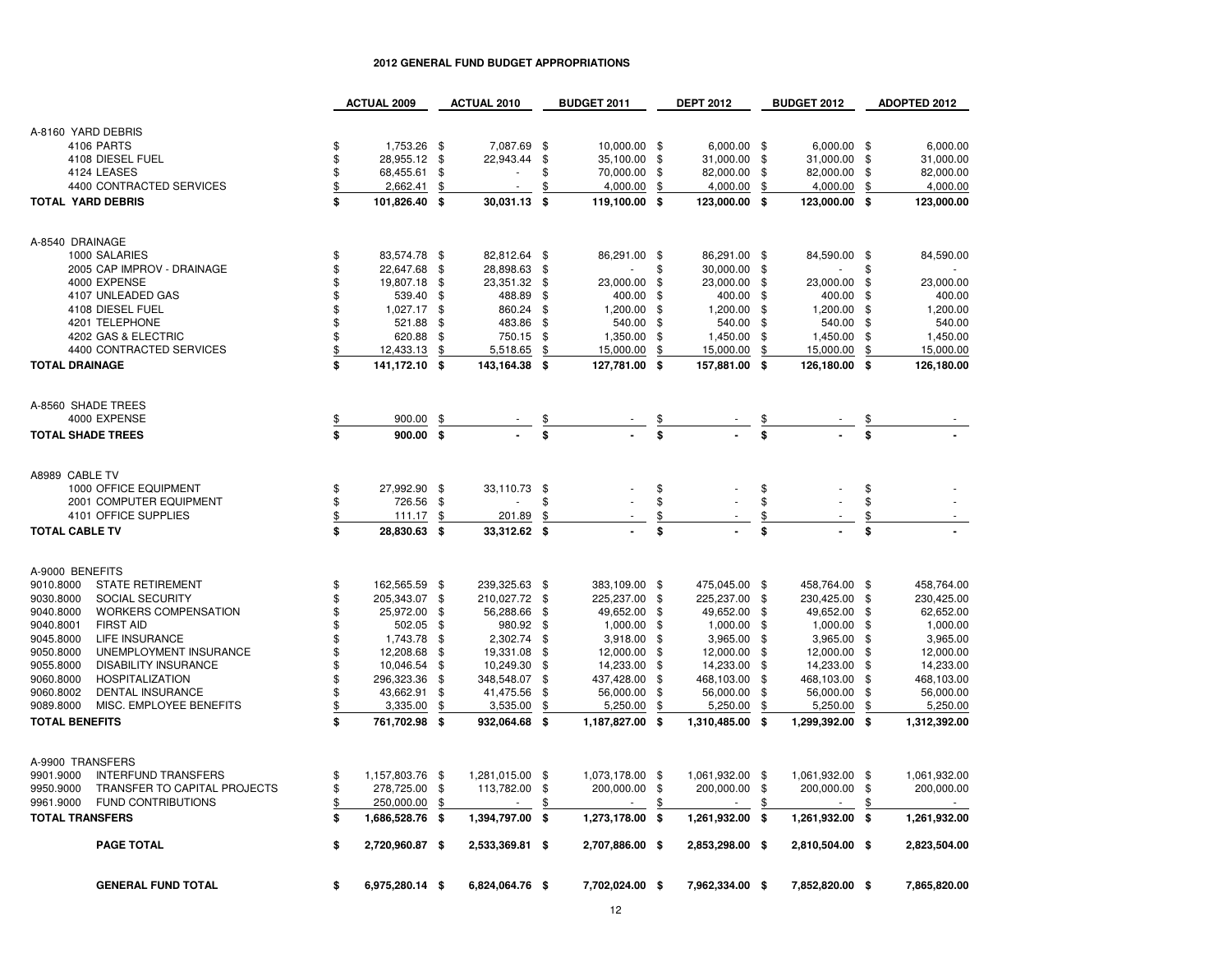|                               | <b>GENERAL FUND TOTAL</b>                                 | \$            | 6,975,280.14 \$          |          | 6,824,064.76 \$    |               | 7,702,024.00 \$       |               | 7,962,334.00 \$      |               | 7,852,820.00 \$           |          | 7,865,820.00          |
|-------------------------------|-----------------------------------------------------------|---------------|--------------------------|----------|--------------------|---------------|-----------------------|---------------|----------------------|---------------|---------------------------|----------|-----------------------|
|                               | <b>PAGE TOTAL</b>                                         | \$            | 2,720,960.87 \$          |          | 2,533,369.81 \$    |               | 2,707,886.00 \$       |               | 2,853,298.00 \$      |               | 2,810,504.00 \$           |          | 2,823,504.00          |
| <b>TOTAL TRANSFERS</b>        |                                                           | \$            | 1,686,528.76 \$          |          | 1,394,797.00 \$    |               | 1,273,178.00 \$       |               | 1,261,932.00 \$      |               | 1,261,932.00 \$           |          | 1,261,932.00          |
| 9950.9000<br>9961.9000        | TRANSFER TO CAPITAL PROJECTS<br><b>FUND CONTRIBUTIONS</b> | \$<br>\$      | 278,725.00<br>250,000.00 | \$<br>\$ | 113,782.00         | \$<br>\$      | 200,000.00 \$         | S             | 200,000.00 \$        | \$            | 200,000.00 \$             | \$       | 200,000.00            |
| A-9900 TRANSFERS<br>9901.9000 | <b>INTERFUND TRANSFERS</b>                                | \$            | 1,157,803.76 \$          |          | 1,281,015.00 \$    |               | 1,073,178.00 \$       |               | 1,061,932.00 \$      |               | 1,061,932.00 \$           |          | 1,061,932.00          |
| <b>TOTAL BENEFITS</b>         |                                                           | \$            | 761,702.98 \$            |          | 932,064.68         | \$            | 1,187,827.00          | -\$           | 1,310,485.00 \$      |               | 1,299,392.00 \$           |          | 1,312,392.00          |
| 9089.8000                     | MISC. EMPLOYEE BENEFITS                                   | \$            | 3,335.00                 | \$       | 3,535.00           | \$            | 5,250.00              | \$            | 5,250.00             | \$            | 5,250.00                  | \$       | 5,250.00              |
| 9060.8002                     | <b>DENTAL INSURANCE</b>                                   | \$            | 43,662.91                | \$       | 41,475.56          | \$            | 56,000.00             | \$            | 56,000.00            | -\$           | 56,000.00                 | \$       | 56,000.00             |
| 9060.8000                     | <b>HOSPITALIZATION</b>                                    | \$            | 296,323.36               | \$       | 348,548.07         | \$            | 437,428.00            | \$            | 468,103.00           | -\$           | 468,103.00                | \$       | 468,103.00            |
| 9055.8000                     | <b>DISABILITY INSURANCE</b>                               | \$            | 10,046.54                | \$       | 10,249.30          | \$            | 14,233.00             | \$            | 14,233.00            | -\$           | 14,233.00                 | \$       | 14,233.00             |
| 9050.8000                     | UNEMPLOYMENT INSURANCE                                    | \$            | 12,208.68                | \$       | 19,331.08          | -\$           | 3,918.00<br>12,000.00 | \$<br>\$      | 12,000.00            | -\$           | 12,000.00                 | - \$     | 3,965.00<br>12,000.00 |
| 9040.8001<br>9045.8000        | <b>FIRST AID</b><br><b>LIFE INSURANCE</b>                 | \$<br>\$      | 502.05<br>1,743.78       | \$<br>\$ | 980.92<br>2,302.74 | \$<br>\$      | 1,000.00              | \$            | 1,000.00<br>3,965.00 | \$<br>-\$     | $1,000.00$ \$<br>3,965.00 | \$       | 1,000.00              |
| 9040.8000                     | <b>WORKERS COMPENSATION</b>                               | \$            | 25,972.00                | \$       | 56,288.66          | -\$           | 49,652.00             | \$            | 49,652.00 \$         |               | 49,652.00 \$              |          | 62,652.00             |
| 9030.8000                     | SOCIAL SECURITY                                           | \$            | 205,343.07               | \$       | 210,027.72         | \$            | 225,237.00            | \$            | 225,237.00           | - \$          | 230,425.00 \$             |          | 230,425.00            |
| A-9000 BENEFITS<br>9010.8000  | <b>STATE RETIREMENT</b>                                   | \$            | 162,565.59 \$            |          | 239,325.63         | \$            | 383,109.00 \$         |               | 475,045.00           | - \$          | 458,764.00 \$             |          | 458,764.00            |
| <b>TOTAL CABLE TV</b>         |                                                           | \$            | 28,830.63 \$             |          | 33,312.62 \$       |               |                       | \$            |                      | \$            |                           | \$       |                       |
|                               | 4101 OFFICE SUPPLIES                                      | $\frac{1}{2}$ | 111.17                   | \$       | 201.89             | \$            |                       | $\frac{1}{2}$ |                      | $\frac{1}{2}$ |                           | \$       |                       |
|                               | 2001 COMPUTER EQUIPMENT                                   | \$            | 726.56                   | \$       |                    | \$            |                       | \$            |                      | \$            |                           | \$       |                       |
| A8989 CABLE TV                | 1000 OFFICE EQUIPMENT                                     | \$            | 27.992.90 \$             |          | 33,110.73 \$       |               |                       | \$            |                      | \$            |                           | \$       |                       |
| <b>TOTAL SHADE TREES</b>      |                                                           | \$            | 900.00 \$                |          |                    | \$            |                       | \$            |                      |               |                           | \$       |                       |
| A-8560 SHADE TREES            | 4000 EXPENSE                                              | <u>\$</u>     | 900.00                   | \$       |                    | $\frac{1}{2}$ |                       | $\frac{3}{2}$ |                      | $\frac{3}{3}$ |                           | \$       |                       |
| <b>TOTAL DRAINAGE</b>         |                                                           | \$            | 141,172.10 \$            |          | 143,164.38 \$      |               | 127,781.00 \$         |               | 157,881.00 \$        |               | 126,180.00 \$             |          | 126,180.00            |
|                               | 4400 CONTRACTED SERVICES                                  | \$            | 12,433.13                | \$       | 5,518.65           | \$            | 15,000.00             | \$            | 15,000.00            | \$            | 15,000.00                 | \$       | 15,000.00             |
|                               | 4202 GAS & ELECTRIC                                       | \$            | 620.88                   | -\$      | 750.15             | \$            | 1,350.00              | - \$          | 1,450.00             | -\$           | 1,450.00                  | \$       | 1,450.00              |
|                               | 4201 TELEPHONE                                            | \$            | 521.88                   | \$       | 483.86             | -\$           | 540.00                | \$            | 540.00               | -\$           | 540.00                    | \$       | 540.00                |
|                               | 4107 UNLEADED GAS<br>4108 DIESEL FUEL                     | \$<br>\$      | 539.40<br>1,027.17       | \$<br>\$ | 488.89<br>860.24   | \$<br>\$      | 400.00<br>1,200.00    | \$<br>\$      | 400.00<br>1,200.00   | -\$<br>- \$   | 400.00<br>1,200.00        | \$<br>\$ | 400.00<br>1,200.00    |
|                               | 4000 EXPENSE                                              | \$            | 19,807.18                | -\$      | 23,351.32          | -\$           | 23,000.00             | \$            | 23,000.00            | - \$          | 23,000.00                 | \$       | 23,000.00             |
|                               | 2005 CAP IMPROV - DRAINAGE                                | \$            | 22,647.68                | \$       | 28,898.63          | -\$           |                       | \$            | 30,000.00            | -\$           |                           |          |                       |
| A-8540 DRAINAGE               | 1000 SALARIES                                             | \$            | 83,574.78 \$             |          | 82,812.64          | \$            | 86,291.00 \$          |               | 86,291.00            | - \$          | 84,590.00 \$              |          | 84,590.00             |
|                               |                                                           |               | 101,826.40 \$            |          | 30,031.13 \$       |               | 119,100.00 \$         |               | 123,000.00 \$        |               | 123,000.00 \$             |          | 123,000.00            |
| <b>TOTAL YARD DEBRIS</b>      | 4400 CONTRACTED SERVICES                                  | \$<br>\$      | 2,662.41                 | \$       | ×.                 | \$            | 4,000.00              | \$            | 4,000.00             | \$            | 4,000.00                  | \$       | 4,000.00              |
|                               | 4124 LEASES                                               | \$            | 68,455.61                | \$       | ٠                  | \$            | 70,000.00             | \$            | 82,000.00            | - \$          | 82,000.00                 | \$       | 82,000.00             |
|                               | 4108 DIESEL FUEL                                          | \$            | 28,955.12 \$             |          | 22,943.44          | \$            | 35,100.00 \$          |               | 31,000.00 \$         |               | 31,000.00 \$              |          | 31,000.00             |
|                               | 4106 PARTS                                                | \$            | 1,753.26 \$              |          | 7,087.69           | -\$           | 10,000.00 \$          |               | 6,000.00 \$          |               | $6,000.00$ \$             |          | 6,000.00              |
| A-8160 YARD DEBRIS            |                                                           |               |                          |          |                    |               |                       |               |                      |               |                           |          |                       |

**ACTUAL 2010 BUDGET 2011 DEPT 2012 BUDGET 2012 ADOPTED 2012**

**ACTUAL 2009**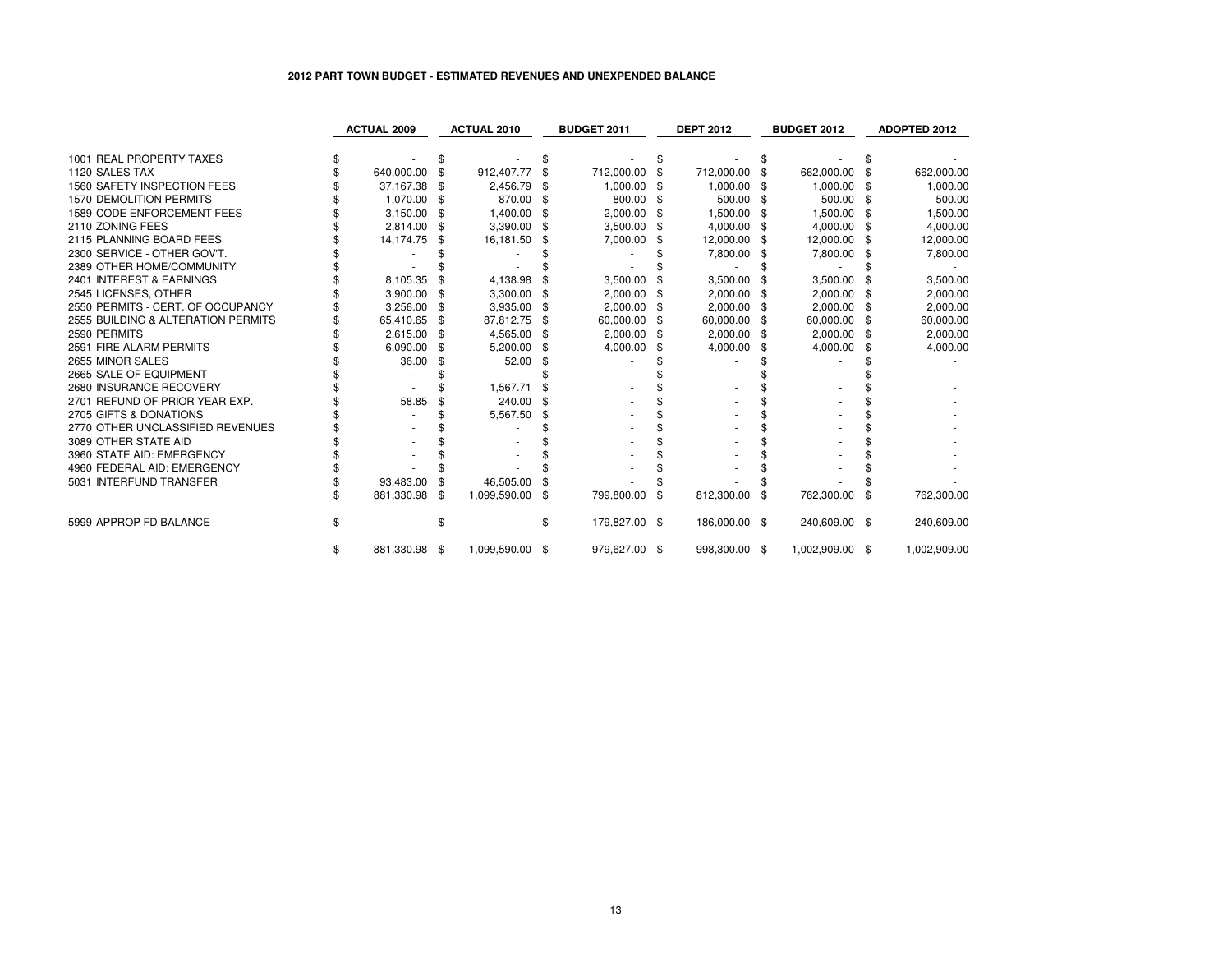### **2012 PART TOWN BUDGET - ESTIMATED REVENUES AND UNEXPENDED BALANCE**

|                                    | <b>ACTUAL 2009</b>  |     | <b>ACTUAL 2010</b> |      | <b>BUDGET 2011</b> |     | <b>DEPT 2012</b> |      | <b>BUDGET 2012</b> | <b>ADOPTED 2012</b> |
|------------------------------------|---------------------|-----|--------------------|------|--------------------|-----|------------------|------|--------------------|---------------------|
|                                    |                     |     |                    |      |                    |     |                  |      |                    |                     |
| 1001 REAL PROPERTY TAXES           |                     |     |                    |      |                    |     |                  |      |                    |                     |
| 1120 SALES TAX                     | 640,000.00          |     | 912,407.77         | \$   | 712,000.00         | \$. | 712,000.00       | \$   | 662,000.00         | 662,000.00          |
| 1560 SAFETY INSPECTION FEES        | 37,167.38           |     | 2,456.79           |      | 1,000.00           | -96 | 1,000.00         | \$   | 1,000.00           | 1,000.00            |
| <b>1570 DEMOLITION PERMITS</b>     | 1,070.00            | \$. | 870.00             | -\$  | 800.00             | -S  | 500.00           | - \$ | 500.00             | 500.00              |
| 1589 CODE ENFORCEMENT FEES         | 3,150.00            |     | 1,400.00           | - \$ | 2,000.00           | \$. | 1,500.00         | - \$ | 1,500.00           | 1,500.00            |
| 2110 ZONING FEES                   | 2.814.00            | \$  | 3,390.00           | \$   | 3,500.00 \$        |     | 4,000.00         | - \$ | 4,000.00           | 4,000.00            |
| 2115 PLANNING BOARD FEES           | 14,174.75           | \$. | 16,181.50          | \$   | 7,000.00           | \$  | 12,000.00        | \$   | 12,000.00          | 12,000.00           |
| 2300 SERVICE - OTHER GOV'T.        |                     |     |                    |      |                    |     | 7,800.00         |      | 7,800.00           | 7,800.00            |
| 2389 OTHER HOME/COMMUNITY          |                     |     |                    |      |                    |     |                  |      |                    |                     |
| 2401 INTEREST & EARNINGS           | 8,105.35            |     | 4,138.98           | \$   | 3,500.00           |     | 3,500.00         |      | 3,500.00           | 3,500.00            |
| 2545 LICENSES, OTHER               | 3,900.00            |     | 3,300.00           | \$   | 2,000.00           |     | 2,000.00         | -\$  | 2,000.00           | 2,000.00            |
| 2550 PERMITS - CERT. OF OCCUPANCY  | 3,256.00            |     | 3,935.00           | \$   | 2,000.00           | \$  | 2,000.00         | -\$  | 2,000.00           | 2,000.00            |
| 2555 BUILDING & ALTERATION PERMITS | 65,410.65 \$        |     | 87,812.75          | \$   | 60,000.00 \$       |     | 60,000.00        | \$   | 60,000.00          | 60,000.00           |
| 2590 PERMITS                       | 2,615.00            | \$  | 4,565.00           | \$   | 2,000.00           | \$  | 2,000.00         | -\$  | 2,000.00           | 2,000.00            |
| 2591 FIRE ALARM PERMITS            | 6,090.00            |     | 5,200.00           | \$   | 4,000.00           |     | 4,000.00         | \$   | 4,000.00           | 4,000.00            |
| 2655 MINOR SALES                   | 36.00               |     | 52.00              | \$   |                    |     |                  |      |                    |                     |
| 2665 SALE OF EQUIPMENT             |                     |     |                    |      |                    |     |                  |      |                    |                     |
| 2680 INSURANCE RECOVERY            |                     |     | 1,567.71           |      |                    |     |                  |      |                    |                     |
| 2701 REFUND OF PRIOR YEAR EXP.     | 58.85               |     | 240.00             |      |                    |     |                  |      |                    |                     |
| 2705 GIFTS & DONATIONS             |                     |     | 5,567.50           | \$   |                    |     |                  |      |                    |                     |
| 2770 OTHER UNCLASSIFIED REVENUES   |                     |     |                    |      |                    |     |                  |      |                    |                     |
| 3089 OTHER STATE AID               |                     |     |                    |      |                    |     |                  |      |                    |                     |
| 3960 STATE AID: EMERGENCY          |                     |     |                    |      |                    |     |                  |      |                    |                     |
| 4960 FEDERAL AID: EMERGENCY        |                     |     |                    |      |                    |     |                  |      |                    |                     |
| 5031 INTERFUND TRANSFER            | 93,483.00           |     | 46,505.00          |      |                    |     |                  |      |                    |                     |
|                                    | 881,330.98          | \$  | 1,099,590.00       | \$   | 799,800.00         | \$  | 812,300.00 \$    |      | 762,300.00         | \$<br>762,300.00    |
| 5999 APPROP FD BALANCE             |                     |     |                    | \$   | 179,827.00 \$      |     | 186,000.00 \$    |      | 240,609.00 \$      | 240,609.00          |
|                                    | \$<br>881,330.98 \$ |     | 1,099,590.00 \$    |      | 979,627.00 \$      |     | 998,300.00 \$    |      | 1,002,909.00 \$    | 1,002,909.00        |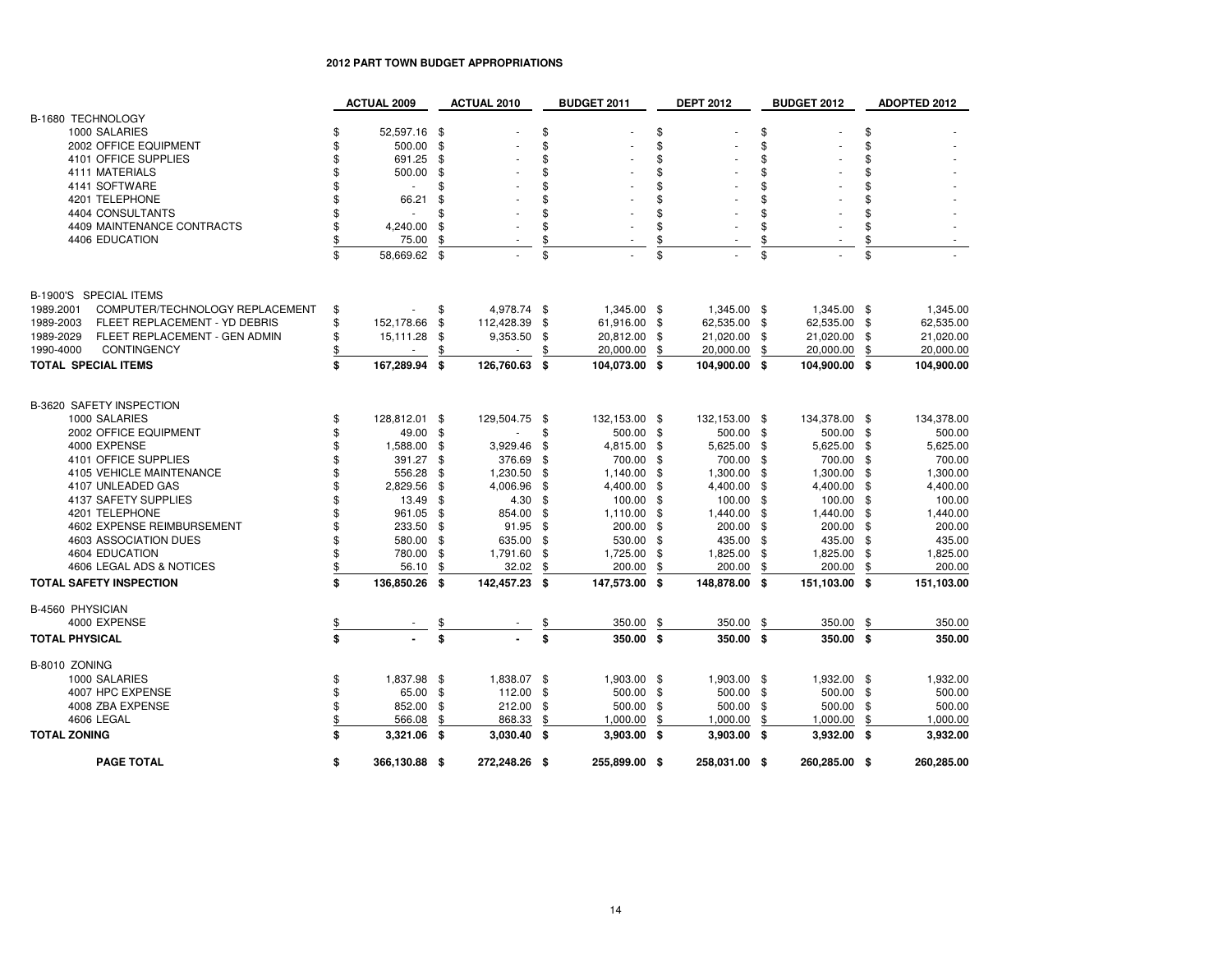# **2012 PART TOWN BUDGET APPROPRIATIONS**

|                                              | <b>ACTUAL 2009</b>             |      | <b>ACTUAL 2010</b> |      | <b>BUDGET 2011</b> | <b>DEPT 2012</b>   |      | BUDGET 2012   |      | ADOPTED 2012 |
|----------------------------------------------|--------------------------------|------|--------------------|------|--------------------|--------------------|------|---------------|------|--------------|
| B-1680 TECHNOLOGY                            |                                |      |                    |      |                    |                    |      |               |      |              |
| 1000 SALARIES                                | \$<br>52,597.16 \$             |      |                    | \$   |                    | \$                 | \$   |               | \$   |              |
| 2002 OFFICE EQUIPMENT                        | \$<br>500.00                   | \$   |                    | \$   |                    | \$                 | \$   |               | \$   |              |
| 4101 OFFICE SUPPLIES                         | \$<br>691.25                   | \$   |                    | \$   |                    | \$                 | \$   |               | \$   |              |
| 4111 MATERIALS                               | \$<br>500.00                   | \$   |                    | \$   |                    | \$                 | \$   |               | \$   |              |
| 4141 SOFTWARE                                | \$                             | \$   |                    | \$   |                    | \$                 | \$   |               | \$   |              |
| 4201 TELEPHONE                               | \$<br>66.21                    | \$   |                    | \$   |                    | \$                 | \$   |               | \$   |              |
| 4404 CONSULTANTS                             | \$                             | \$   |                    | \$   |                    | \$                 | \$   |               | \$   |              |
| 4409 MAINTENANCE CONTRACTS                   | \$<br>4,240.00                 | \$   |                    | \$   |                    | \$                 | \$   |               | \$   |              |
| 4406 EDUCATION                               | \$<br>75.00                    | \$   |                    | \$   |                    | \$                 | \$   |               | \$   |              |
|                                              | \$<br>58,669.62 \$             |      |                    | \$   |                    | \$                 | \$   |               | \$   |              |
|                                              |                                |      |                    |      |                    |                    |      |               |      |              |
| B-1900'S SPECIAL ITEMS                       |                                |      |                    |      |                    |                    |      |               |      |              |
| 1989.2001<br>COMPUTER/TECHNOLOGY REPLACEMENT | \$                             | \$   | 4,978.74 \$        |      | 1,345.00 \$        | 1,345.00 \$        |      | 1,345.00 \$   |      | 1,345.00     |
| 1989-2003<br>FLEET REPLACEMENT - YD DEBRIS   | \$<br>152,178.66               | \$   | 112,428.39         | \$   | 61,916.00          | \$<br>62,535.00    | \$   | 62,535.00     | - \$ | 62,535.00    |
| FLEET REPLACEMENT - GEN ADMIN<br>1989-2029   | \$<br>15,111.28                | \$   | 9,353.50           | -\$  | 20,812.00          | \$<br>21,020.00 \$ |      | 21,020.00 \$  |      | 21,020.00    |
| 1990-4000<br><b>CONTINGENCY</b>              | \$<br>$\overline{\phantom{a}}$ | \$   |                    | \$   | 20,000.00          | \$<br>20,000.00    | \$   | 20,000.00     | \$   | 20,000.00    |
| <b>TOTAL SPECIAL ITEMS</b>                   | \$<br>167,289.94               | \$   | 126,760.63         | -\$  | 104,073.00 \$      | 104,900.00 \$      |      | 104,900.00 \$ |      | 104,900.00   |
| B-3620 SAFETY INSPECTION                     |                                |      |                    |      |                    |                    |      |               |      |              |
| 1000 SALARIES                                | \$<br>128,812.01 \$            |      | 129,504.75 \$      |      | 132,153.00 \$      | 132,153.00 \$      |      | 134,378.00 \$ |      | 134,378.00   |
| 2002 OFFICE EQUIPMENT                        | \$<br>49.00                    | \$   |                    | \$.  | 500.00             | \$<br>500.00 \$    |      | 500.00        | - \$ | 500.00       |
| 4000 EXPENSE                                 | \$<br>1,588.00                 | \$   | 3,929.46           | \$   | 4,815.00           | \$<br>5,625.00     | -\$  | 5,625.00      | -\$  | 5,625.00     |
| 4101 OFFICE SUPPLIES                         | \$<br>391.27                   | \$   | 376.69             | \$   | 700.00             | \$<br>700.00       | \$   | 700.00        | - \$ | 700.00       |
| <b>4105 VEHICLE MAINTENANCE</b>              | \$<br>556.28                   | \$   | 1,230.50           | \$   | 1,140.00           | \$<br>1,300.00     | \$   | 1,300.00      | \$   | 1,300.00     |
| 4107 UNLEADED GAS                            | \$<br>2,829.56                 | \$   | 4,006.96           | \$   | 4,400.00           | \$<br>4,400.00     | \$   | 4,400.00      | - \$ | 4,400.00     |
| 4137 SAFETY SUPPLIES                         | \$<br>13.49                    | \$   | 4.30               | \$   | 100.00             | \$<br>100.00       | \$   | 100.00        | -\$  | 100.00       |
| 4201 TELEPHONE                               | \$<br>961.05                   | \$   | 854.00             | \$   | 1,110.00           | \$<br>1,440.00     | \$   | 1,440.00      | - \$ | 1,440.00     |
| 4602 EXPENSE REIMBURSEMENT                   | \$<br>233.50                   | \$   | 91.95              | \$   | 200.00             | \$<br>200.00       | \$   | 200.00        | -\$  | 200.00       |
| 4603 ASSOCIATION DUES                        | \$<br>580.00                   | \$   | 635.00             | -\$  | 530.00             | \$<br>435.00       | \$   | 435.00 \$     |      | 435.00       |
| <b>4604 EDUCATION</b>                        | \$<br>780.00                   | \$   | 1,791.60           | \$   | 1,725.00           | \$<br>1,825.00     | \$   | 1,825.00      | \$   | 1,825.00     |
| 4606 LEGAL ADS & NOTICES                     |                                | \$   | 32.02              | \$   | 200.00             | \$<br>200.00       |      | 200.00        |      | 200.00       |
|                                              | \$<br>56.10                    |      |                    |      |                    |                    | \$   |               | \$   |              |
| <b>TOTAL SAFETY INSPECTION</b>               | \$<br>136,850.26               | - \$ | 142,457.23         | \$   | 147,573.00 \$      | 148,878.00         | - \$ | 151,103.00 \$ |      | 151,103.00   |
| <b>B-4560 PHYSICIAN</b>                      |                                |      |                    |      |                    |                    |      |               |      |              |
| 4000 EXPENSE                                 |                                | \$   |                    |      | 350.00             | \$<br>350.00       | \$   | 350.00        | \$   | 350.00       |
| <b>TOTAL PHYSICAL</b>                        | \$                             | \$   |                    | \$   | 350.00             | \$<br>350.00       | \$   | 350.00 \$     |      | 350.00       |
| B-8010 ZONING                                |                                |      |                    |      |                    |                    |      |               |      |              |
| 1000 SALARIES                                | \$<br>1,837.98 \$              |      | 1,838.07           | - \$ | 1,903.00 \$        | 1,903.00 \$        |      | 1,932.00 \$   |      | 1,932.00     |
| 4007 HPC EXPENSE                             | \$<br>65.00                    | \$   | 112.00             | \$   | 500.00             | \$<br>500.00       | - \$ | 500.00 \$     |      | 500.00       |
| 4008 ZBA EXPENSE                             | \$<br>852.00                   | \$   | 212.00             | \$   | 500.00             | \$<br>500.00       | \$   | 500.00        | -\$  | 500.00       |
| 4606 LEGAL                                   | \$<br>566.08                   | \$   | 868.33             | \$   | 1,000.00           | \$<br>1,000.00     | \$   | 1,000.00      | \$   | 1,000.00     |
| <b>TOTAL ZONING</b>                          | \$<br>3,321.06                 | - \$ | $3,030.40$ \$      |      | $3,903.00$ \$      | 3,903.00           | - \$ | $3,932.00$ \$ |      | 3,932.00     |
| <b>PAGE TOTAL</b>                            | \$<br>366,130.88 \$            |      | 272,248.26 \$      |      | 255,899.00 \$      | 258,031.00 \$      |      | 260,285.00 \$ |      | 260,285.00   |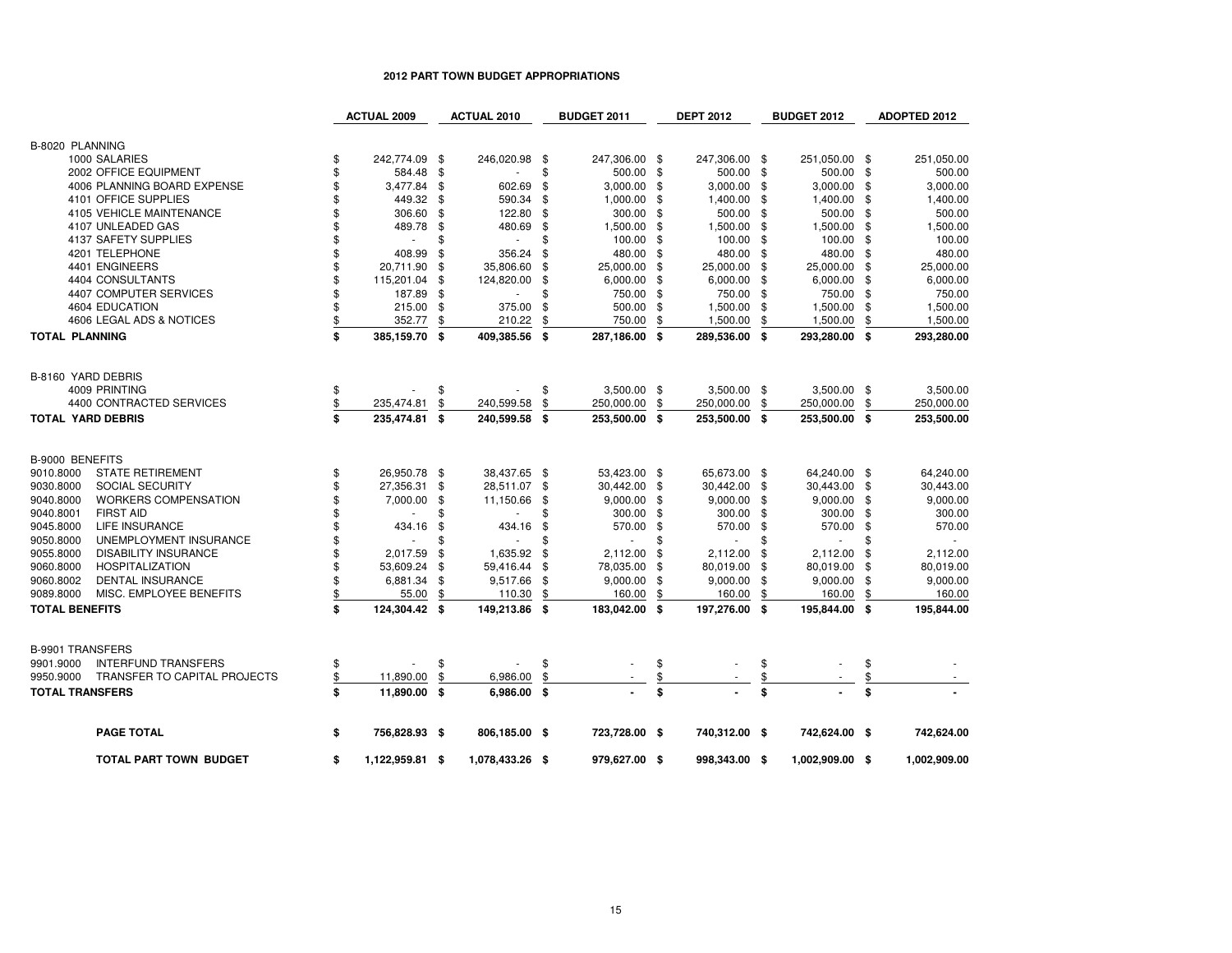### **2012 PART TOWN BUDGET APPROPRIATIONS**

|                          |                                     | <b>ACTUAL 2009</b>    |     | <b>ACTUAL 2010</b> |      | <b>BUDGET 2011</b>       |      | <b>DEPT 2012</b> |      | <b>BUDGET 2012</b>       |     | <b>ADOPTED 2012</b> |
|--------------------------|-------------------------------------|-----------------------|-----|--------------------|------|--------------------------|------|------------------|------|--------------------------|-----|---------------------|
| B-8020 PLANNING          |                                     |                       |     |                    |      |                          |      |                  |      |                          |     |                     |
|                          | 1000 SALARIES                       | \$<br>242,774.09 \$   |     | 246,020.98 \$      |      | 247,306.00 \$            |      | 247,306.00 \$    |      | 251,050.00 \$            |     | 251,050.00          |
|                          | 2002 OFFICE EQUIPMENT               | \$<br>584.48          | \$  |                    | \$   | 500.00                   | -\$  | 500.00 \$        |      | 500.00 \$                |     | 500.00              |
|                          | 4006 PLANNING BOARD EXPENSE         | \$<br>3,477.84        | \$  | 602.69             | -\$  | 3,000.00                 | -\$  | 3,000.00         | -\$  | $3,000.00$ \$            |     | 3,000.00            |
|                          | 4101 OFFICE SUPPLIES                | \$<br>449.32          | \$  | 590.34             | \$   | 1,000.00                 | - \$ | 1,400.00         | - \$ | 1,400.00 \$              |     | 1,400.00            |
|                          | 4105 VEHICLE MAINTENANCE            | \$<br>306.60          | \$  | 122.80             | \$   | 300.00                   | - \$ | 500.00           | - \$ | 500.00 \$                |     | 500.00              |
|                          | 4107 UNLEADED GAS                   | \$<br>489.78          | \$  | 480.69             | -\$  | 1,500.00                 | -\$  | 1,500.00         | - \$ | 1,500.00 \$              |     | 1,500.00            |
|                          | 4137 SAFETY SUPPLIES                | \$<br>$\mathbf{r}$    | \$  | $\sim$             | \$   | 100.00                   | -\$  | 100.00           | -\$  | 100.00 \$                |     | 100.00              |
|                          | 4201 TELEPHONE                      | \$<br>408.99          | \$  | 356.24             | \$   | 480.00 \$                |      | 480.00 \$        |      | 480.00 \$                |     | 480.00              |
|                          | 4401 ENGINEERS                      | \$<br>20,711.90       | \$  | 35,806.60          | -\$  | 25,000.00 \$             |      | 25,000.00 \$     |      | 25,000.00 \$             |     | 25,000.00           |
|                          | 4404 CONSULTANTS                    | \$<br>115,201.04      | \$  | 124,820.00         | \$   | $6,000.00$ \$            |      | $6,000.00$ \$    |      | $6,000.00$ \$            |     | 6,000.00            |
|                          | 4407 COMPUTER SERVICES              | \$<br>187.89          | \$  |                    | \$   | 750.00 \$                |      | 750.00 \$        |      | 750.00 \$                |     | 750.00              |
|                          | 4604 EDUCATION                      | \$<br>215.00          | -\$ | 375.00             | \$   | 500.00                   | -\$  | 1,500.00 \$      |      | 1,500.00 \$              |     | 1,500.00            |
|                          | 4606 LEGAL ADS & NOTICES            | \$<br>352.77          | \$  | 210.22             | \$   | 750.00                   | \$   | 1,500.00         | \$   | 1,500.00                 | \$  | 1,500.00            |
| <b>TOTAL PLANNING</b>    |                                     | \$<br>385,159.70 \$   |     | 409,385.56         | - \$ | 287,186.00 \$            |      | 289,536.00 \$    |      | 293,280.00 \$            |     | 293,280.00          |
|                          |                                     |                       |     |                    |      |                          |      |                  |      |                          |     |                     |
| B-8160 YARD DEBRIS       |                                     |                       |     |                    |      |                          |      |                  |      |                          |     |                     |
|                          | 4009 PRINTING                       | \$                    | \$  |                    | \$   | $3,500.00$ \$            |      | 3,500.00 \$      |      | $3,500.00$ \$            |     | 3,500.00            |
|                          | 4400 CONTRACTED SERVICES            | 235,474.81            | \$  | 240,599.58         | \$   | 250,000.00               | \$   | 250,000.00       | -\$  | 250,000.00               | \$  | 250,000.00          |
| <b>TOTAL YARD DEBRIS</b> |                                     | \$<br>235,474.81 \$   |     | 240,599.58         | -\$  | 253,500.00 \$            |      | 253,500.00 \$    |      | 253,500.00 \$            |     | 253,500.00          |
| <b>B-9000 BENEFITS</b>   |                                     |                       |     |                    |      |                          |      |                  |      |                          |     |                     |
| 9010.8000                | <b>STATE RETIREMENT</b>             | \$<br>26,950.78 \$    |     | 38,437.65 \$       |      | 53,423.00 \$             |      | 65,673.00 \$     |      | 64,240.00 \$             |     | 64,240.00           |
| 9030.8000                | SOCIAL SECURITY                     | \$<br>27,356.31       | \$  | 28,511.07          | - \$ | 30,442.00 \$             |      | 30,442.00 \$     |      | 30,443.00 \$             |     | 30,443.00           |
| 9040.8000                | <b>WORKERS COMPENSATION</b>         | \$<br>7,000.00        | \$  | 11,150.66          | -\$  | $9,000.00$ \$            |      | $9,000.00$ \$    |      | $9,000.00$ \$            |     | 9,000.00            |
| 9040.8001                | <b>FIRST AID</b>                    |                       | \$  | $\sim$             | \$   | 300.00 \$                |      | 300.00 \$        |      | 300.00 \$                |     | 300.00              |
| 9045.8000                | LIFE INSURANCE                      | \$<br>434.16          | \$  | 434.16             | -\$  | 570.00 \$                |      | 570.00           | - \$ | 570.00 \$                |     | 570.00              |
| 9050.8000                | UNEMPLOYMENT INSURANCE              | \$                    | \$  | $\omega$           | \$   | $\overline{\phantom{a}}$ |      | ÷,               | \$   | $\overline{\phantom{a}}$ |     |                     |
| 9055.8000                | <b>DISABILITY INSURANCE</b>         | \$<br>2,017.59        | \$  | 1,635.92           | -\$  | 2,112.00                 | \$   | 2,112.00         | -\$  | 2,112.00                 | \$  | 2,112.00            |
| 9060.8000                | <b>HOSPITALIZATION</b>              | \$<br>53,609.24       | \$  | 59,416.44          | \$   | 78,035.00                | \$   | 80,019.00        | -\$  | 80,019.00                | -\$ | 80,019.00           |
| 9060.8002                | <b>DENTAL INSURANCE</b>             | \$<br>6,881.34        | \$  | 9,517.66           | - \$ | 9,000.00                 | -\$  | $9,000.00$ \$    |      | $9,000.00$ \$            |     | 9,000.00            |
| 9089.8000                | MISC. EMPLOYEE BENEFITS             | \$<br>55.00           | \$  | 110.30             | \$   | 160.00                   | \$   | 160.00           | \$   | 160.00                   | \$  | 160.00              |
| <b>TOTAL BENEFITS</b>    |                                     | \$<br>124,304.42 \$   |     | 149,213.86 \$      |      | 183,042.00 \$            |      | 197,276.00 \$    |      | 195,844.00 \$            |     | 195,844.00          |
|                          |                                     |                       |     |                    |      |                          |      |                  |      |                          |     |                     |
| <b>B-9901 TRANSFERS</b>  |                                     |                       |     |                    |      |                          |      |                  |      |                          |     |                     |
| 9901.9000                | <b>INTERFUND TRANSFERS</b>          | \$                    | \$  |                    | \$   |                          | \$   |                  | \$   |                          | \$  |                     |
| 9950.9000                | <b>TRANSFER TO CAPITAL PROJECTS</b> | \$<br>11,890.00       | \$  | 6,986.00           | \$   |                          | \$   |                  | \$   |                          | \$  |                     |
| <b>TOTAL TRANSFERS</b>   |                                     | \$<br>11,890.00 \$    |     | 6,986.00 \$        |      |                          | \$   |                  | \$   |                          | \$  |                     |
|                          | <b>PAGE TOTAL</b>                   | \$<br>756,828.93 \$   |     | 806,185.00 \$      |      | 723,728.00 \$            |      | 740,312.00 \$    |      | 742,624.00 \$            |     | 742,624.00          |
|                          | TOTAL PART TOWN BUDGET              | \$<br>1,122,959.81 \$ |     | 1,078,433.26 \$    |      | 979,627.00 \$            |      | 998,343.00 \$    |      | 1,002,909.00 \$          |     | 1,002,909.00        |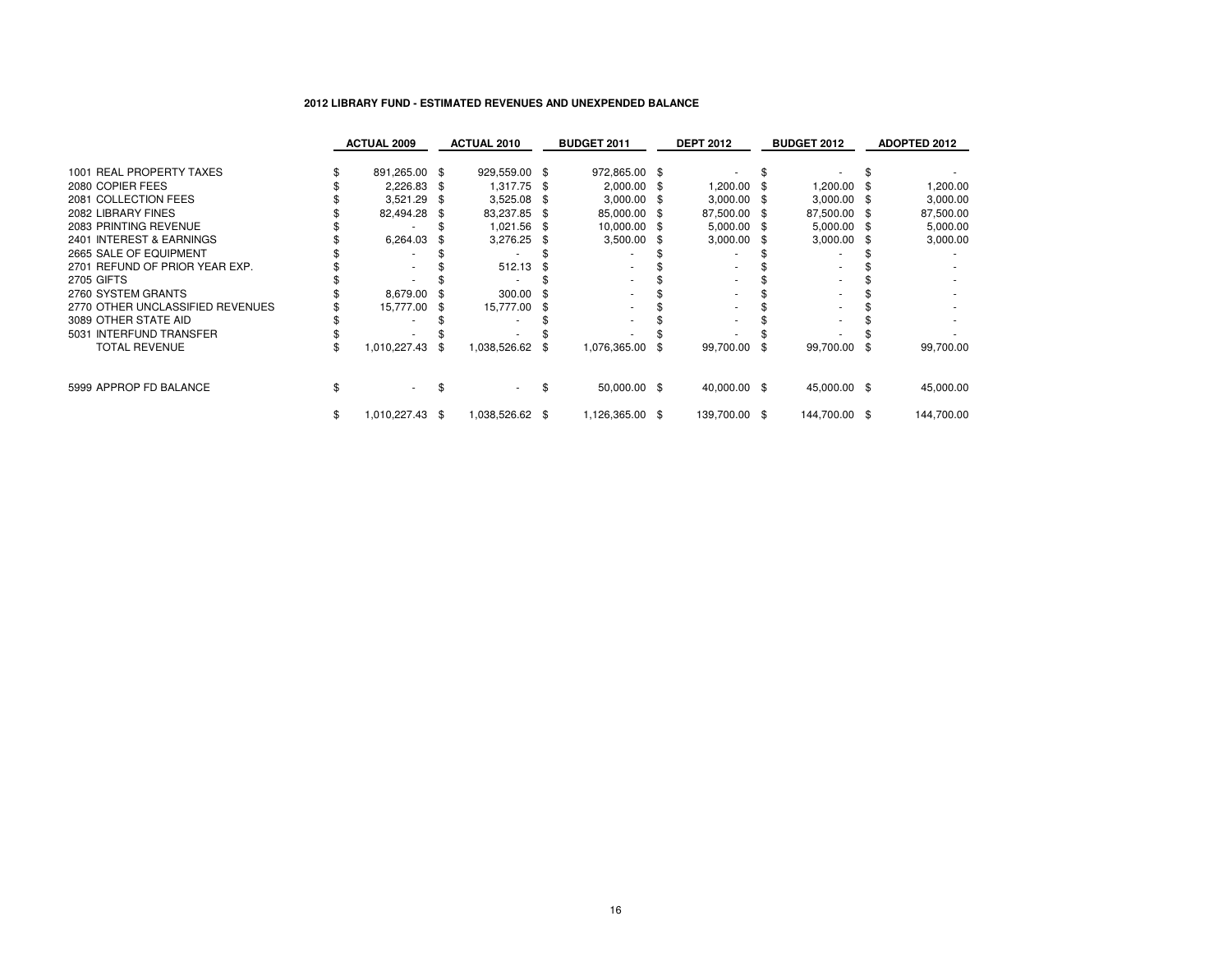## **2012 LIBRARY FUND - ESTIMATED REVENUES AND UNEXPENDED BALANCE**

|                                  | <b>ACTUAL 2009</b> |     | <b>ACTUAL 2010</b> |      | <b>BUDGET 2011</b> |      | <b>DEPT 2012</b> |      | <b>BUDGET 2012</b> | <b>ADOPTED 2012</b> |
|----------------------------------|--------------------|-----|--------------------|------|--------------------|------|------------------|------|--------------------|---------------------|
|                                  |                    |     |                    |      |                    |      |                  |      |                    |                     |
| 1001 REAL PROPERTY TAXES         | 891,265.00 \$      |     | 929,559.00 \$      |      | 972,865.00 \$      |      |                  |      |                    |                     |
| 2080 COPIER FEES                 | 2,226.83           |     | 1,317.75           | - 36 | 2,000.00           | - \$ | 1,200.00         |      | 1,200.00 \$        | 1,200.00            |
| 2081 COLLECTION FEES             | 3,521.29           |     | 3,525.08           | - 5  | $3,000.00$ \$      |      | $3,000.00$ \$    |      | $3,000.00$ \$      | 3,000.00            |
| 2082 LIBRARY FINES               | 82,494.28          |     | 83,237.85          | - \$ | 85,000.00 \$       |      | 87,500.00        | - \$ | 87,500.00 \$       | 87,500.00           |
| 2083 PRINTING REVENUE            |                    |     | 1,021.56           | - \$ | 10,000.00 \$       |      | $5,000.00$ \$    |      | 5,000.00 \$        | 5,000.00            |
| 2401 INTEREST & EARNINGS         | 6,264.03           |     | 3,276.25           |      | 3,500.00           | - 56 | 3,000.00         | - \$ | $3,000.00$ \$      | 3,000.00            |
| 2665 SALE OF EQUIPMENT           |                    |     |                    |      |                    |      |                  |      |                    |                     |
| 2701 REFUND OF PRIOR YEAR EXP.   |                    |     | 512.13             |      |                    |      |                  |      |                    |                     |
| <b>2705 GIFTS</b>                |                    |     |                    |      |                    |      |                  |      |                    |                     |
| 2760 SYSTEM GRANTS               | 8,679.00           |     | 300.00             |      |                    |      |                  |      |                    |                     |
| 2770 OTHER UNCLASSIFIED REVENUES | 15,777.00          |     | 15,777.00          | - 35 |                    |      |                  |      |                    |                     |
| 3089 OTHER STATE AID             |                    |     |                    |      |                    |      |                  |      |                    |                     |
| 5031 INTERFUND TRANSFER          |                    |     |                    |      |                    |      |                  |      |                    |                     |
| TOTAL REVENUE                    | 1,010,227.43       | -86 | 1,038,526.62       | - 35 | 1,076,365.00       | \$   | 99,700.00        | - \$ | 99,700.00 \$       | 99,700.00           |
|                                  |                    |     |                    |      |                    |      |                  |      |                    |                     |
| 5999 APPROP FD BALANCE           | $\sim$             |     |                    |      | 50,000.00 \$       |      | 40,000.00 \$     |      | 45,000.00 \$       | 45,000.00           |
| \$                               | 1,010,227.43 \$    |     | 1,038,526.62 \$    |      | 1,126,365.00 \$    |      | 139,700.00 \$    |      | 144,700.00 \$      | 144,700.00          |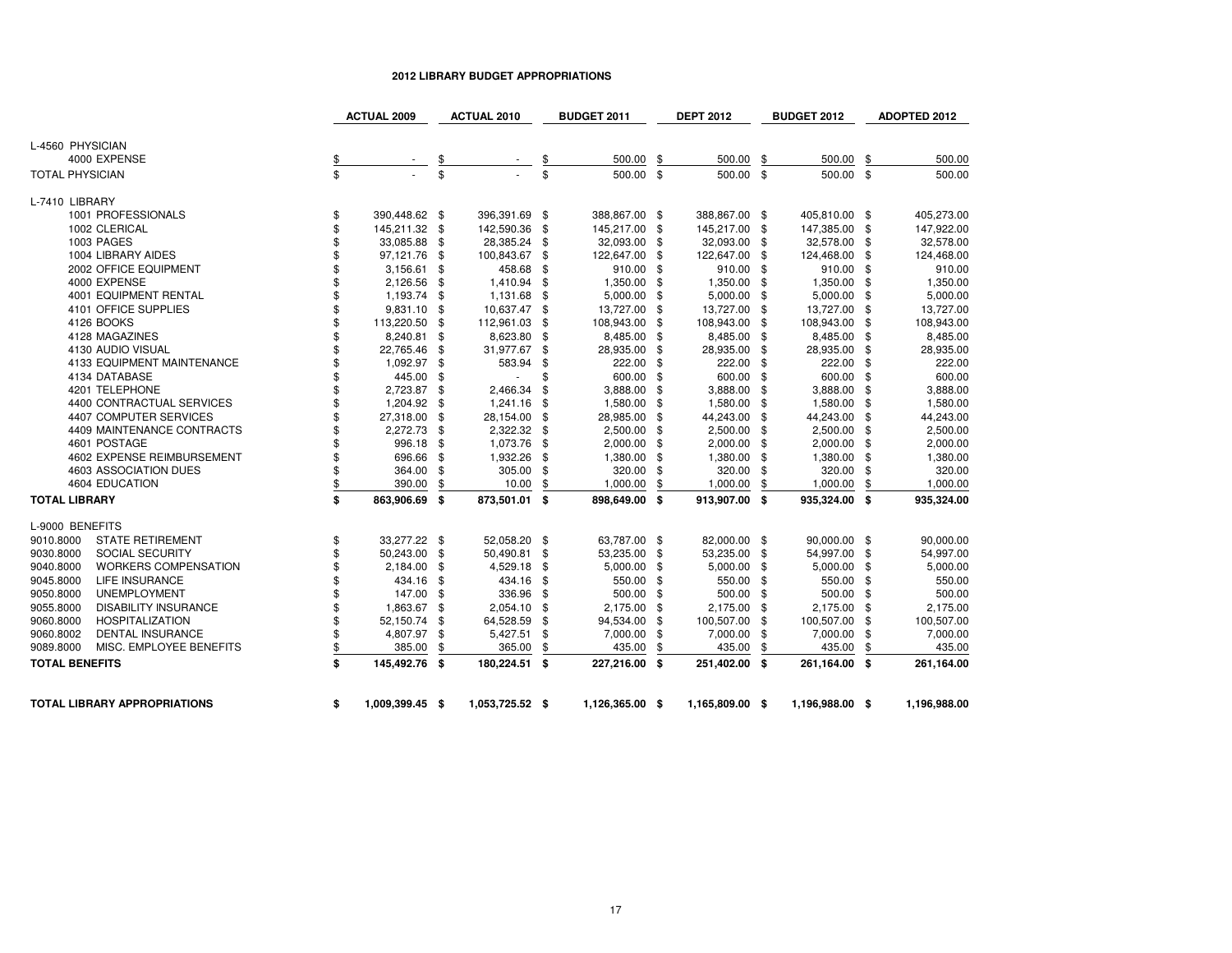### **2012 LIBRARY BUDGET APPROPRIATIONS**

|                                          | <b>ACTUAL 2009</b>    | <b>ACTUAL 2010</b> |           | <b>BUDGET 2011</b> |      | <b>DEPT 2012</b> | <b>BUDGET 2012</b> |      | <b>ADOPTED 2012</b> |
|------------------------------------------|-----------------------|--------------------|-----------|--------------------|------|------------------|--------------------|------|---------------------|
|                                          |                       |                    |           |                    |      |                  |                    |      |                     |
| L-4560 PHYSICIAN                         |                       |                    |           |                    |      |                  |                    |      |                     |
| 4000 EXPENSE                             | \$                    |                    | <u>\$</u> | 500.00             | \$   | 500.00           | \$<br>500.00       | - \$ | 500.00              |
| <b>TOTAL PHYSICIAN</b>                   | \$                    | \$                 | \$        | 500.00 \$          |      | 500.00 \$        | 500.00 \$          |      | 500.00              |
| L-7410 LIBRARY                           |                       |                    |           |                    |      |                  |                    |      |                     |
| 1001 PROFESSIONALS                       | \$<br>390,448.62 \$   | 396,391.69 \$      |           | 388,867.00 \$      |      | 388,867.00 \$    | 405,810.00 \$      |      | 405,273.00          |
| 1002 CLERICAL                            | \$<br>145,211.32 \$   | 142,590.36         | \$        | 145,217.00         | \$   | 145,217.00 \$    | 147,385.00 \$      |      | 147,922.00          |
| 1003 PAGES                               | \$<br>33,085.88 \$    | 28,385.24 \$       |           | 32,093.00 \$       |      | 32,093.00 \$     | 32,578.00 \$       |      | 32,578.00           |
| 1004 LIBRARY AIDES                       | \$<br>97,121.76 \$    | 100,843.67 \$      |           | 122,647.00 \$      |      | 122,647.00 \$    | 124,468.00 \$      |      | 124,468.00          |
| 2002 OFFICE EQUIPMENT                    | \$<br>$3,156.61$ \$   | 458.68             | - \$      | 910.00 \$          |      | 910.00 \$        | 910.00 \$          |      | 910.00              |
| 4000 EXPENSE                             | \$<br>2,126.56 \$     | 1,410.94           | - \$      | 1,350.00 \$        |      | 1,350.00 \$      | 1,350.00 \$        |      | 1,350.00            |
| <b>4001 EQUIPMENT RENTAL</b>             | \$<br>1,193.74 \$     | 1,131.68 \$        |           | $5,000.00$ \$      |      | $5,000.00$ \$    | 5,000.00 \$        |      | 5,000.00            |
| 4101 OFFICE SUPPLIES                     | \$<br>9,831.10 \$     | 10,637.47 \$       |           | 13,727.00          | - \$ | 13,727.00 \$     | 13,727.00 \$       |      | 13,727.00           |
| 4126 BOOKS                               | \$<br>113,220.50 \$   | 112,961.03         | - \$      | 108,943.00         | -\$  | 108,943.00 \$    | 108,943.00 \$      |      | 108,943.00          |
| 4128 MAGAZINES                           | \$<br>8,240.81 \$     | 8,623.80 \$        |           | 8,485.00           | - \$ | 8,485.00 \$      | 8,485.00 \$        |      | 8,485.00            |
| 4130 AUDIO VISUAL                        | \$<br>22,765.46 \$    | 31,977.67          | - \$      | 28,935.00          | - \$ | 28,935.00 \$     | 28,935.00 \$       |      | 28,935.00           |
| 4133 EQUIPMENT MAINTENANCE               | \$<br>1,092.97 \$     | 583.94             | \$        | 222.00             | - \$ | 222.00 \$        | 222.00 \$          |      | 222.00              |
| 4134 DATABASE                            | \$<br>445.00 \$       |                    | \$        | 600.00             | - \$ | 600.00 \$        | 600.00 \$          |      | 600.00              |
| 4201 TELEPHONE                           | \$<br>2,723.87 \$     | 2,466.34           | \$        | 3,888.00           | \$   | 3,888.00 \$      | 3,888.00 \$        |      | 3,888.00            |
| 4400 CONTRACTUAL SERVICES                | \$<br>1,204.92 \$     | 1,241.16           | \$        | 1,580.00           | - \$ | 1,580.00 \$      | 1,580.00 \$        |      | 1,580.00            |
| 4407 COMPUTER SERVICES                   | \$<br>27,318.00 \$    | 28,154.00 \$       |           | 28,985.00          | -\$  | 44,243.00 \$     | 44,243.00 \$       |      | 44,243.00           |
| 4409 MAINTENANCE CONTRACTS               | \$<br>2,272.73 \$     | 2,322.32           | - \$      | 2,500.00           | -\$  | 2,500.00 \$      | 2,500.00 \$        |      | 2,500.00            |
| 4601 POSTAGE                             | \$<br>996.18 \$       | 1,073.76           | - \$      | 2,000.00           | -\$  | $2,000.00$ \$    | $2,000.00$ \$      |      | 2,000.00            |
| 4602 EXPENSE REIMBURSEMENT               | \$<br>696.66 \$       | 1,932.26           | - \$      | 1,380.00           | - \$ | 1,380.00 \$      | 1,380.00 \$        |      | 1,380.00            |
| 4603 ASSOCIATION DUES                    | \$<br>364.00 \$       | 305.00             | - \$      | 320.00 \$          |      | 320.00 \$        | 320.00 \$          |      | 320.00              |
| 4604 EDUCATION                           | \$<br>390.00          | \$<br>10.00        | \$        | 1,000.00           | \$   | 1,000.00         | \$<br>1,000.00     | \$   | 1,000.00            |
| <b>TOTAL LIBRARY</b>                     | \$<br>863,906.69 \$   | 873,501.01 \$      |           | 898,649.00 \$      |      | 913,907.00 \$    | 935,324.00 \$      |      | 935,324.00          |
| L-9000 BENEFITS                          |                       |                    |           |                    |      |                  |                    |      |                     |
| <b>STATE RETIREMENT</b><br>9010.8000     | \$<br>33,277.22 \$    | 52,058.20 \$       |           | 63,787.00 \$       |      | 82,000.00 \$     | 90,000.00 \$       |      | 90,000.00           |
| 9030.8000<br>SOCIAL SECURITY             | \$<br>50,243.00 \$    | 50,490.81 \$       |           | 53,235.00 \$       |      | 53,235.00 \$     | 54,997.00 \$       |      | 54,997.00           |
| 9040.8000<br><b>WORKERS COMPENSATION</b> | \$<br>2,184.00 \$     | 4,529.18 \$        |           | $5,000.00$ \$      |      | $5,000.00$ \$    | $5,000.00$ \$      |      | 5,000.00            |
| 9045.8000<br><b>LIFE INSURANCE</b>       | \$<br>434.16 \$       | 434.16             | \$        | 550.00             | - \$ | 550.00 \$        | 550.00 \$          |      | 550.00              |
| 9050.8000<br><b>UNEMPLOYMENT</b>         | \$<br>147.00 \$       | 336.96             | \$        | 500.00             | -\$  | 500.00 \$        | 500.00 \$          |      | 500.00              |
| 9055.8000<br><b>DISABILITY INSURANCE</b> | \$<br>1,863.67 \$     | 2,054.10 \$        |           | 2,175.00 \$        |      | 2,175.00 \$      | 2,175.00 \$        |      | 2,175.00            |
| 9060.8000<br><b>HOSPITALIZATION</b>      | \$<br>52,150.74 \$    | 64,528.59          | \$        | 94,534.00          | - \$ | 100,507.00 \$    | 100,507.00 \$      |      | 100,507.00          |
| 9060.8002<br><b>DENTAL INSURANCE</b>     | \$<br>4,807.97 \$     | 5,427.51           | -\$       | 7,000.00           | -\$  | 7,000.00 \$      | 7,000.00 \$        |      | 7,000.00            |
| 9089.8000<br>MISC. EMPLOYEE BENEFITS     | \$<br>385.00          | \$<br>365.00       | \$        | 435.00             | \$   | 435.00           | \$<br>435.00       | \$   | 435.00              |
| <b>TOTAL BENEFITS</b>                    | \$<br>145,492.76 \$   | 180,224.51 \$      |           | 227,216.00 \$      |      | 251,402.00 \$    | 261,164.00 \$      |      | 261,164.00          |
|                                          |                       |                    |           |                    |      |                  |                    |      |                     |
| <b>TOTAL LIBRARY APPROPRIATIONS</b>      | \$<br>1,009,399.45 \$ | 1,053,725.52 \$    |           | 1,126,365.00 \$    |      | 1,165,809.00 \$  | 1,196,988.00 \$    |      | 1,196,988.00        |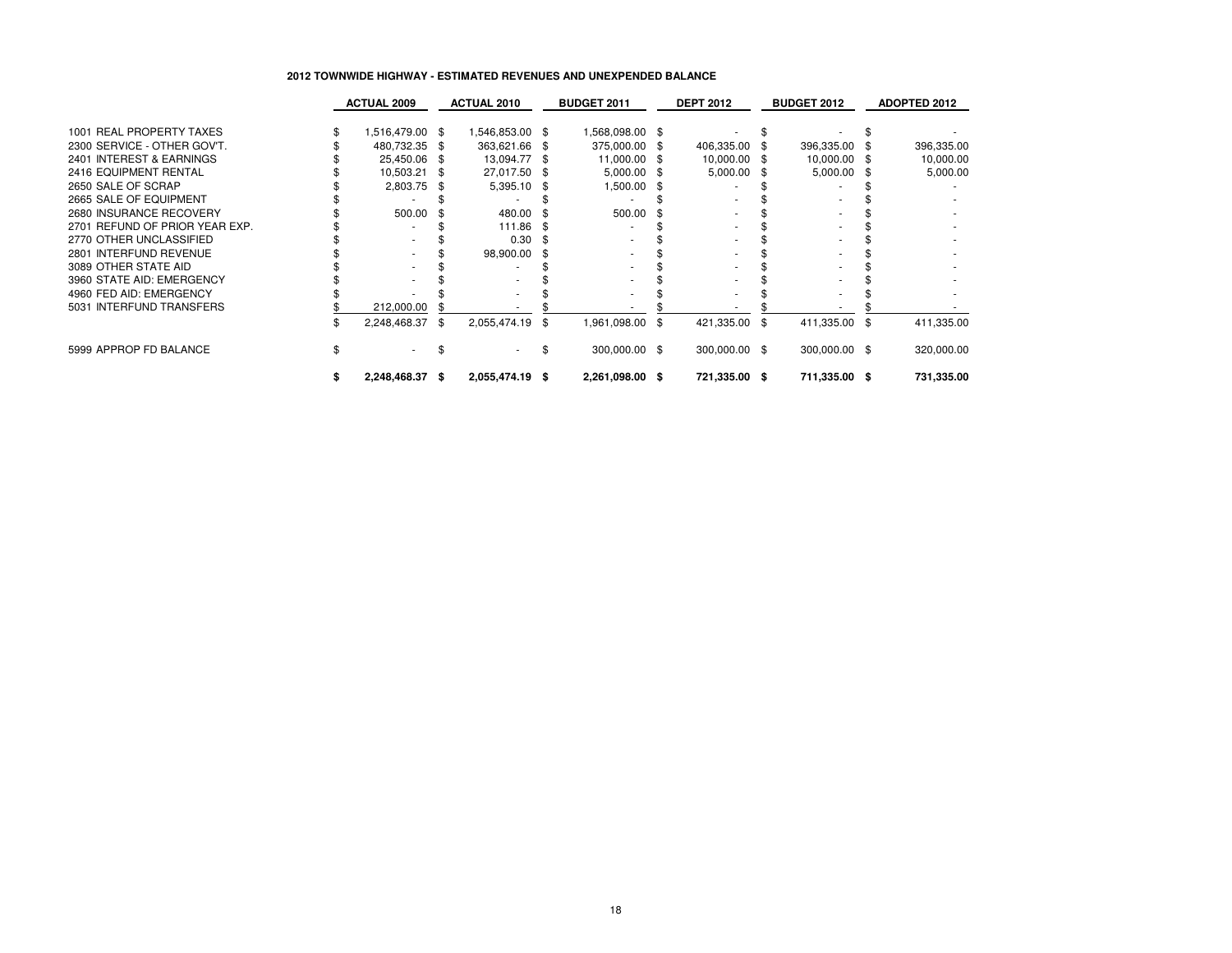### **2012 TOWNWIDE HIGHWAY - ESTIMATED REVENUES AND UNEXPENDED BALANCE**

|                                | <b>ACTUAL 2009</b> |      | <b>ACTUAL 2010</b> | <b>BUDGET 2011</b> |      | <b>DEPT 2012</b> | <b>BUDGET 2012</b> |      | <b>ADOPTED 2012</b> |
|--------------------------------|--------------------|------|--------------------|--------------------|------|------------------|--------------------|------|---------------------|
|                                |                    |      |                    |                    |      |                  |                    |      |                     |
| 1001 REAL PROPERTY TAXES       | 1,516,479.00 \$    |      | \$ 546,853.00      | 1,568,098.00 \$    |      |                  |                    |      |                     |
| 2300 SERVICE - OTHER GOV'T.    | 480,732.35         |      | 363,621.66 \$      | 375,000.00         | -86  | 406,335.00 \$    | 396,335.00         |      | 396,335.00          |
| 2401 INTEREST & EARNINGS       | 25,450.06          | \$.  | 13,094.77 \$       | 11,000.00          | - SS | 10,000.00 \$     | 10,000.00 \$       |      | 10,000.00           |
| 2416 EQUIPMENT RENTAL          | 10,503.21          |      | 27,017.50 \$       | 5,000.00           | -86  | 5,000.00 \$      | 5,000.00           |      | 5,000.00            |
| 2650 SALE OF SCRAP             | 2,803.75           | \$.  | 5,395.10 \$        | 1,500.00           | -86  |                  |                    |      |                     |
| 2665 SALE OF EQUIPMENT         |                    |      |                    |                    |      |                  |                    |      |                     |
| 2680 INSURANCE RECOVERY        | 500.00             |      | 480.00             | 500.00             |      |                  |                    |      |                     |
| 2701 REFUND OF PRIOR YEAR EXP. |                    |      | 111.86             |                    |      |                  |                    |      |                     |
| 2770 OTHER UNCLASSIFIED        |                    |      | 0.30               |                    |      |                  |                    |      |                     |
| 2801 INTERFUND REVENUE         |                    |      | 98,900.00          |                    |      |                  |                    |      |                     |
| 3089 OTHER STATE AID           |                    |      |                    |                    |      |                  |                    |      |                     |
| 3960 STATE AID: EMERGENCY      |                    |      |                    |                    |      |                  |                    |      |                     |
| 4960 FED AID: EMERGENCY        |                    |      |                    |                    |      |                  |                    |      |                     |
| 5031 INTERFUND TRANSFERS       | 212,000.00         |      |                    |                    |      |                  |                    |      |                     |
|                                | 2,248,468.37       | \$   | 2,055,474.19 \$    | 1,961,098.00       | -S   | 421,335.00 \$    | 411,335.00         | - \$ | 411,335.00          |
| 5999 APPROP FD BALANCE         |                    |      |                    | 300,000.00 \$      |      | 300,000.00 \$    | 300,000.00 \$      |      | 320,000.00          |
|                                | 2,248,468.37       | - \$ | 2,055,474.19 \$    | 2,261,098.00 \$    |      | 721,335.00 \$    | 711,335.00 \$      |      | 731,335.00          |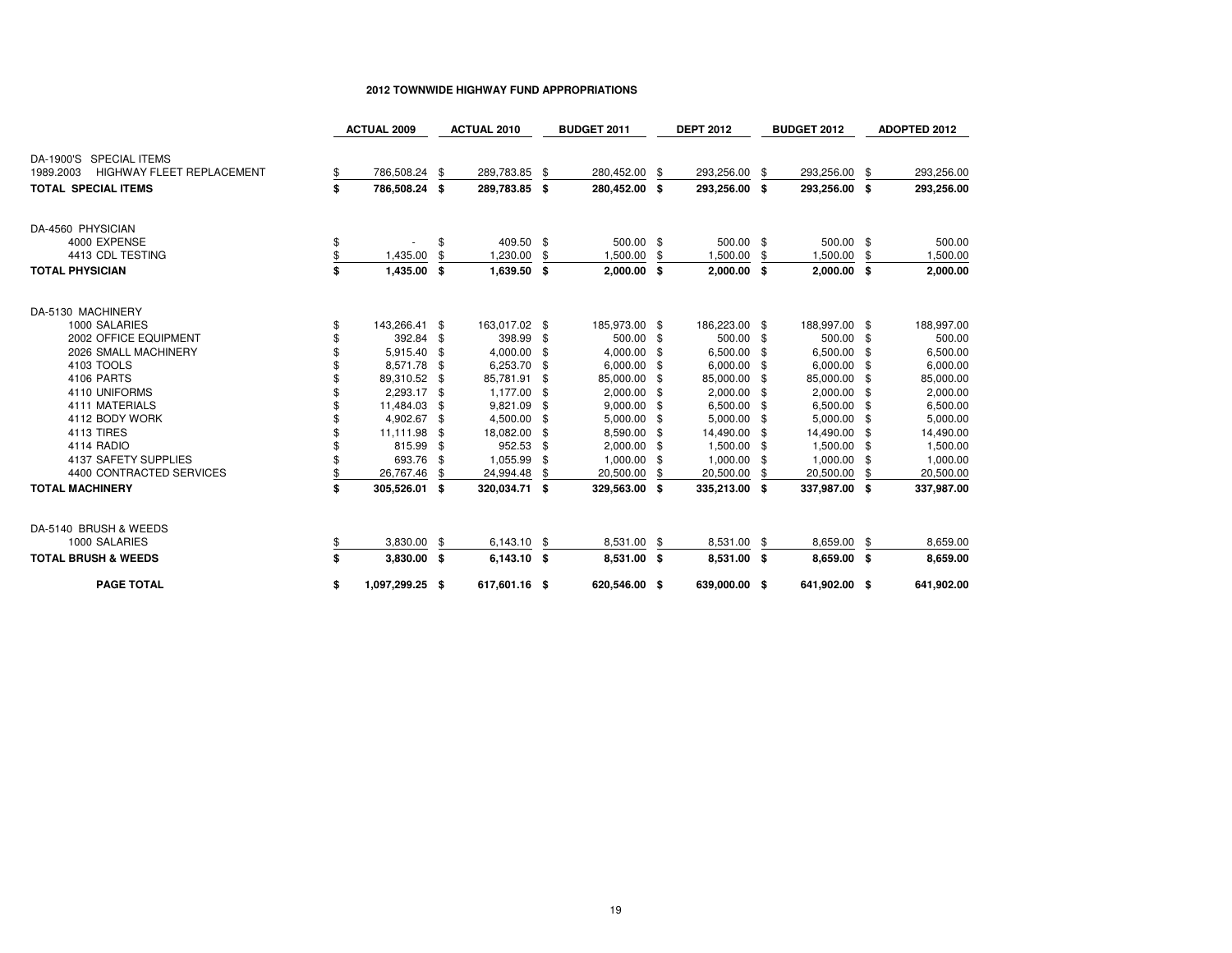# **2012 TOWNWIDE HIGHWAY FUND APPROPRIATIONS**

|                                               | <b>ACTUAL 2009</b>    |     | <b>ACTUAL 2010</b> |     | <b>BUDGET 2011</b> |      | <b>DEPT 2012</b> |     | <b>BUDGET 2012</b> | <b>ADOPTED 2012</b> |
|-----------------------------------------------|-----------------------|-----|--------------------|-----|--------------------|------|------------------|-----|--------------------|---------------------|
| DA-1900'S SPECIAL ITEMS                       |                       |     |                    |     |                    |      |                  |     |                    |                     |
| <b>HIGHWAY FLEET REPLACEMENT</b><br>1989.2003 | \$<br>786,508.24      | -\$ | 289,783.85         | -\$ | 280,452.00         | \$   | 293,256.00       | -\$ | 293,256.00         | \$<br>293,256.00    |
| <b>TOTAL SPECIAL ITEMS</b>                    | \$<br>786,508.24 \$   |     | 289,783.85 \$      |     | 280,452.00 \$      |      | 293,256.00 \$    |     | 293,256.00 \$      | 293,256.00          |
| DA-4560 PHYSICIAN                             |                       |     |                    |     |                    |      |                  |     |                    |                     |
| 4000 EXPENSE                                  | \$                    | \$  | 409.50 \$          |     | 500.00 \$          |      | 500.00 \$        |     | 500.00 \$          | 500.00              |
| 4413 CDL TESTING                              | \$<br>1,435.00        | \$  | 1,230.00           | \$  | 1,500.00           | \$   | 1,500.00         | \$  | 1,500.00           | \$<br>1,500.00      |
| <b>TOTAL PHYSICIAN</b>                        | \$<br>1,435.00 \$     |     | 1,639.50 \$        |     | $2,000.00$ \$      |      | $2,000.00$ \$    |     | 2,000.00 \$        | 2,000.00            |
| DA-5130 MACHINERY                             |                       |     |                    |     |                    |      |                  |     |                    |                     |
| 1000 SALARIES                                 | \$<br>143,266.41 \$   |     | 163,017.02 \$      |     | 185,973.00 \$      |      | 186,223.00 \$    |     | 188,997.00 \$      | 188,997.00          |
| 2002 OFFICE EQUIPMENT                         | 392.84 \$             |     | 398.99 \$          |     | 500.00 \$          |      | 500.00 \$        |     | 500.00 \$          | 500.00              |
| 2026 SMALL MACHINERY                          | 5,915.40 \$           |     | 4,000.00           | \$  | 4,000.00           | \$   | 6,500.00 \$      |     | 6,500.00 \$        | 6,500.00            |
| 4103 TOOLS                                    | 8,571.78 \$           |     | 6,253.70 \$        |     | 6,000.00           | - \$ | 6,000.00 \$      |     | 6,000.00 \$        | 6,000.00            |
| 4106 PARTS                                    | 89,310.52 \$          |     | 85,781.91          | -\$ | 85,000.00          | -8   | 85,000.00 \$     |     | 85,000.00 \$       | 85,000.00           |
| 4110 UNIFORMS                                 | 2,293.17 \$           |     | 1,177.00 \$        |     | 2,000.00 \$        |      | $2,000.00$ \$    |     | 2,000.00 \$        | 2,000.00            |
| 4111 MATERIALS                                | 11,484.03             | -\$ | 9,821.09           | \$  | 9,000.00           | - \$ | 6,500.00 \$      |     | 6,500.00 \$        | 6,500.00            |
| 4112 BODY WORK                                | 4,902.67 \$           |     | 4,500.00           | -\$ | 5,000.00           | -5   | 5,000.00 \$      |     | 5,000.00 \$        | 5,000.00            |
| 4113 TIRES                                    | 11,111.98 \$          |     | 18,082.00          | \$  | 8,590.00           | -8   | 14,490.00 \$     |     | 14,490.00 \$       | 14,490.00           |
| 4114 RADIO                                    | 815.99                | -\$ | 952.53             | S   | 2,000.00           |      | 1,500.00 \$      |     | 1,500.00 \$        | 1,500.00            |
| 4137 SAFETY SUPPLIES                          | 693.76 \$             |     | 1,055.99           | \$  | 1,000.00           | - \$ | 1,000.00 \$      |     | 1,000.00 \$        | 1,000.00            |
| 4400 CONTRACTED SERVICES                      | 26,767.46             | \$  | 24,994.48          | \$  | 20,500.00          | \$   | 20,500.00        | \$  | 20,500.00          | \$<br>20,500.00     |
| <b>TOTAL MACHINERY</b>                        | \$<br>305,526.01 \$   |     | 320,034.71 \$      |     | 329,563.00 \$      |      | 335,213.00 \$    |     | 337,987.00 \$      | 337,987.00          |
| DA-5140 BRUSH & WEEDS                         |                       |     |                    |     |                    |      |                  |     |                    |                     |
| 1000 SALARIES                                 | \$<br>3,830.00        | -\$ | 6,143.10           | -\$ | 8,531.00           | - \$ | 8,531.00 \$      |     | 8,659.00           | \$<br>8,659.00      |
| <b>TOTAL BRUSH &amp; WEEDS</b>                | \$<br>3,830.00 \$     |     | 6,143.10 \$        |     | 8,531.00 \$        |      | 8,531.00 \$      |     | 8,659.00 \$        | 8,659.00            |
| <b>PAGE TOTAL</b>                             | \$<br>1,097,299.25 \$ |     | 617,601.16 \$      |     | 620,546.00 \$      |      | 639,000.00 \$    |     | 641,902.00 \$      | 641,902.00          |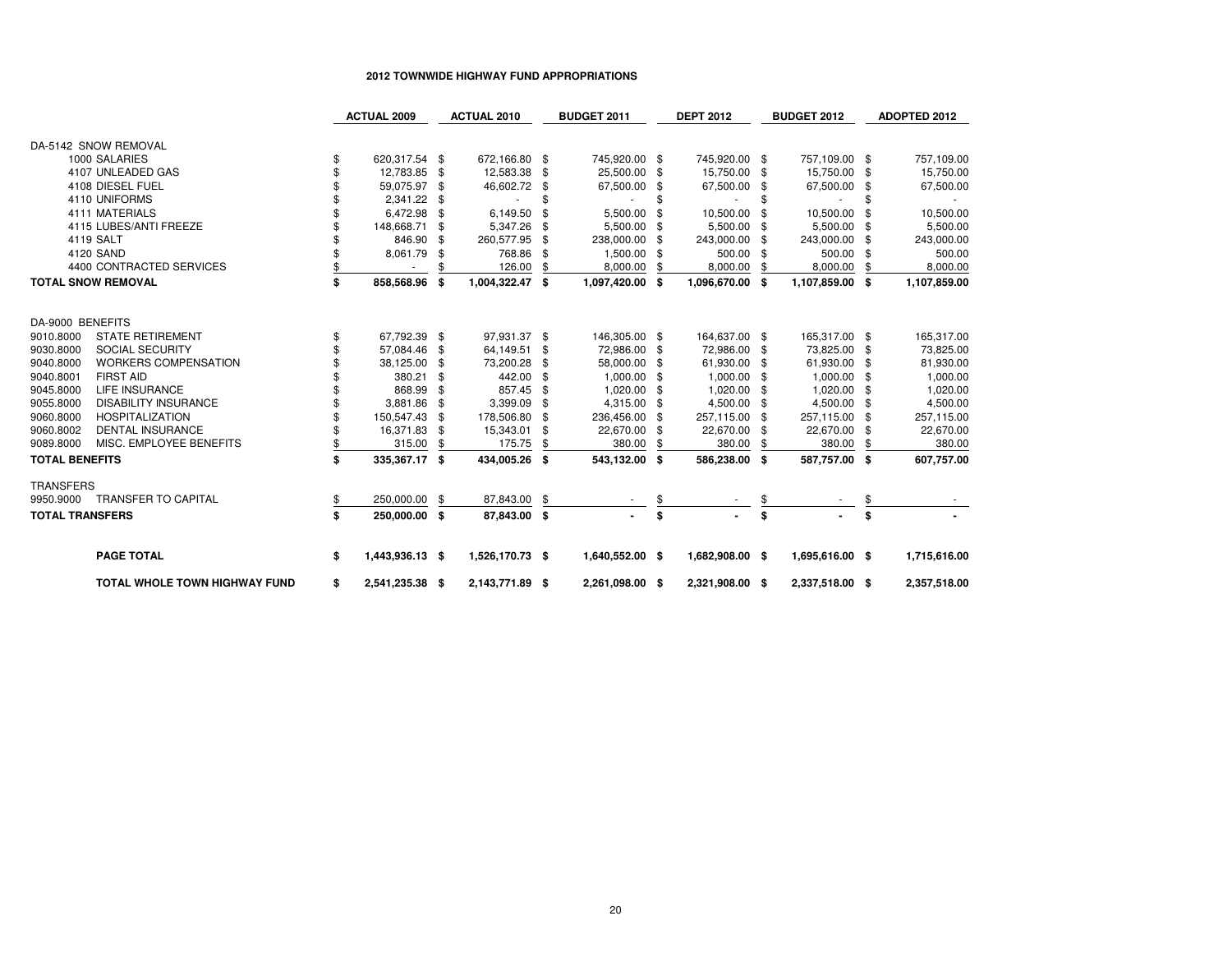# **2012 TOWNWIDE HIGHWAY FUND APPROPRIATIONS**

|                                          | <b>ACTUAL 2009</b>    |      | <b>ACTUAL 2010</b> | <b>BUDGET 2011</b> |      | <b>DEPT 2012</b> |     | <b>BUDGET 2012</b> |     | <b>ADOPTED 2012</b> |
|------------------------------------------|-----------------------|------|--------------------|--------------------|------|------------------|-----|--------------------|-----|---------------------|
| DA-5142 SNOW REMOVAL                     |                       |      |                    |                    |      |                  |     |                    |     |                     |
| 1000 SALARIES                            | \$<br>620,317.54 \$   |      | 672,166.80 \$      | 745,920.00 \$      |      | 745,920.00       | -\$ | 757,109.00         | \$  | 757,109.00          |
| 4107 UNLEADED GAS                        | 12,783.85 \$          |      | 12,583.38          | \$<br>25,500.00    | \$   | 15,750.00        | \$  | 15,750.00          | -\$ | 15,750.00           |
| 4108 DIESEL FUEL                         | 59,075.97 \$          |      | 46,602.72          | \$<br>67,500.00    | \$   | 67,500.00        | \$  | 67,500.00          | \$  | 67,500.00           |
| 4110 UNIFORMS                            | 2,341.22 \$           |      |                    | \$                 | \$   | $\sim$           | \$  |                    | \$  |                     |
| 4111 MATERIALS                           | 6,472.98              | \$   | 6,149.50           | \$<br>5,500.00     | \$   | 10,500.00        | £.  | 10,500.00          | \$  | 10,500.00           |
| 4115 LUBES/ANTI FREEZE                   | 148,668.71            | \$   | 5,347.26           | \$<br>5,500.00     | \$   | 5,500.00         | \$  | 5,500.00           | \$  | 5,500.00            |
| 4119 SALT                                | 846.90                | \$   | 260,577.95         | \$<br>238,000.00   | \$   | 243,000.00       | £.  | 243,000.00         | \$  | 243,000.00          |
| 4120 SAND                                | 8,061.79              | \$   | 768.86             | \$<br>1,500.00     |      | 500.00           | \$  | 500.00             | \$  | 500.00              |
| 4400 CONTRACTED SERVICES                 |                       |      | 126.00             | 8,000.00           |      | 8,000.00         | \$  | 8,000.00           | \$  | 8,000.00            |
| <b>TOTAL SNOW REMOVAL</b>                | \$<br>858,568.96      | - \$ | 1,004,322.47 \$    | 1,097,420.00       | -S   | 1,096,670.00     | \$  | 1,107,859.00       | \$  | 1,107,859.00        |
|                                          |                       |      |                    |                    |      |                  |     |                    |     |                     |
| DA-9000 BENEFITS                         |                       |      |                    |                    |      |                  |     |                    |     |                     |
| <b>STATE RETIREMENT</b><br>9010.8000     | \$<br>67,792.39 \$    |      | 97,931.37 \$       | 146,305.00 \$      |      | 164,637.00       | -\$ | 165,317.00 \$      |     | 165,317.00          |
| 9030.8000<br><b>SOCIAL SECURITY</b>      | 57,084.46             | - \$ | 64,149.51          | \$<br>72,986.00    | \$   | 72,986.00        | \$  | 73,825.00          | -\$ | 73,825.00           |
| 9040.8000<br><b>WORKERS COMPENSATION</b> | 38,125.00             | \$   | 73,200.28          | \$<br>58,000.00    | \$   | 61,930.00        | \$  | 61,930.00          | \$  | 81,930.00           |
| 9040.8001<br><b>FIRST AID</b>            | 380.21                | \$   | 442.00             | \$<br>1,000.00     | \$.  | 1,000.00         | £.  | 1,000.00           | \$  | 1,000.00            |
| 9045.8000<br><b>LIFE INSURANCE</b>       | 868.99                | \$   | 857.45             | \$<br>1,020.00     | \$   | 1,020.00         | \$  | 1,020.00           | \$  | 1,020.00            |
| 9055.8000<br><b>DISABILITY INSURANCE</b> | 3,881.86              | \$   | 3,399.09           | \$<br>4,315.00     | \$   | 4,500.00         | \$  | 4,500.00           | \$  | 4,500.00            |
| 9060.8000<br><b>HOSPITALIZATION</b>      | 150,547.43            | -\$  | 178,506.80         | \$<br>236,456.00   | \$   | 257,115.00       | \$  | 257,115.00         | -\$ | 257,115.00          |
| <b>DENTAL INSURANCE</b><br>9060.8002     | 16,371.83             | -\$  | 15,343.01          | \$<br>22,670.00    |      | 22,670.00        | \$  | 22,670.00          | \$  | 22,670.00           |
| 9089.8000<br>MISC. EMPLOYEE BENEFITS     | 315.00                |      | 175.75             | 380.00             |      | 380.00           |     | 380.00             |     | 380.00              |
| <b>TOTAL BENEFITS</b>                    | \$<br>335,367.17 \$   |      | 434,005.26 \$      | 543,132.00         | - \$ | 586,238.00       | \$  | 587,757.00         | S.  | 607,757.00          |
| <b>TRANSFERS</b>                         |                       |      |                    |                    |      |                  |     |                    |     |                     |
| <b>TRANSFER TO CAPITAL</b><br>9950.9000  | \$<br>250,000.00      | \$   | 87,843.00          | \$                 | \$   |                  |     |                    | \$  |                     |
| <b>TOTAL TRANSFERS</b>                   | \$<br>250,000.00 \$   |      | 87,843.00          | \$                 | \$   |                  | \$  |                    | \$  |                     |
| <b>PAGE TOTAL</b>                        | \$<br>1,443,936.13 \$ |      | 1,526,170.73 \$    | 1,640,552.00 \$    |      | 1,682,908.00 \$  |     | 1,695,616.00 \$    |     | 1,715,616.00        |
| <b>TOTAL WHOLE TOWN HIGHWAY FUND</b>     | \$<br>2,541,235.38 \$ |      | 2,143,771.89 \$    | 2,261,098.00 \$    |      | 2,321,908.00 \$  |     | 2,337,518.00 \$    |     | 2,357,518.00        |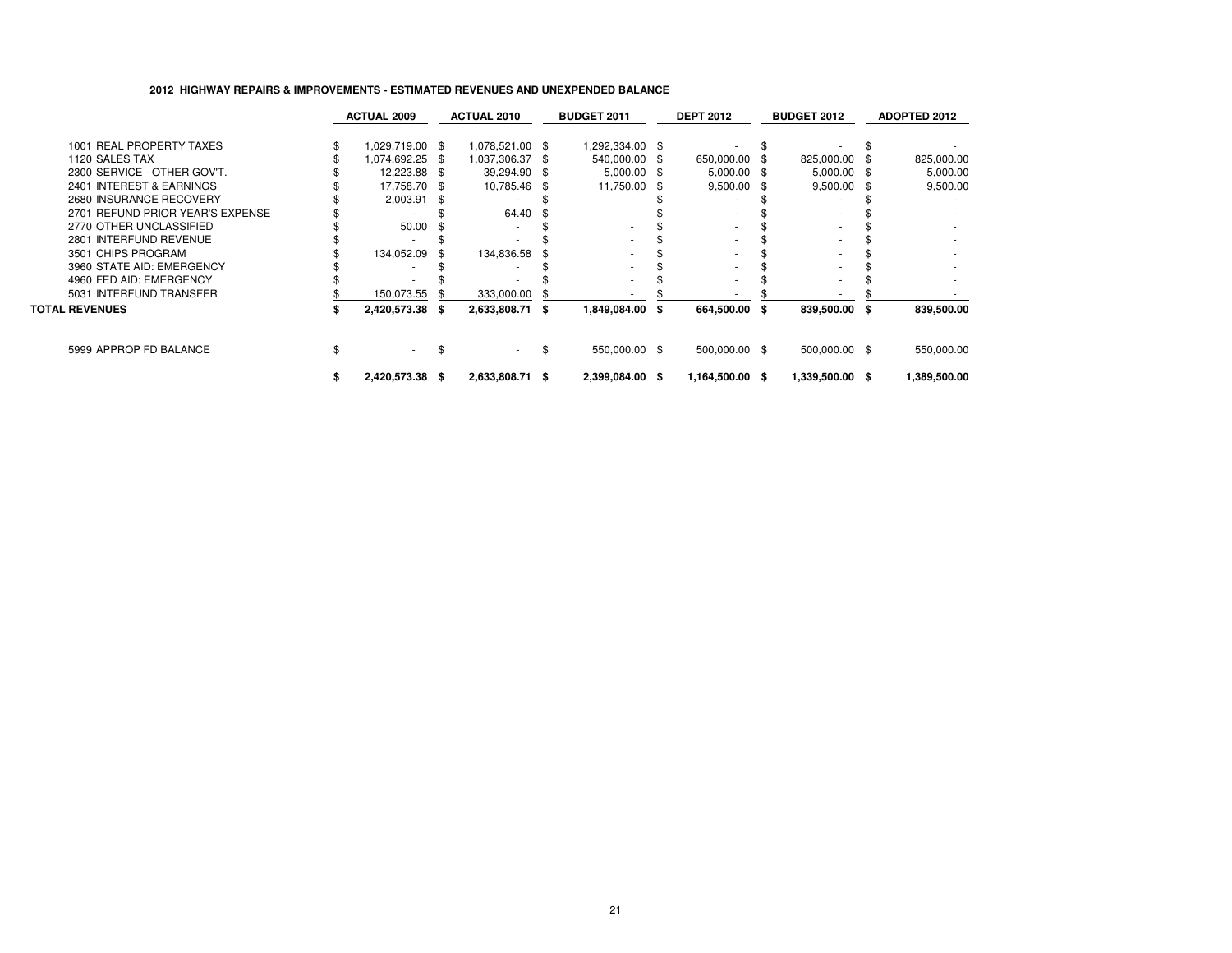# **2012 HIGHWAY REPAIRS & IMPROVEMENTS - ESTIMATED REVENUES AND UNEXPENDED BALANCE**

|                                  | <b>ACTUAL 2009</b> | <b>ACTUAL 2010</b> |      | <b>BUDGET 2011</b> | <b>DEPT 2012</b> | <b>BUDGET 2012</b> | ADOPTED 2012 |
|----------------------------------|--------------------|--------------------|------|--------------------|------------------|--------------------|--------------|
| 1001 REAL PROPERTY TAXES         | 1,029,719.00 \$    | 1,078,521.00 \$    |      | \$292,334.00       |                  |                    |              |
| 1120 SALES TAX                   | 1,074,692.25 \$    | 1,037,306.37       | - 96 | 540,000.00 \$      | 650,000.00 \$    | 825,000.00 \$      | 825,000.00   |
| 2300 SERVICE - OTHER GOV'T.      | 12,223.88 \$       | 39,294.90 \$       |      | $5,000.00$ \$      | $5,000.00$ \$    | 5,000.00 \$        | 5,000.00     |
| 2401 INTEREST & EARNINGS         | 17,758.70 \$       | 10,785.46          | -8   | 11,750.00 \$       | $9,500.00$ \$    | 9,500.00 \$        | 9,500.00     |
| 2680 INSURANCE RECOVERY          | 2,003.91           |                    |      |                    |                  |                    |              |
| 2701 REFUND PRIOR YEAR'S EXPENSE |                    | 64.40              | - 56 |                    |                  |                    |              |
| 2770 OTHER UNCLASSIFIED          | 50.00              |                    |      |                    |                  |                    |              |
| 2801 INTERFUND REVENUE           |                    |                    |      |                    |                  |                    |              |
| 3501 CHIPS PROGRAM               | 134,052.09         | 134,836.58         |      |                    |                  |                    |              |
| 3960 STATE AID: EMERGENCY        |                    |                    |      |                    |                  |                    |              |
| 4960 FED AID: EMERGENCY          |                    |                    |      |                    |                  |                    |              |
| 5031 INTERFUND TRANSFER          | 150,073.55         | 333,000.00         |      |                    |                  |                    |              |
| <b>TOTAL REVENUES</b>            | 2,420,573.38 \$    | 2,633,808.71       | -96  | 1,849,084.00 \$    | 664,500.00 \$    | 839,500.00 \$      | 839,500.00   |
| 5999 APPROP FD BALANCE           | $\sim$             |                    | £.   | 550,000.00 \$      | 500,000.00 \$    | 500,000.00 \$      | 550,000.00   |
|                                  | 2,420,573.38 \$    | 2,633,808.71 \$    |      | 2,399,084.00 \$    | 1,164,500.00 \$  | 1,339,500.00 \$    | 1,389,500.00 |